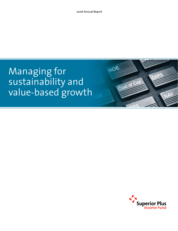ROE

Cost of Cal

# Managing for sustainability and value-based growth

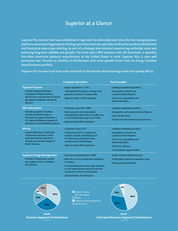# **Superior at a Glance**

**Superior Plus Income Fund was established in 1996 and has diversified over time into four strong business platforms, encompassing propane retailing, specialty chemicals, specialty construction products distribution and fixed-price natural gas retailing. As part of a strategic plan aimed at maximizing unitholder value and achieving long-term stability and growth, the Fund sold a fifth business unit, JW Aluminum, a specialty, flat-rolled aluminum products manufacturer in the United States in 2006. Superior Plus is now well positioned and focused on stability of distributions with value growth driven from its strong Canadian based business portfolio.**

**Superior Plus Income Fund trust units are listed on the Toronto Stock Exchange under the symbol SPF.un**.

|                                                                                                                                                                                                     | <b>Company Operations</b>                                                                                                                                                                                                                                   | <b>Key Strengths</b>                                                                                                                                                                                               |
|-----------------------------------------------------------------------------------------------------------------------------------------------------------------------------------------------------|-------------------------------------------------------------------------------------------------------------------------------------------------------------------------------------------------------------------------------------------------------------|--------------------------------------------------------------------------------------------------------------------------------------------------------------------------------------------------------------------|
| <b>Superior Propane</b><br>Canada's largest distributor<br>of propane, related products<br>and services and provider of natural<br>gas liquids wholesale marketing<br>services.                     | · Began operations in 1951.<br>· 169 operating locations, serving retail<br>propane customers Canada-wide.<br>· Approximately 1,700 employees.                                                                                                              | · Leading competitive position.<br>· Geographic and end-use<br>customer diversification.<br>$\cdot$ Full service capabilities and<br>brand reputation.                                                             |
| <b>ERCO Worldwide</b><br>A leading supplier of sodium<br>chlorate and technology to<br>the pulp and paper industries, a<br>U.S. regional Midwest supplier of<br>potassium and chloralkali products. | · In business since the 1940s.<br>· Eight specialty chemicals plants<br>strategically located, five in Canada, two<br>in the United States and one in Chile.<br>· Approximately 600 employees.                                                              | $\cdot$ Leading competitive position.<br>· Geographic and customer diversification.<br>· Low cost structure.<br>$\cdot$ Simple and safe manufacturing process.                                                     |
| <b>Winroc</b><br>Largest distributor of specialty<br>construction products to the<br>walls and ceilings industry in<br>Canada, and seventh largest in<br>North America.                             | · In business since 1971.<br>⋅ 39 branches with 31 locations in<br>western Canada and Ontario; and<br>8 in Minnesota and parts of the<br>southwestern United States.<br>· Approximately 900 employees.                                                      | $\cdot$ Leading competitive position.<br>· Geographic and end-use<br>customer diversification.<br>· Full-service capabilities and<br>brand reputation.<br>· Attractive industry.<br>· Consolidation opportunities. |
| <b>Superior Energy Management</b><br>Provider of fixed price natural<br>gas supply services in Ontario<br>and Quebec.                                                                               | · Commenced operations in 2002.<br>· Main focus area is residential customers<br>in Ontario.<br>· Provides fixed-price natural gas solutions<br>to mid-sized commercial and industrial<br>customers in Ontario and Ouebec.<br>· Approximately 30 employees. | · Stable contract-based business.<br>· Predictable customer acquisition costs.<br>· Strong growth potential.                                                                                                       |







2007 **Estimated Business Segment Contributions**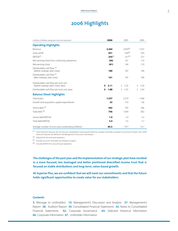# **2006 Highlights**

| (millions of dollars, except per trust unit amounts)                           | 2006        | 2005          | 2004       |
|--------------------------------------------------------------------------------|-------------|---------------|------------|
| <b>Operating Highlights</b>                                                    |             |               |            |
| Revenue                                                                        | 2,264       | $2.059^{(2)}$ | 1,553      |
| Gross profit                                                                   | 631         | $624^{(2)}$   | 543        |
| FBITDA <sup>(1)</sup>                                                          | $255^{(4)}$ | $251^{(4)}$   | 227        |
| Net earnings (loss) from continuing operations                                 | (56)        | 101           | 110        |
| Net earnings (loss)                                                            | (81)        | 104           | 110        |
| Distributable cash flow (1)<br>(before strategic plan costs)                   | 180         | 187           | 184        |
| Distributable cash flow (1)<br>(after strategic plan costs)                    | 161         | 187           | 184        |
| Distributable cash flow per trust unit<br>(before strategic plan costs), basic | \$<br>2.11  | Ŝ.<br>2.35    | Ŝ.<br>2.54 |
| Distributable cash flow per trust unit, basic                                  | \$<br>1.88  | Ŝ<br>2.35     | Ŝ.<br>2.54 |
| <b>Balance Sheet Highlights</b>                                                |             |               |            |
| <b>Total assets</b>                                                            | 1,537       | 2,374         | 1,580      |
| Growth and acquisition capital expenditures                                    | 53          | 510           | 126        |
| Senior debt <sup>(3)</sup>                                                     | 442         | 745           | 546        |
| Total debt <sup>(3)</sup>                                                      | 756         | 1,059         | 662        |
| Senior debt/EBITDA                                                             | 1.9         | 7.4           | 2.2        |
| Total debt/EBITDA                                                              | 3.4         | 3.5           | 2.7        |
| Average number of trust units outstanding (millions)                           | 85.5        | 79.7          | 72.7       |

(1) These financial measures do not have any standardized meaning prescribed by Canadian Generally Accepted Accounting Principles. Non-GAAP financial measures are defined in the Mangement's Discussion and Analysis.

(2) Adjusted for discontinued operations.

(3) Includes accounts receivable securitization program.

(4) Includes EBITDA from discontinued operations.

**The challenges ofthe past year and the implementation of our strategic plan have resulted in a more focused, less leveraged and better positioned diversified income trust that is focused on stable distributions and long-term, value-based growth.**

**At Superior Plus,we are confident that we will meet our commitments and that the future holds significant opportunities to create value for our stakeholders.**

#### **Contents**

**3.** Message to Unitholders **10.** Management's Discussion and Analysis **37.** Management's Report **38.** Auditors' Report **39.** Consolidated Financial Statements **42.** Notes to Consolidated Financial Statements **62.** Corporate Governance **64.** Selected Historical Information **66.** Corporate Information **67.** Unitholder Information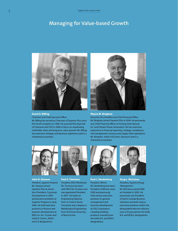# **Managing for Value-based Growth**



#### Grant D. Billing

*Chairman and Chief Executive Officer*

Mr. Billing has served as Chairman of Superior Plus since the Fund's inception in 1996. He assumed the dual role of Chairman and CEO in 2006 to focus on maximizing unitholder value and long-term value growth. Mr. Billing has extensive strategic and business experience and is a chartered accountant.



#### Wayne M. Bingham

*Executive Vice-President and Chief Financial Officer* Mr. Bingham joined Superior Plus in 2006. He previously was Chief Financial officer at Finning International Inc. and Ontario Power Generation. He has extensive experience in financial reporting, strategy, compliance, risk management, treasury and supply chain operations. Mr. Bingham holds a B.Comm. (honours) and is a chartered accountant.



John D. Gleason *President, Superior Propane* Mr. Gleason joined Superior Plus as Senior Vice-President, Corporate Development in 2005 and became president of Superior Propane in early 2006. He held executive positions in finance and business development at MDS Inc. for 14 years and holds B. Comm., M.B.A. and CA designations.



Paul S. Timmons *President, ERCO Worldwide* Mr. Timmons has been with ERCO for 26 years and was appointed President in 2001. He holds an Engineering Diploma from St. Francis Xavier University and a degree in Metallurgical Engineering from Technical University of Nova Scotia.



Paul J. Vanderberg *President, Winroc* Mr. Vanderberg has been President of Winroc since 2000 and previously held various executive positions in general management and business development at USG Corporation, a leading building products manufacturer. He holds B.A. and M.B.A. designations.



Greg L. McCamus *President, Superior Energy Management* Mr. McCamus joined SEM as President in 2005. He previously was President of Sprint Canada Business Solutions and held various executive positions within the deregulated telecom industry over a 20 year period. He holds B.A. and M.B.A. designations.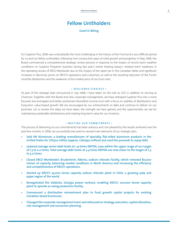# **Fellow Unitholders**

**Grant D. Billing** 

For Superior Plus, 2006 was undoubtedly the most challenging in the history of the Fund and a very difficult period for us and our fellow unitholders, following nine consecutive years of solid growth and prosperity. In May 2006, the Board commenced a comprehensive strategic review process in response to the impact of record warm weather conditions on Superior Propane's business during last year's winter heating season, medium-term weakness in the operating results of ERCO Wordwide due to the impact of the rapid rise in the Canadian dollar and significant increases in electricity prices on ERCO's operations and customers, as well as the resulting reduction of the Fund's monthly distribution and the weakness of the market price of our trust units.

#### **• R E A L I G N E D S T R A T E G Y •**

As part of the strategic plan announced in July 2006, I have taken on the role as CEO in addition to serving as Chairman. Together with the Board and new corporate management, we have reshaped Superior Plus into a more focused, less leveraged and better positioned diversified income trust with a focus on stability of distributions and long-term, value-based growth. We are encouraged by our achievements to date and continue to deliver on our promises. Let us review the steps we have taken, the strength we have gained, and the opportunities we see for maintaining sustainable distributions and creating long-term value for our investors.

#### **• MEETING OUR COMMITMENTS •**

The process of delivering on our commitments has been arduous and I am pleased by the results achieved over the past few months. In 2006, we successfully executed on several main elements of our strategic plan:

- **Sold JW Aluminum, a leading manufacturer of specialty, flat-rolled aluminum products in the United States for US\$310 million (approx. Cdn\$350 million) and used the proceeds to repay debt.**
- **Lowered average senior debt levels to 1.9 times EBITDA, now within the upper range of our target of 1.5 to 2.0 times. Total average debt levels at 3.4 times EBITDA are now closer to the target of 2.5 to 3.0 times.**
- **Closed ERCO Worldwide's Bruderheim, Alberta, sodium chlorate facility, which removed 80,000 tonnes of capacity, balancing market conditions in North America and increasing the efficiency and competitiveness of ERCO's operations.**
- **Started up ERCO's 55,000 tonne capacity sodium chlorate plant in Chile, a growing pulp and paper region of the world.**
- **Renegotiated the Valdosta, Georgia power contract, enabling ERCO's 100,000 tonne capacity plant to operate as swing production facility.**
- **Commenced a distribution reinvestment plan to fund growth capital projects for existing Canadian-based businesses.**
- **Changed the corporate management team and refocused on strategy execution, capital allocation, risk management and succession planning.**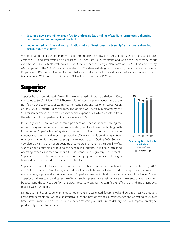### • **Secured a new \$250 million credit facility and repaid \$200 million of Medium Term Notes, enhancing debt covenant and repayment flexibility.**

• **Implemented an internal reorganization into a "trust over partnership" structure, enhancing distributable cash flow.**

We continue to meet our commitments and distributable cash flow per trust unit for 2006, before strategic plan costs at \$2.11 and after strategic plan costs at \$1.88 per trust unit were strong and within the upper range of our expectations. Distributable cash flow at \$180.4 million before strategic plan costs of \$19.7 million declined by 4% compared to the \$187.0 million generated in 2005, demonstrating good operating performance by Superior Propane and ERCO Worldwide despite their challenges and increased profitability from Winroc and Superior Energy Management. JW Aluminum contributed \$38.9 million to the Fund's 2006 results.



Superior Propane contributed \$90.6 million in operating distributable cash flow in 2006, compared to \$94.2 million in 2005. These results reflect good performance, despite the significant adverse impact of warm weather conditions and customer conservation on its 2006 first quarter sales volumes. The decline was partially mitigated by the \$3.1 million decrease in net maintenance capital expenditures, which benefited from the sale of surplus properties, tanks and cylinders in 2006.

In January 2006, John Gleason became president of Superior Propane, leading the repositioning and retooling of the business, designed to achieve profitable growth in the future. Superior is making steady progress on aligning the cost structure to current sales volumes and improving operating efficiencies, while continuing to focus on customer retention and service programs to increase sales. During 2006, Superior completed the installation of on-board truck computers, enhancing the flexibility of its workforce and optimizing its routing and scheduling logistics. To mitigate increasing operating expenses related to labour, fuel, insurance and regulatory requirements, Superior Propane introduced a fee structure for propane deliveries, including a transportation and hazardous materials handling fee.



Superior has consistently increased revenues from other services and has benefited from the February 2005 acquisition of Superior Gas Liquids, a natural gas liquids wholesale marketer, providing transportation, storage, risk management, supply and logistics services to Superior as well as to third parties in Canada and the United States. Superior continues to expand its service offerings such as preventative maintenance and warranty programs and will be separating the service side from the propane delivery business to gain further efficiencies and implement best practices across Canada.

During 2007 and 2008, Superior intends to implement an accelerated fleet renewal and bulk truck leasing program. Lease arrangements are available at attractive rates and provide savings in maintenance and operating costs over time. Newer, more reliable vehicles and a better matching of truck size to delivery type will improve employee productivity and customer service.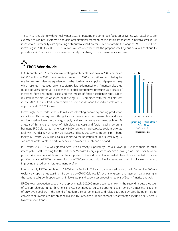These initiatives, along with normal winter weather patterns and continued focus on delivering with excellence are expected to win new customers and gain organizational momentum. We anticipate that these initiatives will result in improved profitability with operating distributable cash flow for 2007 estimated in the range of \$95 – \$100 million, increasing in 2008 to \$100 – \$105 million. We are confident that the propane retailing business will continue to provide a solid foundation for stable returns and profitable growth for many years to come.

# **ERCO Worldwide**

ERCO contributed \$75.7 million in operating distributable cash flow in 2006, compared to \$93.1 million in 2005. These results exceeded our 2006 expectations, considering the medium-term challenges experienced by the North American pulp and paper industry which resulted in reduced regional sodium chlorate demand. North American bleached pulp producers continue to experience global competitive pressures as a result of increased fibre and energy costs and the impact of foreign exchange rates, which resulted in the closure of seven mills during 2006. Combined with the mill closures in late 2005, this resulted in an overall reduction in demand for sodium chlorate of approximately 82,300 tonnes.

Increasingly, new world-scale pulp mills are relocating and/or expanding production capacity in offshore regions with significant access to low cost, renewable wood fibre, relatively stable lower cost energy supply and supportive government policies. As a result of this and the impact of high electricity costs and foreign exchange on its business, ERCO closed its higher cost 48,000 tonnes annual capacity sodium chlorate facility in Thunder Bay, Ontario in April 2006, and its 80,000 tonnes Bruderheim, Alberta facility in October 2006. The closures improved the utilization of ERCO's remaining six sodium chlorate plants in North America and balanced supply and demand.



In October 2006, ERCO was granted access to electricity supplied by Georgia Power pursuant to their industrial interruptible tariff, enabling the 100,000 tonne Valdosta, Georgia plant to operate as swing production facility when power prices are favourable and can be supported in the sodium chlorate market place. This is expected to have a positive impact on ERCO's future results. In late 2006, softwood pulp prices increased and the U.S. dollar strengthened, improving the sodium chlorate demand profile.

Internationally, ERCO completed its 55,000 tonne facility in Chile and commenced production in September 2006 to exclusively supply three existing mills owned by CMPC Celulosa S.A. over a long-term arrangement, participating in the continued growth opportunities in lower pulp and paper cost producing regions of South America and Asia.

ERCO's total production capacity of approximately 502,000 metric tonnes makes it the second largest producer of sodium chlorate in North America. ERCO continues to pursue opportunities in emerging markets. It is one of only two suppliers in the world of modern dioxide generators and related technology used by pulp mills to convert sodium chlorate into chlorine dioxide. This provides a unique competitive advantage, including early access to new market trends.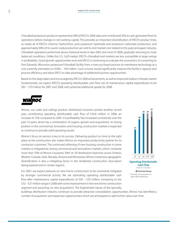Chloralkali/potassium products represented 28% of ERCO's 2006 sales and contributed 35% to cash generated from its operations before changes in net working capital. This provides an important diversification of ERCO's product lines, as nearly all of ERCO's chlorine, hydrochloric acid, potassium hydroxide and potassium carbonate production, and approximately 94% of its caustic soda production are sold to end markets not related to the pulp and paper industry. Chloralkali operations performed above historical levels in late 2005 and most of 2006, gradually returning to more balanced conditions. Unlike the U.S. Gulf market, ERCO's chloralkali end markets are less susceptible to large swings in profitability. Good growth opportunities exist and ERCO is continuing to evaluate the economics of converting its Port Edwards, Wisconsin potassium/chloralkali facility from a mercury-based process to membrane technology at a cost currently estimated at US\$85 – 100 million. Such a move would significantly improve the facility's capacity and process efficiency and allow ERCO to take advantage of additional business opportunities.

Based on the stepstaken and encouraged by ERCO's 2006 achievements, as well asimproved sodium chlorate market fundamentals, we expect ERCO's operating distributable cash flow net of maintenance capital expenditures to be \$65 – \$70 million for 2007 and 2008, with potential additional upside for 2008.



Winroc, our walls and ceilings product distribution business posted another record year, contributing operating distributable cash flow of \$34.6 million in 2006, an increase of 15% compared to 2005. It's profitability has increased consistently over the past 10 years, driven by a combination of organic growth and acquisitions. Its strong position in the commercial, renovation and housing construction markets is expected to continue to provide solid operating results.

Winroc's focus on service is key to its success. Delivering product on time to the right place at the construction site, makes Winroc an important productivity partner for its contractor customers. The continued softening of new housing construction in some markets is mitigated by strong commercial and renovations markets, which comprise more than 50% of Winroc's business. With its 39 distribution branches across Ontario, Western Canada, Utah, Nevada, Arizona and Minnesota, Winroc's extensive geographic diversification is also a mitigating factor in the residential construction slow-down being experienced in certain regions.

For 2007, we expect pressure on new home construction to be somewhat mitigated by stronger commercial activity. We are estimating operating distributable cash flow after maintenance capital expenditures of \$30 – \$35 million, increasing to the \$32 – \$37 million range in 2008 with some improvementin the new home construction segment and assuming no new acquisitions. The fragmented nature of the specialty



**Cash Flow** *(millions of dollars)* **N** Estimate Range \* Assumes no acquisitions or green field expansions.

buildings distribution industry continues to provide attractive consolidation opportunities. Winroc has identified a number of acquisition and expansion opportunities which are anticipated to add further value over time.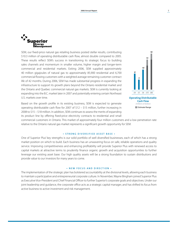

SEM, our fixed-price natural gas retailing business posted stellar results, contributing \$10.3 million of operating distributable cash flow, almost double compared to 2005. These results reflect SEM's success in transitioning its strategic focus to building sales channels and momentum in smaller volume, higher margin and longer-term commercial and residential markets. Exiting 2006, SEM supplied approximately 40 million gigajoules of natural gas to approximately 85,900 residential and 6,700 commercial flowing customers with a weighted average remaining customer contract life of 42 months. During 2006, SEM has made substantial progress in expanding the infrastructure to support its growth plans beyond the Ontario residential market and the Ontario and Quebec commercial natural gas markets. SEM is currently looking at expanding into the B.C. market later in 2007 and potentially entering certain Northeast U.S. markets over time.



Based on the growth profile in its existing business, SEM is expected to generate operating distributable cash flow for 2007 of \$12 – \$15 million, further increasing in 2008 to \$15 – \$18 million. In addition, SEM continuesto assessthe merits of expanding its product line by offering fixed-price electricity contracts to residential and small

commercial customers in Ontario. This market of approximately four million customers and a low penetration rate relative to the Ontario natural gas market represents a significant growth opportunity for SEM.

#### **• STRONG DIVERSIFIED ASSET BASE •**

One of Superior Plus' key strengths is our solid portfolio of well diversified businesses, each of which has a strong market position on which to build. Each business has an unwavering focus on safe, reliable operations and quality service. Improving competitiveness and enhancing profitability will provide Superior Plus with renewed access to capital markets at attractive terms to prudently finance organic growth and acquisition opportunities to further leverage our existing asset base. Our high quality assets will be a strong foundation to sustain distributions and provide value to our investors for many years to come.

#### **• N E W F O C U S A N D D I R E C T I O N •**

The implementation of the strategic plan has bolstered accountability at the divisional levels, allowing each business to maintain a participative and entrepreneurial corporate culture. In November, Wayne Bingham joined Superior Plus as Executive Vice-President and Chief Financial Officer to further Superior's corporate goals and objectives. Under our joint leadership and guidance, the corporate office acts as a strategic capital manager, and has shifted its focus from active business to active investment and risk management.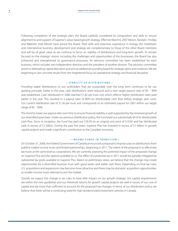Following completion of the strategic plan, the Board carefully considered its composition and skills to ensure alignment to and support of Superior's value-based growth strategy. Effective March 6, 2007 Messrs. Randall J. Findlay and Walentin (Val) Mirosh have joined the Board. Their skills and extensive experience in energy, the midstream and international business, development and strategy are complementary to those of the other Board members and will be of great value as we continue to focus on stability of distributions and long-term growth. To remain focused on the strategic visions, including the challenges and opportunities of the businesses, the Board has also enhanced and strengthened its governance processes. An advisory committee has been established for each business, which includes two independent directors and the president of another division. The advisory committee assistsin delineating capital allocation and acts as additionalsounding board forstrategic plans and initiatives. We are beginning to see concrete results from the heightened focus on operational strategy and financial discipline.

#### **• STABILITY OF DISTRIBUTIONS •**

Providing stable distributions to our unitholders that are sustainable over the long term continues to be our guiding principle. Earlier in the year, cash distributions were reduced and a new target payout ratio of 85 – 90% was established. Cash distributed in 2006 reached \$1.82 per trust unit which reflects higher distribution rates paid earlier in the year. This resulted in a payout ratio of 86% on distributable cash flow before strategic plan costs. Our current distribution rate of \$1.56 per trust unit corresponds to an estimated payout for 2007 within our target range of 85 – 90%.

The trend to lower our payout ratio over time to ensure financial stability is well supported by the renewed growth of our diversified asset base. Under our previous distribution policy, the Fund paid outsubstantially all of its distributable cash flow. Since its inception, the Fund has paid out \$18.39 on an original unit price of \$10.95 and has distributed cash in excess of \$1 billion. During the past five years, Superior Plus has invested in excess of \$1 billion in growth capital projects and made a significant contribution to the Canadian economy.

#### **• INCOME FUNDS IN TRANSITION •**

On October 31, 2006, the Federal Government of Canada announced a proposal to impose a tax on distributionsfrom publicly traded income trusts and limited partnerships, beginning in 2011. The intent of the proposal is to effectively tax trusts at the same level as corporations. We are currently assessing the potential impact of the proposed change on Superior Plus and the options available to us. The effect of a potential tax in 2011 would be partially mitigated by substantial tax pools available to Superior Plus. Based on preliminary views, we believe that the change may create opportunities for a diversified business trust with good assets and stable cash flows. Depending on final tax rules, U.S. acquisitions and expansions may become more attractive and there may be domestic acquisition opportunities, as smaller income trusts attempt to exit the market.

Overall, we expect the change in tax rules to have little impact on our growth strategy. Our capital requirements are within the new guidelines and our threshold returns for growth capital projects are well in excess of our cost of capital and are more than sufficient to account for the proposed tax changes. In terms of our distribution policy, we believe that there will be a continuing need for high dividend yield investment vehicles in Canada.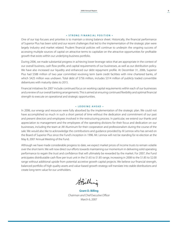#### **• STRONG FINANCIAL POSITION •**

One of our top focuses and priorities is to maintain a strong balance sheet. Historically, the financial performance of Superior Plus has been solid and our recent challenges that led to the implementation of the strategic plan were largely industry and market related. Prudent financial policies will continue to underpin the ongoing success of accessing multiple sources of capital on attractive terms to capitalize on the attractive opportunities for profitable growth that exists within our underlying business portfolio.

During 2006, we made substantial progress in achieving lower leverage ratios that are appropriate in the context of our overall business, cash flow profile, and capital requirements of our businesses, as well as our distribution policy. We have also increased our liquidity and enhanced our debt repayment profile. At December 31, 2006, Superior Plus had \$588 million of two year committed revolving term bank credit facilities with nine chartered banks, of which \$425 million was undrawn. Total debt of \$756 million, includes \$314 million of publicly traded convertible debentures with maturity dates to 2015.

Financial initiatives for 2007 include continued focus on working capital requirements within each of our businesses and a review of our overall banking arrangements. This is aimed at ensuring continued flexibility and optimal financial strength to execute on operational and strategic opportunities.

#### **• L O O K I N G A H E A D •**

In 2006, our energy and resources were fully absorbed by the implementation of the strategic plan. We could not have accomplished so much in such a short period of time without the dedication and commitment of our past and present directors and employees involved in the restructuring process. In particular, we extend our thanks and appreciation to management and the employees of the operating divisions for their focus and dedication on our businesses, including the team at JW Aluminum for their cooperation and professionalism during the course of the sale. We would also like to acknowledge the contributions and guidance provided by Al Lennox who has served on the Board of Superior Plus since the Fund's inception in 1996. Mr. Lennox will not be standing for re-election at the May 8, 2007 Annual Meeting of the Fund.

Although we have made considerable progress to date, we expect market prices of income trusts to remain volatile over the short term. We will now direct our efforts towards maintaining our momentum in delivering solid operating performance to regain the trust and confidence that will ultimately be rewarded by the market. For 2007, the Fund anticipates distributable cash flow per trust unit in the \$1.65 to \$1.85 range, increasing in 2008 to the \$1.85 to \$2.00 range without additional upside from potential accretive growth capital projects. We believe our financial strength, balanced portfolio of high quality assets and value-based growth strategy will translate into stable distributions and create long-term value for our unitholders.

Stzilling

**Grant D. Billing** *Chairman and Chief Executive Officer* March 6, 2007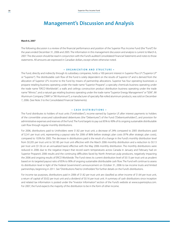## **Management's Discussion and Analysis**

#### **March 6, 2007**

The following discussion is a review of the financial performance and position of the Superior Plus Income Fund (the "Fund") for the years ended December 31, 2006 and 2005. The information in this management discussion and analysis is current to March 6, 2007. The discussion should be read in conjunction with the Fund's audited Consolidated Financial Statements and notesto those statements. All amounts are expressed in Canadian dollars, except where otherwise noted.

#### **• O rgani z ation and S tructure •**

The Fund, directly and indirectly through its subsidiary companies, holds a 100 percent interest in Superior Plus LP ("Superior LP" or "Superior"). The distributable cash flow of the Fund is solely dependent on the results of Superior LP and is derived from the allocation of Superior LP's income to the Fund by means of partnership allocations. Superior has four operating businesses: a propane retailing business operating under the trade name "Superior Propane"; a specialty chemicals business operating under the trade name "ERCO Worldwide"; a walls and ceilings construction product distribution business operating under the trade name "Winroc"; and a natural gas retailing business operating under the trade name "Superior Energy Management"or"SEM". JW Aluminum Company ("JWA"or"JW Aluminum"), a manufacturer of specialty flat-rolled aluminum products, was sold on December 7, 2006. (See Note 3 to the Consolidated Financial Statements).

#### **• C ash D istributions •**

The Fund distributes to holders of trust units ("Unitholders"), income earned by Superior LP, after interest payments to holders of the convertible unsecured subordinated debentures (the "Debentures") of the Fund ("Debentureholders"), and provision for administrative expenses and reserves of the Fund. The Fund targets to pay out 85% to 90% of its ongoing sustainable distributable cash flow through regular monthly distributions.

For 2006, distributions paid to Unitholders were \$1.82 per trust unit, a decrease of 24% compared to 2005 distributions paid of \$2.41 per trust unit, representing a payout ratio for 2006 of 86% before strategic plan costs (97% after strategic plan costs), compared to 103% for 2005. The decrease in distributions paid is the result of a change in the Fund's monthly distribution level from \$0.205 per trust unit to \$0.185 per trust unit effective with the March 2006 monthly distribution and a reduction to \$0.13 per trust unit (\$1.56 on an annualized basis) effective with the May 2006 monthly distribution. The monthly distributions were reduced in 2006 due to the negative impact that record warm temperatures across Canada in January and February had on Superior Propane's 2006 results and the continuing difficulties faced by North American pulp producers, negatively impacting the 2006 and ongoing results of ERCO Worldwide. The Fund views its current distribution level of \$0.13 per trust unit as prudent based on its targeted payout ratio of 85% to 90% of ongoing sustainable distributable cash flow. The Fund will continue to assess its distribution level in light of the Federal Government's announcement on October 31, 2006 to tax income trusts and limited partnerships, beginning in 2011. See "Distributions Paid to Unitholders"for further details on the Fund's distributions.

For income tax purposes, distributions paid in 2006 of \$1.82 per trust unit are classified as other income of \$1.64 per trust unit, a return of capital of \$0.02 per trust unit and a dividend of \$0.16 per trust unit. A summary of cash distributions since inception and related tax information is posted under the "Investor Information" section of the Fund's website at www.superiorplus.com. For 2007, the Fund expects the majority of the distribution to be in the form of other income.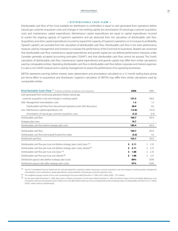#### **• D istributable C ash F low •**

Distributable cash flow of the Fund available for distribution to Unitholders is equal to cash generated from operations before natural gas customer acquisition costs and changes in net working capital, less amortization of natural gas customer acquisition costs and maintenance capital expenditures. Maintenance capital expenditures are equal to capital expenditures incurred to sustain the ongoing capacity of Superior's operations and are deducted from the calculation of distributable cash flow. Acquisitions and other capital expenditures incurred to expand the capacity of Superior's operations or to increase its profitability ("growth capital"), are excluded from the calculation of distributable cash flow. Distributable cash flow is the main performance measure used by management and investors to evaluate the performance of the Fund and its businesses. Readers are cautioned that distributable cash flow, maintenance capital expenditures and growth capital are not defined performance measures under Canadian generally accepted accounting principles ("GAAP"), and that distributable cash flow cannot be assured. The Fund's calculation of distributable cash flow, maintenance capital expenditures and growth capital may differ from similar calculations used by comparable entities. Operating distributable cash flow is distributable cash flow before corporate and interest expenses. It is also a non-GAAP measure and is used by management to assess the performance of its operating businesses.

EBITDA represents earnings before interest, taxes, depreciation and amortization calculated on a 12 month trailing basis giving pro forma effect to acquisitions and divestitures. Superior's calculation of EBITDA may differ from similar calculations used by comparable entities.

| Distributable Cash Flow (1) (millions of dollars except per unit amounts)         | 2006       | 2005      |  |
|-----------------------------------------------------------------------------------|------------|-----------|--|
| Cash generated from continuing operations before natural gas                      |            |           |  |
| customer acquisition costs and changes in working capital                         | 137.5      | 196.0     |  |
| Add: Management internalization costs                                             | 1.3        | 1.3       |  |
| Distributable cash flow from discontinued operations (See JWA discussion)         | 38.9       | 8.6       |  |
| Less: Maintenance capital expenditures, net                                       | (13.8)     | (16.5)    |  |
| Amortization of natural gas customer acquisition costs                            | (3.2)      | (2.4)     |  |
| Distributable cash flow                                                           | 160.7      | 187.0     |  |
| Strategic plan costs                                                              | 19.7       |           |  |
| Distributable cash flow before strategic plan costs                               | 180.4      | 187.0     |  |
| Distributable cash flow                                                           | 160.7      | 187.0     |  |
| Distributable cash flow (reinvested) funded from debt                             | (5.0)      | 5.0       |  |
| Distributed cash flow                                                             | 155.7      | 192.0     |  |
| Distributable cash flow per trust unit (before strategic plan costs), basic (2)   | Ś.<br>2.11 | Ś<br>2.35 |  |
| Distributable cash flow per trust unit (before strategic plan costs), diluted (3) | 2.11<br>Ś  | 2.27<br>ς |  |
| Distributable cash flow per trust unit, basic <sup>(2)</sup>                      | 1.88<br>Ŝ. | 2.35<br>ς |  |
| Distributable cash flow per trust unit, diluted (3)                               | \$<br>1.88 | Ś<br>2.27 |  |
| Distribution payout ratio (before strategic plan costs)                           | 86%        | 103%      |  |
| Distribution payout ratio (after strategic plan costs)                            | 97%        | 103%      |  |

(1) See the Consolidated Financial Statements for cash generated from operations before natural gas customer acquisition costs and changes in working capital, management internalization costs, maintenance capital expenditures, and amortization of natural gas customer acquisition costs.

 $(2)$  The weighted average number of trust units outstanding for the year ended December 31, 2006 is 85.5 million (2005 – 79.7 million).

(3) For the year ended December 31, 2006, there were no dilutive instruments. For the year ended December 31, 2005, the dilutive impact of the convertible debentures, trust unit options and trust unit warrants was 8.3 million trust units (88.0 million total trust units on a diluted basis) with a resulting impact on distributable cash flow of \$13.1 million (\$200.1 million total on a diluted basis).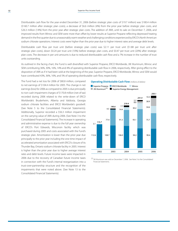Distributable cash flow for the year ended December 31, 2006 (before strategic plan costs of \$19.7 million) was \$180.4 million (\$160.7 million after strategic plan costs), a decrease of \$6.6 million (4%) from the prior year before strategic plan costs, and \$26.3 million (14%) from the prior year after strategic plan costs. The addition of JWA, until its sale on December 7, 2006, and improved results from Winroc and SEM were more than offset by lower results at Superior Propane reflecting depressed heating demand in the first quarter due to unseasonably warm weather and challenging conditions experienced by ERCO's North American sodium chlorate operations. Interest costs were higher than the prior year due to higher interest rates and average debt levels.

Distributable cash flow per trust unit (before strategic plan costs) was \$2.11 per trust unit (\$1.88 per trust unit after strategic plan costs), down \$0.24 per trust unit (10%) before strategic plan costs, and \$0.47 per trust unit (20%) after strategic plan costs. The decrease in per unit amounts is due to reduced distributable cash flow and a 7% increase in the number of trust units outstanding.

As outlined in the facing chart, the Fund is well diversified with Superior Propane, ERCO Worldwide, JW Aluminum, Winroc and SEM contributing 36%, 30%, 16%, 14% and 4% of operating distributable cash flow in 2006, respectively. After giving effect to the disposition of JWA as if it had been sold at the beginning of the year, Superior Propane, ERCO Worldwide, Winroc and SEM would have contributed 43%, 36%, 16%, and 5% of operating distributable cash flow, respectively.

The Fund had a net loss for 2006 of \$80.8 million, compared to net earnings of \$104.4 million for 2005. The change in net earnings(loss) for 2006 as compared to 2005 is due principally to non-cash impairment charges of \$170.8 million (net of tax) recorded during 2006 related to the write-down of ERCO Worldwide's Bruderheim, Alberta and Valdosta, Georgia sodium chlorate facilities and ERCO Worldwide's goodwill. (See Note 5 to the Consolidated Financial Statements). Additionally, Superior recorded a \$56.3 million impairment on the carrying value of JWA during 2006. (See Note 3 to the Consolidated Financial Statements). The increase in operating and administrative expense is due to the full year ownership of ERCO's Port Edwards, Wisconsin facility which was purchased during 2005 and costs associated with the Fund's strategic plan. Amortization is lower than the prior year due principally to the prior year including the one-time impact of accelerated amortization associated with ERCO's closure of its Thunder Bay, Ontario sodium chlorate facility in 2005. Interest is higher than the prior year due to higher average interest rates and debt levels. Future income taxes were impacted in 2006 due to the recovery of Canadian future income taxes in connection with the Fund's internal reorganization into a trust-over-partnership structure and the recognition of the impairments that were noted above. (See Note 13 to the Consolidated Financial Statements).







 $(1)$  JW Aluminum was sold on December 7, 2006. See Note 3 to the Consolidated Financial Statements.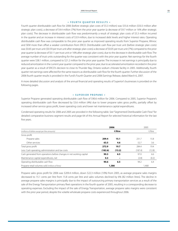#### **• F ourth Q uarter R esults •**

Fourth quarter distributable cash flow for 2006 (before strategic plan costs of \$5.3 million) was \$55.6 million (\$50.3 million after strategic plan costs), a decrease of \$4.4 million (7%) from the prior year quarter (a decrease of \$9.7 million or 16% after strategic plan costs). The decrease in distributable cash flow was predominantly a result of strategic plan costs of \$5.3 million incurred in the quarter and an increase in interest costs of \$3.9 million, due to increased debt levels and higher interest rates. Operating distributable cash flow was comparable to the prior year quarter as improved operating results from Superior Propane, Winroc and SEM more than offset a weaker contribution from ERCO. Distributable cash flow per trust unit (before strategic plan costs) was \$0.65 per trust unit (\$0.59 per trust unit after strategic plan costs) a decrease of \$0.05 per trust unit (7%) compared to the prior year quarter (a decrease of \$0.11 per trust unit or 16% after strategic plan costs), due to the decrease in distributable cash flow. The average number of trust units outstanding for the quarter was consistent with the prior year quarter. Net earnings for the fourth quarter were \$38.1 million, compared to \$21.2 million for the prior year quarter. The increase in net earnings is principally due to reduced amortization in the current year quarter compared to the prior year, due to accelerated amortization recorded in the prior year quarter as a result of ERCO's decision to close its Thunder Bay, Ontario sodium chlorate facility in 2005. Additionally, fourth quarter net earnings were affected for the same reasons as distributable cash flow for the fourth quarter. Further discussion of the 2006 fourth quarter results is provided in the Fund's Fourth Quarter and 2006 Earnings Release, dated March 6, 2007.

A more detailed discussion and analysis of the annual financial and operating results of Superior's businesses is provided on the following pages.

#### **• S uperior P ropane •**

Superior Propane generated operating distributable cash flow of \$90.6 million for 2006. Compared to 2005, Superior Propane's operating distributable cash flow decreased by \$3.6 million (4%) due to lower propane sales gross profits, partially offset by increased other service gross profit, lower operating costs and lower net maintenance capital expenditures.

Condensed operating results for 2006 and 2005 are provided in the following table. See "Segmented Distributable Cash Flow"for detailed comparative business segment results and page 64 of this Annual Report for selected historical information for the last five years.

|                                                                      |         | 2006    | 2005    |         |  |  |
|----------------------------------------------------------------------|---------|---------|---------|---------|--|--|
| (millions of dollars except per litre amounts)                       |         | ¢/litre |         | ¢/litre |  |  |
| Gross profit                                                         |         |         |         |         |  |  |
| Propane sales                                                        | 209.4   | 15.1    | 231.7   | 15.8    |  |  |
| Other services                                                       | 63.5    | 4.6     | 52.7    | 3.6     |  |  |
| Total gross profit                                                   | 272.9   | 19.7    | 284.4   | 19.4    |  |  |
| Less: Cash operating, administration and tax costs                   | (182.6) | (13.2)  | (187.4) | (12.8)  |  |  |
| Cash generated from operations before changes in net working capital | 90.3    | 6.5     | 97.0    | 6.6     |  |  |
| Maintenance capital expenditures, net                                | 0.3     |         | (2.8)   | (0.2)   |  |  |
| Operating distributable cash flow                                    | 90.6    | 6.5     | 94.2    | 6.4     |  |  |
| Propane retail volumes sold (millions of litres)                     | 1,386   |         |         | 1,468   |  |  |

Propane sales gross profit for 2006 was \$209.4 million, down \$22.3 million (10%) from 2005, as average propane sales margins decreased to 15.1 cents per litre from 15.8 cents per litre and sales volumes declined by 6% (82 million litres). The decline in average propane sales margins is principally due to the impact of outsourcing primary transportation services as a result of the sale of the Energy Transportation primary fleet operations in the fourth quarter of 2005, resulting in a corresponding decrease to operating expenses. Excluding the impact of the sale of Energy Transportation, average propane sales margins were consistent with the prior year period, despite the volatile wholesale propane costs experienced throughout 2006.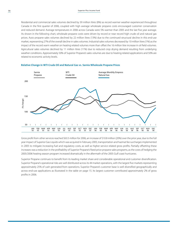Residential and commercial sales volumes declined by 39 million litres (8%) as record warmer weather experienced throughout Canada in the first quarter of 2006, coupled with high average wholesale propane costs encouraged customer conservation and reduced demand. Average temperatures in 2006 across Canada were 5% warmer than 2005 and the last five year average. As shown in the following chart, wholesale propane costs were driven by record or near record high crude oil and natural gas prices. Auto propane sales volumes declined by 22 million litres (13%) due to the continued structural decline in this end-use market, representing 27% of the overall decline in sales volumes. Industrial sales volumes decreased by 10 million litres (1%) as the impact of the record warm weather on heating related volumes more than offset the 16 million litre increase in oil field volumes. Agricultural sales volumes declined by 11 million litres (11%) due to reduced crop drying demand resulting from underlying weather conditions. Approximately 50% of Superior Propane's sales volumes are due to heating related applications and 50% are related to economic activity levels.



#### **Relative Change in WTI Crude Oil and Natural Gas vs. Sarnia Wholesale Propane Prices**

Gross profit from other services reached \$63.5 million for 2006, an increase of \$10.8 million (20%) over the prior year, due to the full year impact of Superior Gas Liquids which was acquired in February 2005, transportation and hazmat fee surchargesimplemented in 2005 to mitigate increasing fuel and regulatory costs, as well as higher service related gross profits. Partially offsetting these increases was a reduction in the profitability of Superior Propane's fixed-price propane sales programs, as the costs of hedging the 2005/2006 heating season program increased dramatically in the aftermath of the 2005 Gulf coast hurricanes.

Superior Propane continues to benefit from its leading market share and considerable operational and customer diversification. Superior Propane's operational risks are well distributed across its 44 market operations, with the largest five markets representing approximately 25% of cash generated from operations. Superior Propane's customer base is well diversified geographically and across end-use applications as illustrated in the table on page 15. Its largest customer contributed approximately 2% of gross profits in 2006.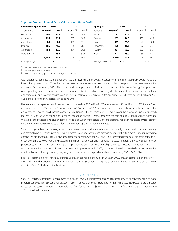| <b>By End-Use Application</b> |                          | 2006     | 2005                  |       | <b>By Region</b> |                    | 2006     | 2005                  |       |
|-------------------------------|--------------------------|----------|-----------------------|-------|------------------|--------------------|----------|-----------------------|-------|
| Applications:                 | Volume <sup>(1)</sup>    | GP $(2)$ | Volume <sup>(1)</sup> | GP(2) | Regions:         | Volume $(1)$       | GP $(2)$ | Volume <sup>(1)</sup> | GP(2) |
| Residential                   | 163                      | 54.3     | 183                   | 59.9  | Atlantic         | 97                 | 30.5     | 110                   | 32.3  |
| Commercial                    | 296                      | 56.7     | 315                   | 60.9  | <b>Ouebec</b>    | 233                | 44.5     | 257                   | 49.9  |
| Agricultural                  | 89                       | 7.7      | 100                   | 11.5  | Ontario          | 309                | 75.3     | 342                   | 80.1  |
| Industrial                    | 686                      | 71.5     | 696                   | 78.8  | Sask./Man.       | 195                | 26.6     | 202                   | 27.2  |
| Automotive                    | 152                      | 19.2     | 174                   | 20.6  | AB/NWT           | 331                | 53.0     | 322                   | 51.7  |
| Other services                | $\overline{\phantom{a}}$ | 63.5     | $\qquad \qquad =$     | 52.7  | BC/YK            | 221                | 43.0     | 235                   | 43.2  |
|                               | 1,386                    | 272.9    | 1,468                 | 284.4 |                  | 1,386              | 272.9    | 1.468                 | 284.4 |
| Average margin (3)            |                          | 15.1     |                       | 15.8  |                  | Average margin (3) | 15.1     | 15.8                  |       |

#### **Superior Propane Annual Sales Volumes and Gross Profit:**

(1) Volume: Volume of retail propane sold (millions of litres).

(2) GP: Gross profit (millions of dollars).

(3) Average margin: Average propane retail sale margin (cents per litre).

Cash operating, administration and tax costs were \$182.6 million for 2006, a decrease of \$4.8 million (3%) from 2005. The sale of Energy Transportation in 2005 resulted in a decrease in average propane sales margins with a corresponding decrease in operating expenses of approximately \$8.5 million compared to the prior year period. Net of the impact of the sale of Energy Transportation, cash operating, administration and tax costs increased by \$3.7 million, principally due to higher truck maintenance, fuel and operating costs and salary expenses. Cash operating costs were 13.2 cents per litre, an increase of 0.4 cents per litre (3%) over 2005 due principally to the 6% decrease in sales volumes.

Net maintenance capital expenditures resulted in proceeds of \$0.3 million in 2006, a decrease of \$3.1 million from 2005 levels. Gross expenditures were \$5.2 million in 2006 compared to \$7.4 million in 2005, and were directed principally towards the renewal of the delivery fleet. Proceeds on disposals reached \$5.5 million in 2006, an increase of \$0.9 million over the prior year. Disposal proceeds realized in 2006 included the sale of Superior Propane's Concord, Ontario property, the sale of surplus tanks and cylinders and the sale of other excess land and buildings. The sale of Superior Propane's Concord property has been facilitated by reallocating customers previously serviced by this location to other Superior Propane branches.

Superior Propane has been leasing service trucks, crane trucks and tandem tractors for several years and will now be expanding and streamlining its leasing programs with a master lease and other lease arrangements at attractive rates. Superior intends to expand the program to bulk trucks and accelerate the fleet renewal for 2007 and 2008. Increasing lease costs are anticipated to be offset over time by lower operating costs resulting from lower repair and maintenance costs, fleet reliability, as well as improved productivity, safety and corporate image. The program is designed to better align the cost structure with Superior Propane's ongoing operations and result in customer service improvements. In 2007, this is anticipated to positively impact operating distributable cash flow by lowering ongoing maintenance capital expenditures by approximately \$3.5 – \$4.0 million.

Superior Propane did not incur any significant growth capital expenditures in 2006. In 2005, growth capital expenditures were \$27.5 million and included the \$25.6 million acquisition of Superior Gas Liquids ("SGL") and the acquisition of a southwestern Ontario refined fuels distribution business.

#### **• O utlook •**

Superior Propane continues to implement its plans for revenue improvements and customer service enhancements with good progress achieved in the second half of 2006. These initiatives, along with a return to normal winter weather patterns, are expected to result in increased operating distributable cash flow for 2007 in the \$95 to \$100 million range, further increasing in 2008 to the \$100 to \$105 million range.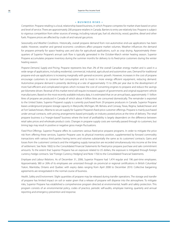#### **• B usiness R isks •**

*Competition.* Propane retailing is a local, relationship-based business, in which Propane competes for market share based on price and level of service. There are approximately 200 propane retailers in Canada. Barriers to entry are relatively low. Propane is subject to vigorous competition from other sources of energy, including natural gas, fuel oil, electricity, wood, gasoline, diesel and other fuels. Propane prices are affected by crude oil and natural gas prices.

*Seasonality and Weather Conditions.* Historically, overall propane demand from non-automotive end-use applications has been stable. However, weather and general economic conditions affect propane market volumes. Weather influences the demand for propane primarily for space heating uses and also for agricultural applications, such as crop drying. Approximately threequarters of Superior Propane's annual cash flow is typically generated in the October-March winter heating season. Superior Propane accumulates propane inventory during the summer months for delivery to its fixed-price customers during the winter heating season.

*Propane Demand, Supply and Pricing.* Propane represents less than 2% of the overall Canadian energy market and is used in a wide range of applications, including residential, commercial, industrial, agricultural and automotive uses. Demand for traditional propane end-use applications is increasing marginally with general economic growth. However, increases in the cost of propane encourage customers to conserve fuel consumption and to invest in more energy efficient equipment, reducing demand. Automotive propane demand is presently declining at a rate of approximately 15 to 20% per year due to the development of more fuel-efficient and complicated engines which increase the cost of converting engines to propane and reduce the savings per kilometre driven. Reversal of this market trend will require increased support of governments and original equipment vehicle manufacturers. Based on the most recently available industry data, it is estimated that on an annual basis, approximately 11 billion litres of propane are produced in Canada of which about 4 billion litres are consumed domestically. The remainder is exported to the United States. Superior Propane's supply is currently purchased from 29 propane producers in Canada. Superior Propane leases underground propane storage capacity in Marysville, Michigan, Mt. Belvieu and Conway, Texas, Regina, Saskatchewan and at Fort Saskatchewan, Alberta to secure supply for Superior Propane's fixed-price customer offerings. Propane is mainly purchased under annual contracts, with pricing arrangements based principally on industry posted prices at the time of delivery. The retail propane business is a "margin-based" business where the level of profitability is largely dependent on the difference between retail sales prices and wholesale product costs. Changes in propane supply costs are normally passed through to customers, but timing lags may result in positive or negative gross margin fluctuations.

*Fixed-Price Offerings.* Superior Propane offers its customers various fixed-price propane programs. In order to mitigate the price risk from offering these services, Superior Propane uses its physical inventory position, supplemented by forward commodity transactions with various third parties having terms and volumes substantially the same as its customers' contracts. Gains and losses from the customers' contracts and the mitigating supply transaction are recorded simultaneously into income at the time of settlement. See Note 18(ii)) to the Consolidated Financial Statements for fixed-price propane purchase and sale commitment amounts. To the extent that Superior Propane has an exposure related to US dollars, the exposure is mitigated through foreign currency hedge contracts. See "Foreign Currency Hedging" and Note 17(iii) to the Consolidated Financial Statements.

*Employee and Labour Relations.* As of December 31, 2006, Superior Propane had 1,474 regular and 196 part-time employees. Approximately 380 or 26% of its employees are unionized through six provincial or regional certifications in British Columbia/ Yukon, Manitoba, Ontario and Quebec with expiry dates ranging from April 2008 to December 2010. Collective bargaining agreements are renegotiated in the normal course of business.

*Health, Safety and Environment.* Slight quantities of propane may be released during transfer operations. The storage and transfer of propane has limited impact on soil or water given that a release of propane will disperse into the atmosphere. To mitigate risks, Superior Propane has established a comprehensive program directed at environmental, health and safety protection. This program consists of an environmental policy, codes of practice, periodic self-audits, employee training, quarterly and annual reporting and emergency prevention and response.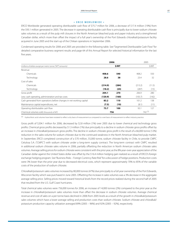ERCO Worldwide generated operating distributable cash flow of \$75.7 million for 2006, a decrease of \$17.4 million (19%) from the \$93.1 million generated in 2005. The decrease in operating distributable cash flow is principally due to lower sodium chlorate sales volumes as a result of the pulp mill closures in the North American bleached pulp and paper industry and a strengthened Canadian dollar, which more than offset the impact of a full year's ownership of the Port Edwards chloralkali/potassium facility acquired in June 2005 and the start-up of the Chilean operations in September 2006.

Condensed operating results for 2006 and 2005 are provided in the following table. See "Segmented Distributable Cash Flow"for detailed comparative business segment results and page 64 of this Annual Report for selected historical information for the last five years.

|                                                                      | 2006    |       | 2005    |        |  |  |
|----------------------------------------------------------------------|---------|-------|---------|--------|--|--|
| (millions of dollars except per metric tonne ("MT") amounts)         |         | \$/MT |         | \$/MT  |  |  |
| Revenue                                                              |         |       |         |        |  |  |
| Chemicals                                                            | 408.6   | 540   | 408.2   | 550    |  |  |
| Technology                                                           | 28.6    | 38    | 23.4    | 32     |  |  |
| Cost of sales                                                        |         |       |         |        |  |  |
| Chemicals                                                            | (214.9) | (284) | (213.2) | (11.5) |  |  |
| Technology                                                           | (18.2)  | (24)  | (287)   | (15)   |  |  |
| Gross profit                                                         | 204.1   | 270   | 206.9   | 280    |  |  |
| Less: cash operating, administration and tax costs                   | (120.9) | (160) | (105.7) | (142)  |  |  |
| Cash generated from operations before changes in net working capital | 83.2    | 110   | 101.2   | 138    |  |  |
| Maintenance capital expenditures, net                                | (7.5)   | (10)  | (8.1)   | (11)   |  |  |
| Operating distributable cash flow                                    | 75.7    | 100   | 93.1    | 127    |  |  |
| Chemical volumes sold (thousands of MT)                              | 756     |       | 742(1)  |        |  |  |

 $(1)$  Hydrochloric acid volumes have been restated to reflect a dry basis of measurement as compared to a wet basis of measurement to reflect industry practice.

Gross profit of \$204.1 million for 2006, decreased by \$2.8 million (1%) over 2005 due to lower chemical and technology gross profits. Chemical gross profits decreased by \$1.3 million (1%) due principally to a decline in sodium chlorate gross profits offset by an increase in chloralkali/potassium gross profits. The decline in sodium chlorate gross profit is the result of a 66,000 tonne (12%) reduction in the sales volume for sodium chlorate due to the continued weakness in the North American bleached pulp market. In September, ERCO completed construction of a \$70 million, 55,000 tonne, sodium chlorate facility in Chile, to provide CMPC Celulosa S.A. ("CMPC") with sodium chlorate under a long-term supply contract. The long-term contract with CMPC resulted in additional sodium chlorate sales volume in 2006, partially offsetting the reduction in North American sodium chlorate sales volumes. Average selling prices for sodium chlorate were consistent with the prior year, as the 8% year-over-year appreciation of the Canadian dollar against the United States dollar was offset by the \$16.4 million hedging gain realized as a result of ERCO's foreign exchange hedging program. See"Business Risks – Foreign Currency Rate Risk"for a discussion of hedge positions. Production costs were 3% lower than the prior year due to decreased electrical costs, which represent approximately 70% to 85% of the variable costs of the production of sodium chlorate.

Chloralkali/potassium sales volumesincreased by 80,000 tonnes(47%) due principally to a full year ownership of the Port Edwards, Wisconsin facility which was purchased in June 2005. Offsetting the increase in sales volumes was a 3% decrease in the aggregate average selling price. Selling prices moved toward historical levels from the record prices realized during the second half of 2005 that resulted from the U.S. Gulf Coast hurricanes.

Total chemical sales volumes were 756,000 tonnes for 2006, an increase of 14,000 tonnes (2%) compared to the prior year as the increase in chloralkali/potassium sales volumes more than offset the decrease in sodium chlorate volumes. Average chemical revenue and cost of sales on a per tonne basis declined in 2006 from 2005 levels as a result of the growth in chloralkali/potassium sales volumes which have a lower average selling and production costs than sodium chlorate. Sodium chlorate and chloralkali/ potassium production capacity utilization averaged 89% (2005 – 96%) and 92% (2005 – 92%), respectively.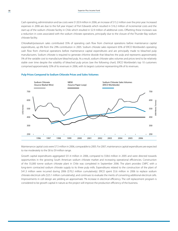Cash operating, administration and tax costs were \$120.9 million in 2006, an increase of \$15.2 million over the prior year. Increased expenses in 2006 are due to the full year impact of Port Edwards which resulted in \$16.2 million of incremental costs and the start-up of the sodium chlorate facility in Chile which resulted in \$2.9 million of additional costs. Offsetting these increases was a reduction in costs associated with the sodium chlorate operations, principally due to the closure of the Thunder Bay sodium chlorate facility.

Chloralkali/potassium sales contributed 35% of operating cash flow from chemical operations before maintenance capital expenditures, up 6% from the 29% contribution in 2005. Sodium chlorate sales represent 65% of ERCO Worldwide's operating cash flow from chemical operations before maintenance capital expenditures and are principally made to bleached pulp manufacturers. Sodium chlorate is required to generate chlorine dioxide that bleaches the pulp and represents approximately 5% of the variable cost to manufacture bleached pulp. As a result, sodium chlorate sales volumes and prices tend to be relatively stable over time despite the volatility of bleached pulp prices (see the following chart). ERCO Worldwide's top 10 customers comprised approximately 33% of its revenues in 2006, with its largest customer representing 6% of its revenues.

#### **Pulp Prices Compared to Sodium Chlorate Prices and Sales Volumes**



Maintenance capital costs were \$7.5 million in 2006, comparable to 2005. For 2007, maintenance capital expenditures are expected to rise moderately to the \$8 to \$9 million range.

Growth capital expenditures aggregated \$51.4 million in 2006, compared to \$58.6 million in 2005 and were directed towards opportunities in the growing South American sodium chlorate market and increasing operational efficiencies. Construction of the 55,000 tonne sodium chlorate plant in Chile was completed in September 2006. The plant provides CMPC with a long-term contracted sodium chlorate supply to its three pulp mills. Expenditures related to the construction of the plant of \$41.3 million were incurred during 2006 (\$70.2 million cumulatively). ERCO spent \$5.6 million in 2006 to replace sodium chlorate electrical cells (\$25.1 million cumulatively), and continues to evaluate the merits of converting additional electrical cells. Improvements in cell design are yielding an approximate 7% increase in electrical efficiency. The cell replacement program is considered to be growth capital in nature as the project will improve the production efficiency of the business.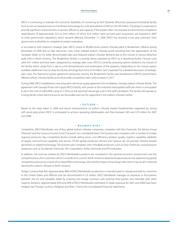ERCO is continuing to evaluate the economic feasibility of converting its Port Edwards, Wisconsin potassium/chloralkali facility from a mercury based processto membrane technology at a cost estimated at US\$85 to US\$100 million. The project is expected to provide significant improvements in process efficiency and capacity. If the project does not proceed, environmental compliance expenditures of approximately \$3.5 to \$4.0 million, of which \$2.6 million were accrued upon acquisition, are required in 2007 to meet government regulations which became effective December 17, 2006. ERCO has received a one year extension from government authorities to complete its project evaluation.

In accordance with Superior's strategic plan, ERCO closed its 80,000 tonne sodium chlorate plant in Bruderheim, Alberta during November of 2006 due to high electricity costs, lower realized sodium chlorate prices resulting from the appreciation of the Canadian dollar on US dollar denominated sales and reduced sodium chlorate demand due to the closure of various bleached pulp mills in North America. The Bruderheim facility is currently being operated by ERCO as a dissolving facility. Closure costs were \$4.1 million and have been categorized as strategic plan costs. ERCO is currently assessing options related to the closure of the facility which range from a sale to a full dismantlement and reclamation of the property. Depending on the closure option available, additional costs to close the facility will range from nil to \$5.0 million. See "Corporate" for a detailed discussion of strategic plan costs. The fixed-price power agreement previously used by the Bruderheim facility was transferred to ERCO's Grand Prairie, Alberta sodium chlorate facility and will provide competitive rates until its expiry in 2017.

During 2006, ERCO established a new long-term electrical supply agreement for its Valdosta, Georgia sodium chlorate facility. The agreement with Georgia Power will supply ERCO's facility with power at the industrial interruptible tariff rate which is anticipated to be in the mid US \$40's/MW, using US \$10/GJ as the assumed natural gas cost in the tariff calculation. The facility will operate as a swing facility when electrical prices are favourable and can be supported in the sodium chlorate market.

#### **• O utlook •**

Based on the steps taken in 2006 and recent improvements of sodium chlorate market fundamentals supported by strong soft wood pulp prices, ERCO is anticipated to achieve operating distributable cash flow between \$65 and \$70 million for 2007 and 2008.

#### **• B usiness R isks •**

*Competition.* ERCO Worldwide, one of four global sodium chlorate companies, competes with Eka Chemicals, the Kemira Group ("Kemira") and the Canexus Income Fund ("Canexus") on a worldwide basis. The business also competes with a number of smaller regional producers. Key competitive factors include selling prices, cost efficiency, product quality, logistics capability, reliability of supply, and technical capability and service. Of the global producers, Kemira and Canexus do not provide chlorine dioxide generators or related technology. The business also competes with chloralkali producers, such as Dow Chemicals, and potassium producers such as Occidental Chemicals, Olin Corporation, Ashta Chemicals and PPG Industries.

In addition, the end-use markets for ERCO Worldwide's products are correlated to the general economic environment and the competitiveness of its customers which is outside of its control. North American bleached pulp producers are experiencing global competitive pressure as a result of increased fibre and energy costs and the impact of exchange rates which may result in reduced demand for sodium chlorate in North America.

*Foreign Currency Rate Risk.* Approximately 48% of ERCO Worldwide's production is manufactured in Canada and sold to customers in the United States and offshore and are denominated in US dollars. ERCO Worldwide manages its exposure to fluctuations between the US and Canadian dollar by entering into hedge contracts with external third parties and internally with other Superior divisions. Approximately 85% and 34% of ERCO Worldwide's estimated US dollar exposure for 2007 and 2008 have been hedged. See "Foreign Currency Hedging" and Note 17(iii) to the Consolidated Financial Statements.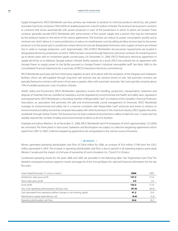*Supply Arrangements.* ERCO Worldwide uses four primary raw materials to produce its chemical products: electricity, salt, potash and water. Electricity comprises 70% to 85% of variable production costsforsodium chlorate. The business haslong-term contracts or contracts that renew automatically with power producers in each of the jurisdictions in which its plants are located. These contracts generally provide ERCO Worldwide with some portion of firm power supply and a portion that may be interrupted by the producer based on the terms of the various agreements. The business can reduce its power consumption quickly and at minimal cost, which allows it, in some jurisdictions, to reduce its overall power costs by selling ancillary services back to the power producer or to the power grid. In jurisdictions where electrical costs are deregulated, fixed-price term supply contracts are entered into in order to manage production costs. Approximately 10% of ERCO Worldwide's annual power requirements are located in deregulated electricity jurisdictions, of which 100% has been sourced through fixed-price electrical contracts, for remaining terms up to eleven years with an investment grade counter-party. On December 31, 2006, ERCO's fixed-price electricity agreement to supply electricity to its Valdosta, Georgia sodium chlorate facility expired. As a result, ERCO has entered into an agreement with Georgia Power to supply power to the facility pursuant to Georgia Power's industrial interruptible tariff. See Note 18(iii) to the Consolidated Financial Statements for a summary of ERCO's fixed-price electricity commitments.

ERCO Worldwide purchases salt from third-party suppliers at each of its plants with the exception of the Hargrave and Saskatoon facilities, which are self-supplied through long-term salt reserves that are solution-mined on site. Salt purchase contracts are typically fixed-price contracts with terms of one year or greater, often with automatic renewals. Salt costs typically comprise about 10% of variable production costs of sodium chlorate.

*Health, Safety and Environment.* ERCO Worldwide's operations involve the handling, production, transportation, treatment and disposal of materials that are classified as hazardous and are regulated by environmental and health and safety laws, regulations and requirements. ERCO Worldwide is a founding member of Responsible Care®, an initiative of the Canadian Chemical Producers Association, an association that promotes the safe and environmentally sound management of chemicals. ERCO Worldwide manages its environmental and safety risk in a manner consistent with Responsible Care® protocols and strives to achieve an environmental and safety record that compares favourably with other businesses in the chemical industry. ERCO applies this ethic worldwide through Global Charter. The business has not had a material environmental or safety incident for over 13 years and has steadily reduced the number of safety and environmental incidents at all of its facilities.

*Employee and Labour Relations.* As at December 31, 2006, ERCO Worldwide had 474 employees of which approximately 122 (26%) are unionized. The three plants in Vancouver, Saskatoon and Buckingham are subject to collective bargaining agreements which expire from 2007 to 2009. Collective bargaining agreements are renegotiated in the normal course of business.

#### **• W inroc •**

Winroc generated operating distributable cash flow of \$34.6 million for 2006, an increase of \$4.4 million (15%) from the \$30.2 million generated in 2005. The increase in operating distributable cash flow is due to growth in all operating regions, particularly Western Canada and the impact of a full year of ownership of Leon's Insulation Inc. ("Leon's") in Ontario.

Condensed operating results for the years 2006 and 2005 are provided in the following table. See "Segmented Cash Flow" for detailed comparative business segment results and page 64 of this Annual Report for selected historical information for the last five years.

| Years Ended December 31 (millions of dollars)                        | 2006   | 2005   |
|----------------------------------------------------------------------|--------|--------|
| Distribution sales gross profit                                      | 127.2  | 113.4  |
| Direct sales gross profit                                            | 5.0    | 4.4    |
| Gross profit                                                         | 132.2  | 117.8  |
| Less: Cash operating, administration and tax costs                   | (91.0) | (82.0) |
| Cash generated from operations before changes in net working capital | 41.2   | 35.8   |
| Maintenance capital expenditures, net                                | (6.6)  | (5.6)  |
| Operating distributable cash flow                                    | 34.6   | 30.2   |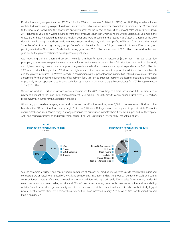Distribution sales gross profit reached \$127.2 million for 2006, an increase of \$13.8 million (12%) over 2005. Higher sales volumes contributed to improved gross profit as drywall sales volumes, which are an indicator of overall sales, increased by 3% compared to the prior year. Normalizing the prior year's drywall volumes for the impact of acquisitions, drywall sales volumes were down 2%. Higher sales volumes in Western Canada were offset by lower volumes in Ontario and the United States. Sales volumes in the United States have moderated from record levels in 2005 and were impacted in the second half of 2006 as a result of the slow down in new housing starts. Gross profits remained strong in all regions, while gross profits in Western Canada and the United States benefited from strong pricing, gross profits in Ontario benefited from the full year ownership of Leon's. Direct sales gross profit generated by Allroc, Winroc's wholesale buying group was \$5.0 million, an increase of \$0.6 million compared to the prior year, due to the growth of Winroc's overall purchasing volumes.

Cash operating, administration and tax costs were \$91.0 million for 2006, an increase of \$9.0 million (11%) over 2005 due principally to the year-over-year increase in sales volumes, an increase in the number of distribution branches from 38 to 39, and higher operating costs incurred to support the growth in the business. Maintenance capital expenditures of \$6.6 million for 2006 were moderately higher than 2005 levels, as higher expenditures were incurred to support the addition of one new branch and the growth in volumes in Western Canada. In conjunction with Superior Propane, Winroc has entered into a master leasing agreement for the ongoing requirements of its delivery fleet. Similarly to Superior Propane, the leasing program is anticipated to positively impact operating distributable cash flow by lowering maintenance capital expenditures for 2007 by approximately  $$1.5 - $2.0$  million.

Winroc incurred \$1.6 million in growth capital expenditures for 2006, consisting of a small acquisition (\$0.8 million) and a payment pursuant to the Leon's acquisition agreement (\$0.8 million). For 2005 growth capital expenditures were \$31.9 million, predominantly incurred for the acquisition of Leon's.

Winroc enjoys considerable geographic and customer diversification servicing over 7,300 customers across 39 distribution branches. (See "Distribution Revenues by Region" pie chart). Winroc's 10 largest customers represent approximately 15% of its annual distribution sales. Winroc enjoys a strong position in the distribution markets where it operates, supported by its complete walls and ceilings product line and procurement capabilities. (See "Distribution Revenues by Product" pie chart).



Sales to commercial builders and contractors are comprised of Winroc's full product line whereas sales to residential builders and contractors are principally comprised of drywall and components, insulation and plaster products. Demand for walls and ceiling construction products is influenced by overall economic conditions with approximately 50% of sales from servicing residential new construction and remodelling activity and 50% of sales from servicing commercial new construction and remodelling activity. Overall demand has grown steadily over time as new commercial construction demand trends have historically lagged new residential construction, while remodelling expenditures have increased steadily. (See "USA End-Use Construction Demand Profile" on page 22).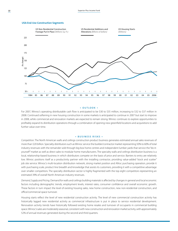



#### **• O utlook •**

For 2007, Winroc's operating distributable cash flow is anticipated to be \$30 to \$35 million, increasing to \$32 to \$37 million in 2008. Continued softening in new housing construction in some markets is anticipated to continue in 2007 but start to improve in 2008, while commercial and renovation markets are expected to remain strong. Winroc continues to explore opportunities to profitably expand its distribution operations through a combination of opening new greenfield locations and acquisitions to add further value over time.

#### **• B usiness R isks •**

*Competition.* The North American walls and ceilings construction product business generates estimated annual sales revenues of more than \$20 billion. Specialty distributors such as Winroc service the builder/contractor market representing 50% to 60% of total industry revenues with the remainder sold through big-box home centres and independent lumber yards that service the "do-ityourself"market as well as direct sales to modular home manufacturers. The specialty walls and ceilings distribution business is a local, relationship-based business in which distributors compete on the basis of price and service. Barriers to entry are relatively low. Winroc positions itself as a productivity partner with the installing contractor, providing value-added "stock and scatter" job site service. Winroc's multi-location distribution network, strong market position and Allroc purchasing operation, provide it with purchasing scale, product line breadth and knowledge that assists its customers, providing it with a competitive advantage over smaller competitors. The specialty distribution sector is highly fragmented with the top eight competitors representing an estimated 39% of overall North American industry revenues.

*Demand, Supply and Pricing.* Demand for walls and ceilings building materialsis affected by changesin general and local economic factors including demographic trends, employment levels, interest rates, consumer confidence and overall economic growth. These factors in turn impact the level of existing housing sales, new home construction, new non-residential construction, and office/commercial space turnover.

Housing starts reflect the level of new residential construction activity. The level of new commercial construction activity has historically lagged new residential activity as commercial infrastructure is put in place to service residential development. Renovation activity trends have historically followed existing home resales and turnover of occupants in commercial building space. Winroc's sales are moderately seasonal, consistent with new construction and renovation market activity, with approximately 52% of annual revenues generated during the second and third quarters.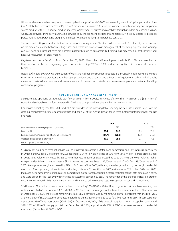Winroc carries a comprehensive product line comprised of approximately 30,000 stock-keeping units. Its six principal product lines (See "Distribution Revenues by Product" pie chart), are sourced from over 100 suppliers. Winroc is not reliant on any one supplier to source product within its principal product lines. Winroc leverages its purchasing capability through its Allroc purchasing division, which also provides third-party purchasing services to 10 independent distributors and retailers. Winroc purchases its products pursuant to various purchasing programs and does not enter into long-term purchase contracts.

The walls and ceilings specialty distribution business is a "margin-based" business where the level of profitability is dependent on the difference earned between selling prices and wholesale product cost, management of operating expenses and working capital. Changes in product costs are normally passed through to customers, but timing lags may result in both positive and negative fluctuations of gross margins.

*Employee and Labour Relations.* As at December 31, 2006, Winroc had 912 employees of which 92 (10%) are unionized at three locations. Collective bargaining agreements expire during 2007 and 2008, and are renegotiated in the normal course of business.

*Health, Safety and Environment.* Distribution of walls and ceilings construction products is a physically challenging job. Winroc maintains safe working practices through proper procedures and direction and utilization of equipment such as forklift trucks, cranes and carts. Winroc handles and stores a variety of construction materials and maintains appropriate materials handling compliance programs.

#### **• S uperior E nergy M anagement ( " S E M " ) •**

SEM generated operating distributable cash flow of \$10.3 million in 2006, an increase of \$5.0 million (94%) from the \$5.3 million of operating distributable cash flow generated in 2005, due to improved margins and higher sales volumes.

Condensed operating results for 2006 and 2005 are provided in the following table. See "Segmented Distributable Cash Flow"for detailed comparative business segment results and page 65 of this Annual Report for selected historical information for the last five years.

|                                                           | 2006   |        | 2005  |        |
|-----------------------------------------------------------|--------|--------|-------|--------|
| (millions of dollars except per gigajoule ("GJ") amounts) |        | ¢/GJ   |       | ¢/GJ   |
| Gross profit                                              | 21.7   | 54.3   | 14.5  | 39.2   |
| Less: Cash operating, administration and selling costs    | (11.4) | (28.5) | (9.2) | (24.9) |
| Operating distributable cash flow                         | 10.3   | 25.8   | 5.3   | 14.3   |
| Natural gas sold (millions of GJs)                        | 40     |        |       | 37     |

SEM provides fixed-price, term natural gas sales to residential customers in Ontario and commercial and light industrial consumers in Ontario and Quebec. Gross profit for 2006 reached \$21.7 million, an increase of 50% from \$14.5 million in gross profit earned in 2005. Sales volumes increased by 8% to 40 million GJs in 2006, as SEM focused its sales channels on lower volume, higher margin, residential customers. As a result, SEM increased its customer base to 92,600 at the end of 2006 from 48,000 at the end of 2005. Average sales margins increased by 39% to 54.3 cents/GJ for 2006, reflecting the sales growth to higher margin residential customers. Cash operating, administration and selling costs were \$11.4 million for 2006, an increase of \$2.2 million (24%) over 2005. Increased customer administration costs and amortization of customer acquisition costs accounted for half of the increase in costs, and were driven by the year-over-year increase in customers serviced by SEM. The remainder of the expense increase related to costs incurred to build SEM's management team and increased administrative costs to support its expanded activity level.

SEM invested \$8.4 million in customer acquisition costs during 2006 (2005 – \$7.0 million) to grow its customer base, resulting in a net increase of 44,600 customers (2005 – 28,500). SEM's fixed-price natural gas contracts are for a maximum term of five years. As at December 31, 2006, the average remaining term of SEM's contracts was 42 months, which was consistent with the prior year, as the majority of SEM's customer contracts entered into during 2006 continued to be for a five-year term. SEM's largest customer represented 3% of 2006 gross profits (2005 – 5%). At December 31, 2006, SEM's largest fixed-price natural gas supplier represented 32% (2005 – 29%) of its supply portfolio. At December 31, 2006, approximately 25% of SEM's sales volumes were to residential customers (December 31, 2005 – 14%).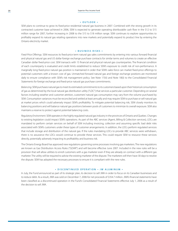#### **• O utlook •**

SEM plans to continue to grow its fixed-price residential natural gas business in 2007. Combined with the strong growth in its contracted customer base achieved in 2006, SEM is expected to generate operating distributable cash flow in the \$12 to \$15 million range for 2007, further increasing in 2008 to the \$15 to \$18 million range. SEM continues to explore opportunities to profitably expand its natural gas retailing operations into new markets and potentially expand its product line by entering the Ontario electricity market.

#### **• B usiness R isks •**

*Fixed-Price Offerings.* SEM resources its fixed-price term natural gas sales commitments by entering into various forward financial and physical natural gas and US dollar foreign exchange purchase contracts for similar terms and volumes to create an effective Canadian dollar fixed-price cost. SEM transacts with 15 financial and physical natural gas counterparties. The financial condition of each counterparty is evaluated and credit limits established to reduce SEM's exposure to credit risk of non-performance. A marginally long fixed-price natural gas position is maintained in order that SEM's sales force can market fixed-price offerings to potential customers with a known cost of gas. Unmatched forward natural gas and foreign exchange positions are monitored daily to ensure compliance with SEM's risk management policy. See Note 17(iii) and Note 18(ii) to the Consolidated Financial Statements for foreign exchange and fixed-price natural gas purchase commitments.

*Balancing.* SEMpurchases natural gasto meetits estimated commitmentsto its customers based upon their historical consumption of gas as determined by the local natural gas distribution utility ("LDC") that services a particular customer. Depending on several factors including weather and customer attrition, customers' natural gas consumption may vary from the volume purchased by SEM. Consumption variances must be reconciled and settled at least annually and may require SEM to purchase or sell natural gas at market prices which could adversely impact SEM's profitability. To mitigate potential balancing risk, SEM closely monitors its balancing positions and will balance natural gas positions between pools of customers to minimize its overall exposure. SEM also maintains a reserve to protect against potential balancing costs.

*Regulatory Environment.* SEMoperatesin the highly regulated natural gasindustry in the provinces ofOntario andQuebec. Changes to existing legislation could impact SEM's operations. As part of the ABC services (Agent, Billing & Collection services), LDCs are mandated to perform certain services on behalf of SEM including invoicing, collection and assuming specific bad debt risks associated with SEM's customers under these types of customer arrangements. In addition, the LDCs perform regulated services that include storage and distribution of the natural gas. If the rules mandating LDCs to provide ABC services were withdrawn, there is no assurance the LDCs would continue to provide these services. This could require SEM to resource these services directly, potentially adversely impacting its profitability and business risk.

The Ontario Energy Board has approved new regulations governing some processes involving gas marketers. The new regulations are known as Gas Distribution Access Rules ("GDAR") and will become effective June 2007. Included in the new rules will be a provision that will allow utilities to enroll customers with a gas marketer even if they are already on contract with a different gas marketer. The utility will be required to advise the existing marketer of the dispute. The marketers will then have 30 days to resolve the dispute. SEM has adopted the necessary processes to ensure it is compliant with the new rules.

#### **• D iscontinued O peration – J W A luminum •**

In July, the Fund announced as part of its strategic plan, its decision to sell JWA in order to focus on its Canadian businesses and to reduce debt. As a result, JWA was sold on December 7, 2006 for net proceeds of \$354.7 million. JWA's financial statements have been classified as a discontinued operation in the Fund's Consolidated Financial Statements effective July 1, 2006 as a result of the decision to sell JWA.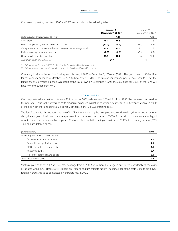Condensed operating results for 2006 and 2005 are provided in the following table:

|                                                                      | December 7, 2006 <sup>(1)</sup> | January 1 - | October 19 - | December 31, 2005 <sup>(2)</sup> |
|----------------------------------------------------------------------|---------------------------------|-------------|--------------|----------------------------------|
| (millions of dollars except per pound amounts)                       |                                 | ¢/lb        |              | ¢/lb                             |
| Gross profit                                                         | 58.7                            | 18.5        | 12.5         | 17.6                             |
| Less: Cash operating, administration and tax costs                   | (17.0)                          | (5.4)       | (3.4)        | (4.8)                            |
| Cash generated from operations before changes in net working capital | 41.7                            | 13.1        | 9.1          | 12.8                             |
| Maintenance capital expenditures, net                                | (2.8)                           | (0.9)       | (0.5)        | (0.7)                            |
| Operating distributable cash flow                                    | 38.9                            | 12.2        | 8.6          | 12.1                             |
| Aluminum sold (millions of pounds)                                   | 317                             |             |              |                                  |

(1) JWA was sold on December 7, 2006. (See Note 3 to the Consolidated Financial Statements).

(2) JWA was acquired on October 19, 2005. (See Note 4 to the Consolidated Financial Statements).

Operating distributable cash flow for the period January 1, 2006 to December 7, 2006 was \$38.9 million, compared to \$8.6 million for the prior year's period of October 19, 2005 to December 31, 2005. The current period's and prior period's results reflect the Fund's effective ownership period. As a result of the sale of JWA on December 7, 2006, the 2007 financial results of the Fund will have no contribution from JWA.

#### **• C orporate •**

Cash corporate administrative costs were \$6.4 million for 2006, a decrease of \$2.3 million from 2005. The decrease compared to the prior year is due to the reversal of costs previously expensed in relation to senior executive trust unit compensation as a result of the decline in the Fund's unit value, partially offset by higher C-SOX consulting costs.

The Fund's strategic plan included the sale of JW Aluminum and using the sales proceeds to reduce debt, the refinancing of term debt, the reorganization into a trust-over-partnership structure and the closure of ERCO's Bruderheim sodium chlorate facility, all of which have been substantially completed. Costs associated with the strategic plan totalled \$19.7 million during the year (2005 – nil) and are detailed below.

| (millions of dollars)                  | 2006 |
|----------------------------------------|------|
| Operating and administrative expenses: |      |
| Employee severance and retention       | 11.0 |
| Partnership reorganization costs       | 1.9  |
| ERCO - Bruderheim closure costs        | 4.1  |
| Advisory and other                     | 0.7  |
| Write-off of deferred financing costs  | 2.0  |
| <b>Total Strategic Plan Costs</b>      | 19.7 |

Strategic plan costs for 2007 are expected to range from \$1.5 to \$6.5 million. The range is due to the uncertainty of the costs associated with ERCO's closure of its Bruderheim, Alberta sodium chlorate facility. The remainder of the costs relate to employee retention programs, to be completed on or before May 1, 2007.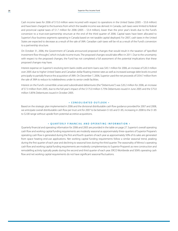Cash income taxes for 2006 of \$15.0 million were incurred with respect to operations in the United States (2005 – \$5.8 million) and have been charged to the business from which the taxable income was derived. In Canada, cash taxes were limited to federal and provincial capital taxes of \$1.7 million for 2006 (2005 – \$3.4 million), lower than the prior year's levels due to the Fund's conversion to a trust-over-partnership structure at the end of the third quarter of 2006. Capital taxes have been allocated to Superior's four business segments operating in Canada based on net taxable capital deployed. For 2007, cash taxes in the United States are expected to decrease as a result of the sale of JWA. Canadian cash taxes will be nil as a result of the Fund's conversion to a partnership structure.

On October 31, 2006, the Government of Canada announced proposed changes that would result in the taxation of "specified investment flow-throughs", which include income trusts. The proposed changes would take effect in 2011. Due to the uncertainty with respect to the proposed changes, the Fund has not completed a full assessment of the potential implications that these proposed changes may have.

Interest expense on Superior's revolving term bank credits and term loans was \$43.1 million for 2006, an increase of \$20.3 million over 2005 due to higher United States and Canadian dollar floating interest rates as well as increased average debt levels incurred principally to partially finance the acquisition of JWA. On December 7, 2006, Superior used the net proceeds of \$354.7 million from the sale of JWA to reduce its indebtedness under its senior credit facilities.

Interest on the Fund's convertible unsecured subordinated debentures (the "Debentures") was \$20.2 million for 2006, an increase of \$7.3 million from 2005, due to the full year's impact of the \$175.0 million 5.75% Debentures issued in June 2005 and the \$75.0 million 5.85% Debentures issued in October 2005.

#### **• C onsolidated O utlook •**

Based on the strategic plan implemented in 2006 and the divisional distributable cash flow guidance provided for 2007 and 2008, we anticipate overall distributable cash flow per trust unit for 2007 to be between \$1.65 and \$1.85, increasing in 2008 to the \$1.85 to \$2.00 range without upside from potential accretive acquisitions.

#### **• Q uarterly F inancial and O perating I nformation •**

Quarterly financial and operating information for 2006 and 2005 are provided in the table on page 27. Superior's overall operating cash flow and working capital funding requirements are modestly seasonal as approximately three-quarters of Superior Propane's operating cash flow is generated during the first and fourth quarters of each year as approximately 50% of its sales are generated from space heating end-use applications. Net working capital funding requirements follow a similar seasonal trend, peaking during the first quarter of each year and declining to seasonal lows during the third quarter. The seasonality of Winroc's operating cash flow and working capital funding requirements are modestly complementary to Superior Propane's as new construction and remodelling activity typically peaks during the second and third quarter of each year. ERCO Worldwide and SEM's operating cash flow and net working capital requirements do not have significant seasonal fluctuations.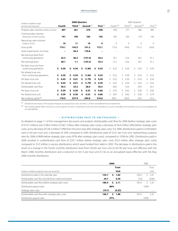| (millions of dollars except                            |        | 2006 Quarters |     |                      |    |                       |    |             |    | 2005 Quarters         |    |                      |    |                       |    |                      |
|--------------------------------------------------------|--------|---------------|-----|----------------------|----|-----------------------|----|-------------|----|-----------------------|----|----------------------|----|-----------------------|----|----------------------|
| per trust unit amounts)                                | Fourth |               |     | Third <sup>(1)</sup> |    | Second <sup>(1)</sup> |    | First $(1)$ |    | Fourth <sup>(1)</sup> |    | Third <sup>(1)</sup> |    | Second <sup>(1)</sup> |    | First <sup>(1)</sup> |
| Propane sales volumes (millions of litres)             |        | 407           |     | 261                  |    | 270                   |    | 448         |    | 420                   |    | 277                  |    | 286                   |    | 485                  |
| Chemical sales volumes<br>(thousands of metric tonnes) |        | 191           |     | 190                  |    | 183                   |    | 192         |    | 205                   |    | 203                  |    | 170                   |    | 164                  |
| Natural gas sales volumes<br>(millions of GJs)         |        | 10            |     | 11                   |    | 10                    |    | 9           |    | 9                     |    | 9                    |    | 9                     |    | 9                    |
| Gross profit                                           |        | 174.1         |     | 143.5                |    | 141.2                 |    | 172.1       |    | 173.0                 |    | 149.6                |    | 137.2                 |    | 163.8                |
| Asset impairments, net of tax                          |        |               |     | 56.3                 |    | 170.8                 |    |             |    |                       |    |                      |    |                       |    |                      |
| Net earnings (loss) from<br>continuing operations      |        | 25.3          |     | 46.3                 |    | (157.4)               |    | 30.2        |    | 18.1                  |    | 23.6                 |    | 18.5                  |    | 41.1                 |
| Net earnings (loss)                                    |        | 38.1          |     | 1.1                  |    | (153.3)               |    | 33.3        |    | 21.2                  |    | 23.6                 |    | 18.5                  |    | 41.1                 |
| Per basic trust unit from<br>continuing operations     | \$     | 0.30          | Ŝ.  | 0.54                 | Ś  | (1.84)                | Ŝ. | 0.35        | Ś. | 0.22                  | Ś. | 0.30                 | Ŝ. | 0.24                  | \$ | 0.54                 |
| Per diluted trust unit<br>from continuing operations   | \$     | 0.30          | \$. | 0.54                 | \$ | (1.84)                | S. | 0.35        | Ŝ. | 0.22                  | Ŝ. | 0.30                 | \$ | 0.24                  | \$ | 0.52                 |
| Per basic trust unit                                   | \$     | 0.45          | S.  | 0.01                 | S  | (1.79)                | S. | 0.39        | \$ | 0.25                  | \$ | 0.30                 | Ŝ. | 0.24                  | Ś  | 0.54                 |
| Per diluted trust unit                                 | \$     | 0.45          | Ś.  | 0.01                 | \$ | (1.79)                | \$ | 0.39        | Ś. | 0.25                  | Ŝ. | 0.30                 | Ŝ  | 0.24                  | Ś  | 0.52                 |
| Distributable cash flow                                |        | 50.3          |     | 25.3                 |    | 28.6                  |    | 56.5        |    | 60.0                  |    | 33.4                 |    | 29.9                  |    | 63.7                 |
| Per basic trust unit                                   | \$     | 0.59          | S.  | 0.30                 | \$ | 0.33                  | s. | 0.66        | \$ | 0.70                  | \$ | 0.42                 | \$ | 0.38                  | \$ | 0.83                 |
| Per diluted trust unit                                 | \$     | 0.59          | \$. | 0.30                 | \$ | 0.33                  | S. | 0.66        | Ŝ. | 0.67                  | Ŝ. | 0.42                 | \$ | 0.38                  | \$ | 0.79                 |
| Net working capital (2)                                |        | 178.9         |     | 237.9                |    | 294.8                 |    | 310.6       |    | 269.1                 |    | 106.0                |    | 54.0                  |    | 61.6                 |

(1) Restated for the impact of the Superior Propane accrued pension asset, see Note 12 of the Consolidated Financial Statements.

(2) Net working capital reflects amounts as at the quarter end and is comprised of cash and cash equivalents, accounts receivable and inventories, less accounts payable and accrued liabilities.

#### **• D istributions Paid to U nitholders •**

As detailed on page 11 of this management discussion and analysis, distributable cash flow for 2006 (before strategic plan costs of \$19.7 million) was \$180.4 million (\$160.7 million after strategic plan costs), a decrease of \$6.6 million (4%) before strategic plan costs, and a decrease of \$26.3 million (14%) from the prior year afterstrategic plan costs. For 2006, distributions paid to Unitholders were \$1.82 per trust unit, a decrease of 24% compared to 2005 distributions paid of \$2.41 per trust unit, representing a payout ratio for 2006 of 86% before strategic plan costs (97% after strategic plan costs), compared to 103% for 2005. Distributions paid in 2006 resulted in undistributed cash flow of \$24.7 million before strategic plan costs (\$5.0 million after strategic plan costs) compared to \$5.0 million in excess distributions which were funded from debt in 2005. The decrease in distributions paid is the result of a change in the Fund's monthly distribution level from \$0.205 per trust unit to \$0.185 per trust unit effective with the March 2006 monthly distribution and a reduction to \$0.13 per trust unit (\$1.56 on an annualized basis) effective with the May 2006 monthly distribution.

|                                                       | 2006                | 2005            |  |  |
|-------------------------------------------------------|---------------------|-----------------|--|--|
|                                                       | <b>Trust</b>        | Trust           |  |  |
| (millions of dollars except per trust unit amounts)   | Unit                | Unit            |  |  |
| Distributions paid in the calendar year               | 155.7<br>1.82<br>s. | 192.0<br>2.41   |  |  |
| Distributable cash flow (funded from debt) reinvested | 24.7<br>0.29        | (5.0)<br>(0.06) |  |  |
| Distributable cash flow before strategic plan costs   | 180.4<br>2.11<br>s. | 187.0<br>2.35   |  |  |
| Distribution payout ratio                             | 86%                 | 103%            |  |  |
| Strategic plan costs                                  | (19.7)<br>(0.23)    |                 |  |  |
| Distributable cash flow after strategic plan costs    | 160.7<br>1.88<br>s  | 187.0<br>2.35   |  |  |
| Distribution payout ratio                             | 97%                 | 103%            |  |  |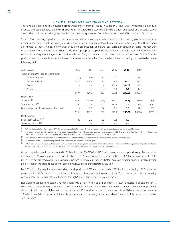#### **• C apital R esources and F inancing A ctivity •**

The Fund's distributions to Unitholders are sourced entirely from its equity in Superior LP. The Fund's investments are in turn financed by trust unit equity and by the Debentures. The quoted market value of the Fund's trust unit capital and Debentures was \$916 million and \$292.9 million, respectively, based on closing prices on December 31, 2006 on the Toronto Stock Exchange.

Superior's net working capital requirements are financed from revolving term bank credit facilities and by proceeds raised from a trade accounts receivable sales program. Maintenance capital requirements are funded from operating cash flow. Distributions are funded by operating cash flow after deducting amortization of natural gas customer acquisition costs, maintenance capital expenditures and other provisions as deemed appropriate. Capital required to finance Superior's growth is funded by a combination of equity capital, retained distributable cash flow, and debt as appropriate to maintain a strong and flexible financial position to support the efficient execution of its business plans. Superior LP and the Fund have financed growth as detailed in the following table:

| (millions of dollars)                         | 2002                     | 2003                     | 2004                     | 2005  | 2006    | Total   |      |
|-----------------------------------------------|--------------------------|--------------------------|--------------------------|-------|---------|---------|------|
| Acquisitions & other capital expenditures     |                          |                          |                          |       |         |         |      |
| Superior Propane                              | (5.1)                    | (0.3)                    | 4.2                      | 27.5  |         | 26.3    |      |
| <b>ERCO Worldwide</b>                         | 584.5                    | 130.1                    | 5.7                      | 58.6  | 51.4    | 830.3   |      |
| JWA <sup>(1)</sup>                            | $\equiv$                 | $\overline{\phantom{m}}$ | $\overline{\phantom{0}}$ | 407.3 | (351.0) | 56.3    |      |
| Winroc                                        | $\equiv$                 | $\equiv$                 | 116.4                    | 31.9  | 1.6     | 149.9   |      |
|                                               | 579.4                    | 129.8                    | 126.3                    | 525.3 | (298.0) | 1,062.8 |      |
| Financed by:                                  |                          |                          |                          |       |         |         |      |
| Total debt <sup>(2)</sup>                     | 549.1                    | (295.3)                  | (18.3)                   | 314.0 | (305.5) | 241.9   | 23%  |
| Trust unit capital (3)                        | 30.3                     | 413.1                    | 126.2                    | 216.3 | 2.5     | 788.4   | 74%  |
| Distributable cash flow reinvested (borrowed) | $\overline{\phantom{m}}$ | 12.0                     | 18.4                     | (5.0) | 5.0     | 32.5    | 3%   |
|                                               | 579.4                    | 129.8                    | 126.3                    | 525.3 | (298.0) | 1,062.8 | 100% |
| Debt leverage:                                |                          |                          |                          |       |         |         |      |
| Senior debt/EBITDA (4)(5)                     | 2.6                      | 2.0                      | 2.2                      | 2.4   | 1.9     |         |      |
| Total debt/EBITDA (2)(5)                      | 4.2                      | 3.1                      | 2.7                      | 3.5   | 3.4     |         |      |

 $(1)$  JWA was disposed of on December 7, 2006, for net proceeds of \$354.7 million. The net proceeds were used to repay Superior's existing credit facilities.

(2) Total debt financing includes changes in senior debt, proceeds from the trade accounts receivable sales program, and Debentures issued by the Fund, net of Debentures converted into trust unit capital and notes payable and deferred consideration issued to vendors of businesses acquired.

(3) Trust unit capital financing represents trust unit capital issued directly and through conversion of Debentures and Warrants into trust units.

(4) Senior debt includes senior debt and proceeds from trade accounts receivable sales programs.

<sup>(5)</sup> EBITDA is a non-GAAP measure that represents earnings before interest, taxes, depreciation and amortization calculated on a 12 month trailing basis giving pro forma effect to acquisitions and divestitures. Superior's calculation of EBITDA may differ from similar calculations used by comparable entities.

Growth capital expenditures amounted to \$53.0 million in 2006 (2005 – \$525.3 million) and were comprised solely of other capital expenditures. JW Aluminum acquired on October 19, 2005, was disposed of on December 7, 2006 for net proceeds of \$354.7 million. The net proceeds were used to repay Superior's existing credit facilities. Details on growth capital expenditures by division are provided in the table above as well as in the reviews of operating results by division.

For 2006, financing requirements, excluding the disposition of JW Aluminum, totalled \$52.9 million, including \$53.0 million for growth capital, \$5.2 million of net capitalized natural gas customer acquisition costs, net of a \$5.3 million reduction in net working capital levels. These amounts were financed through Superior's revolving term credit facilities.

Net working capital from continuing operations was \$178.9 million as at December 31, 2006, a decrease of \$5.3 million as compared to the prior year. The decrease in net working capital is due to lower net working capital at Superior Propane and Winroc, offset in part, by higher net working capital at ERCO Worldwide due to the start up of the Chilean operations. See Note 20 to the Consolidated Financial Statements for segmented net working capital levels by division, net of the accounts receivable sales program.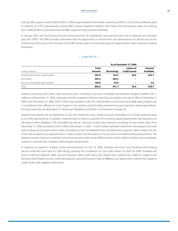During 2006, Superior issued \$200.0 million, 5.50% coupon, MediumTerm Notes, maturing on March 3, 2016 with an effective yield to maturity of 5.57%. Subsequently, during 2006, Superior repaid the Medium Term Notes from borrowings under its revolving term credit facilities to provide enhanced debt repayment and covenant flexibility.

In January 2007, the Fund announced the commencement of a distribution reinvestment plan and an optional unit purchase plan (the "DRIP"). The DRIP provides Unitholders with the opportunity to reinvest their cash distributions at a 5% discount to the market price of the trust units. Proceeds of the DRIP will be used to fund accretive growth opportunities within Superior's existing businesses.

#### **• L iquidity •**

|                                       | As at December 31, 2006 |                   |                                           |                     |  |  |  |
|---------------------------------------|-------------------------|-------------------|-------------------------------------------|---------------------|--|--|--|
| (millions of dollars)                 | <b>Total</b><br>Amount  | <b>Borrowings</b> | <b>Letters of</b><br><b>Credit Issued</b> | Amount<br>Available |  |  |  |
| Revolving term bank credit facilities | 587.8                   | 142.5             | 20.6                                      | 424.7               |  |  |  |
| Term loans                            | 204.2                   | 204.2             | -                                         | -                   |  |  |  |
| Accounts receivable sales program     | 100.0                   | 95.0              |                                           | 5.0                 |  |  |  |
| Total                                 | 892.0                   | 441.7             | 20.6                                      | 429.7               |  |  |  |

Superior's revolving term bank credit and term loans, including its accounts receivable securitization program totalled \$441.7 million as at December 31, 2006, a decrease of 41% compared to the prior year due principally to the sale of JWA on December 7, 2006. As at December 31, 2006, \$429.7 million was available under the credit facilities and accounts receivable sales program and is considered to be sufficient to meet Superior's net working capital funding requirements and expected capital expenditures. Principal covenants are described in"Contractual Obligations and Other Commitments"on page 30.

Superior has entered into an agreement to sell, with limited recourse, certain accounts receivables on a 30-day revolving basis to an entity sponsored by a Canadian chartered bank to finance a portion of its working capital requirements and represents an off-balance sheet obligation. The receivables are sold at a discount to face value based on prevailing money market rates. As at December 31, 2006, proceeds of \$95.0 million (December 31, 2005 – \$100.0 million) had been raised from this program and were used to repay revolving term bank credits. (See Note 6 to the Consolidated Financial Statements). Superior is able to adjust the size of the sales program on a seasonal basis in order to match the fluctuations of its accounts receivable funding requirements. The program requires Superior to maintain a minimum secured credit rating of BB and meet certain collection performance standards. Superior is currently fully compliant with program requirements.

In response to Superior's strategic review announcement on July 10, 2006, Standard and Poor's and Dominion Bond Rating Service confirmed their April 24, 2006 ratings, pending the completion of a full credit review. On April 24, 2006, Standard and Poor's confirmed Superior's BBB- secured long-term debt credit rating, but altered their outlook from stable to negative and Dominion Bond Rating Service confirmed Superior's secured long-term debt at BBB(low), but altered their outlook from stable to under review with negative implications.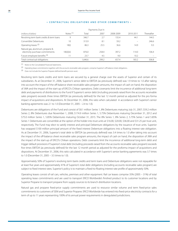|                                                                      |             |         | Payments Due In |           |           |            |
|----------------------------------------------------------------------|-------------|---------|-----------------|-----------|-----------|------------|
| (millions of dollars)                                                | Notes $(1)$ | Total   | 2007            | 2008-2009 | 2010-2011 | Thereafter |
| Revolving term bank credits & term loans                             | 9           | 346.7   | 2.7             | 155.4     | 44.1      | 144.5      |
| Convertible Debentures                                               | 10          | 313.9   | 8.1             | 59.2      |           | 246.6      |
| Operating leases <sup>(2)</sup>                                      | 8(i)        | 86.3    | 25.5            | 36.6      | 14.9      | 9.3        |
| Natural gas, aluminum, propane &<br>electricity purchase commitments | 18(ii)(iii) | 876.0   | 258.4           | 397.2     | 114.0     | 106.4      |
| Future employee benefits (3)                                         |             | 23.7    | 4.5             | 9.0       | 10.2      |            |
| Total contractual obligations                                        |             | 1.646.6 | 299.2           | 657.4     | 183.2     | 506.8      |

#### **• C ontractual O bligations and O ther C ommitments •**

(1) Notes to the Consolidated Financial Statements.

 $(2)$  Operating lease commitments together with the accounts receivable sales program, comprise Superior's off-balance sheet obligations.

(3) Does not include the Superior Propane defined benefit pension asset.

Revolving term bank credits and term loans are secured by a general charge over the assets of Superior and certain of its subsidiaries. As at December 31, 2006, Superior's senior debt to EBITDA (as previously defined) was 1.9 times to 1.0 after taking into account the impact of the off-balance sheet receivable sales program amounts, the impact of cash on hand, the disposition of JWA and the impact of the start-up of ERCO's Chilean operations. Debt covenants limit the incurrence of additional long-term debt and payments of distributions to the Fund if Superior's senior debt (including proceeds raised from the accounts receivable sales program) exceeds three times EBITDA (as previously defined) for the last 12 month period as adjusted for the pro forma impact of acquisitions and dispositions. At December 31, 2006, this ratio when calculated in accordance with Superior's senior banking agreements was 2.1 to 1.0 (December 31, 2005 – 2.4 to 1.0).

Debentures are obligations of the Fund and consist of \$8.1 million Series 1, 8% Debentures maturing July 31, 2007; \$59.2 million Series 2, 8% Debentures due November 1, 2008; \$174.9 million Series 1, 5.75% Debentures maturing December 31, 2012 and \$75.0 million Series 1, 5.85% Debentures maturing October 31, 2015. The 8% Series 1, 8% Series 2, 5.75% Series 1 and 5.85% Series 1 Debentures are convertible at the option of the holder into trust units at \$16.00, \$20.00, \$36.00 and \$31.25 per trust unit, respectively. The Fund may elect to satisfy interest and principal Debenture obligations by the issuance of trust units. Superior has swapped \$100 million principal amount of the fixed interest Debenture obligations into a floating interest rate obligation. As at December 31, 2006, Superior's total debt to EBITDA (as previously defined) was 3.4 times to 1.0 after taking into account the impact of the off-balance sheet receivable sales program amounts, the impact of cash on hand, the disposition of JWA and the impact of the start-up of ERCO's Chilean operations. Debt covenants limit the incurrence of additional long-term debt and trigger default provisions if Superior's total debt (including proceeds raised from the accounts receivable sales program) exceeds five times EBITDA (as previously defined) for the last 12 month period as adjusted for the proforma impact of acquisitions and dispositions. At December 31, 2006, this ratio calculated in accordance with Superior's senior banking agreements was 3.7 times to 1.0 (December 31, 2005 – 3.5 times to 1.0).

Approximately 50% of Superior's revolving term bank credits and term loans and Debenture obligations were not repayable for at least five years and approximately 41% of Superior's total debt obligations (including accounts receivable sales program) are subject to fixed interest rates. Superior's policy is to maintain a fixed-to-floating interest rate profile of approximately 50%.

Operating leases consist of rail cars, vehicles, premises and other equipment. Rail car leases comprise 35% (2005 – 31%) of total operating lease commitments and are used to transport ERCO Worldwide's finished product to its customer locations and by Superior Propane to transport propane from supply sources to its branch distribution locations.

Natural gas and propane fixed-price supply commitments are used to resource similar volume and term fixed-price sales commitments to customers of SEM and Superior Propane. ERCO Worldwide has entered into fixed-price electricity contracts for a term of up to 11 years representing 100% of its annual power requirements in deregulated jurisdictions.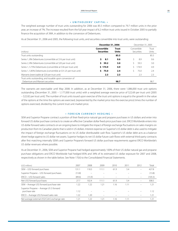#### **• U nitholders ' C apital •**

The weighted average number of trust units outstanding for 2006 was 85.5 million compared to 79.7 million units in the prior year, an increase of 7%. The increase resulted from the full year impact of 6.2 million trust units issued in October 2005 to partially finance the acquisition of JWA, in addition to the conversion of Debentures.

As at December 31, 2006 and 2005, the following trust units, and securities convertible into trust units, were outstanding:

|                                                                    | December 31, 2006                                                |      | December 31, 2005         |                |  |
|--------------------------------------------------------------------|------------------------------------------------------------------|------|---------------------------|----------------|--|
| (millions)                                                         | Convertible<br><b>Trust</b><br><b>Securities</b><br><b>Units</b> |      | Convertible<br>Securities | Trust<br>Units |  |
| Trust units outstanding                                            |                                                                  | 85.5 |                           | 85.5           |  |
| Series 1, 8% Debentures (convertible at \$16 per trust unit)       | S.<br>8.1                                                        | 0.6  | 8.9                       | 0.6            |  |
| Series 2, 8% Debentures (convertible at \$20 per trust unit)       | \$.<br>59.2                                                      | 3.0  | 59.3                      | 3.0            |  |
| Series 1, 5.75% Debentures (convertible at \$36 per trust unit)    | \$174.9                                                          | 4.9  | 174.9                     | 4.9            |  |
| Series 1, 5.85% Debentures (convertible at \$31.25 per trust unit) | \$.<br>75.0                                                      | 2.4  | 75.0                      | 2.4            |  |
| Warrants (exercisable @ \$20 per trust unit)                       | 2.3                                                              | 2.3  | 2.3                       | 2.3            |  |
| Trust units outstanding, and issuable upon conversion of           |                                                                  |      |                           |                |  |
| Debenture and Warrant securities                                   |                                                                  | 98.7 |                           | 98.7           |  |

The warrants are exercisable until May 2008. In addition, as at December 31, 2006, there were 1,086,000 trust unit options outstanding (December 31, 2005 – 1,177,000 trust units) with a weighted average exercise price of \$22.69 per trust unit (2005 – \$22.82 per trust unit). The number of trust units issued upon exercise of the trust unit options is equal to the growth in the value of the options at the time the options are exercised, (represented by the market price less the exercise price) times the number of options exercised, divided by the current trust unit market price.

#### **• F oreign C urrency H edging •**

SEM and Superior Propane contract a portion of their fixed-price natural gas and propane purchases in US dollars and enter into forward US dollar purchase contracts to create an effective Canadian dollar fixed-price purchase cost. ERCO Worldwide enters into US dollar forward sales contracts on an ongoing basisto mitigate the impact of foreign exchange fluctuations on sales margins on production from its Canadian plants that is sold in US dollars. Interest expense on Superior's US dollar debt is also used to mitigate the impact of foreign exchange fluctuations on its US dollar distributable cash flow. Superior's US dollar debt acts as a balance sheet hedge against its US dollar net assets. Superior hedges its net US dollar future cash flows with external third-party contracts after first matching internally SEM's and Superior Propane's forward US dollar purchase requirements against ERCO Worldwide's US dollar revenues where possible.

As at December 31, 2006, SEM and Superior Propane had hedged approximately 100% of their US dollar natural gas and propane purchase obligations and ERCO Worldwide had hedged 85% and 34% of its estimated US dollar exposure for 2007 and 2008, respectively as shown in the table below. See Note 17(iii) to the Consolidated Financial Statements.

| (US\$ millions)                                           | 2007             | 2008   | 2009  | 2010 | 2011 | 2012                     | Total   |
|-----------------------------------------------------------|------------------|--------|-------|------|------|--------------------------|---------|
| SEM - US\$ forward purchases                              | 131<br>$\cdot$ 1 | 118.3  | 11.1  | 61.9 | 5.4  | $\overline{\phantom{0}}$ | 427.8   |
| Superior Propane - US\$ forward purchases                 | (13.8)           |        |       |      |      | $\qquad \qquad -$        | (13.8)  |
| ERCO - US\$ forward sales                                 | (89.6)           | (15.9) | -     |      |      | -                        | (105.5) |
| Net US\$ forward purchases                                | 27.7             | 102.4  | 111.1 | 61.9 | 5.4  | $\qquad \qquad =$        | 308.5   |
| SEM - Average US\$ forward purchase rate                  | 1.22             | 1.22   | 1.21  | 1.16 | 1.11 |                          | 1.21    |
| Superior Propane – Average US \$ forward<br>purchase rate | 1.12             |        |       |      |      |                          | 1.12    |
| ERCO - Average US\$ forward sales rate                    | 1.22             | 1.20   |       |      |      |                          | 1.21    |
| Net average external US\$/Cdn\$ exchange rate             | 1.21             | 1.22   | 1.21  | 1.16 | 11   | -                        | 1.21    |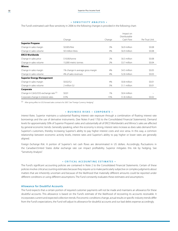#### **• S ensitivity A nalysis •**

The Fund's estimated cash flow sensitivity in 2006 to the following changes is provided in the following chart:

|                                        |                                   |        | Impact on                  |                |
|----------------------------------------|-----------------------------------|--------|----------------------------|----------------|
|                                        | Change                            | Change | Distributable<br>Cash Flow | Per Trust Unit |
| <b>Superior Propane</b>                |                                   |        |                            |                |
| Change in sales margin                 | \$0.005/litre                     | 3%     | \$6.9 million              | \$0.08         |
| Change in sales volume                 | 50 million litres                 | 4%     | \$6.9 million              | \$0.08         |
| <b>ERCO Worldwide</b>                  |                                   |        |                            |                |
| Change in sales price                  | \$10,00/tonne                     | 2%     | \$6.5 million              | \$0.08         |
| Change in sales volume                 | 15,000 metric tonnes              | 2%     | \$3.7 million              | \$0.04         |
| <b>Winroc</b>                          |                                   |        |                            |                |
| Change in sales margin                 | 1% change in average gross margin | 4%     | \$4.5 million              | \$0.05         |
| Change in sales volume                 | 4% of sales revenues              | 4%     | \$2.8 million              | \$0.03         |
| <b>Superior Energy Management</b>      |                                   |        |                            |                |
| Change in sales margin                 | \$0.02/G                          | 4%     | \$0.8 million              | \$0.01         |
| Change in sales volume                 | 2 million GJ                      | 5%     | \$1.1 million              | \$0.01         |
| Corporate                              |                                   |        |                            |                |
| Change in Cdn\$/US\$ exchange rate (1) | \$0.01                            | 1%     | \$0.4 million              |                |
| Corporate change in interest rates     | 0.5%                              | 15%    | \$1.8 million              | \$0.02         |

(1) After giving effect to US\$ forward sales contracts for 2007. See "Foreign Currency Hedging".

#### **• B usiness R isks – C orporate •**

*Interest Rates.* Superior maintains a substantial floating interest rate exposure through a combination of floating interest rate borrowings and the use of derivative instruments. (See Notes 9 and 17(ii) to the Consolidated Financial Statements). Demand levels for approximately 50% of Superior Propane's sales and substantially all of ERCO Worldwide's and Winroc's sales are affected by general economic trends. Generally speaking, when the economy is strong, interest rates increase as does sales demand from Superior's customers, thereby increasing Superior's ability to pay higher interest costs and vice versa. In this way, a common relationship between economic activity levels, interest rates and Superior's ability to pay higher or lower rates are generally aligned.

*Foreign Exchange Risk.* A portion of Superior's net cash flows are denominated in US dollars. Accordingly, fluctuations in the Canadian/United States dollar exchange rate can impact profitability. Superior mitigates this risk by hedging. See "Sensitivity Analysis".

#### **• C ritical A ccounting E stimates •**

The Fund's significant accounting policies are contained in Note 2 to the Consolidated Financial Statements. Certain of these policiesinvolve critical accounting estimates because they require usto make particularly subjective or complex judgments about matters that are inherently uncertain and because of the likelihood that materially different amounts could be reported under different conditions or using different assumptions. The Fund constantly evaluates these estimates and assumptions.

#### **Allowance for Doubtful Accounts**

The Fund expects that a certain portion of required customer payments will not be made and maintains an allowance for these doubtful accounts. This allowance is based on the Fund's estimate of the likelihood of recovering its accounts receivable. It incorporates current and expected collection trends. If economic conditions change, actual results orspecific industry trends differ from the Fund's expectations, the Fund will adjust its allowance for doubtful accounts and our bad debts expense accordingly.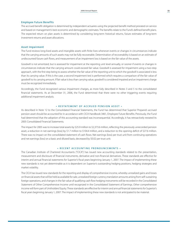#### **Employee Future Benefits**

The accrued benefit obligation is determined by independent actuaries using the projected benefit method prorated on service and based on management's best economic and demographic estimates. The benefits relate to the Fund's defined benefit plans. The expected return on plan assets is determined by considering long-term historical returns, future estimates of long-term investment returns and asset allocations.

#### **Asset Impairment**

The Fund reviews long-lived assets and intangible assets with finite lives whenever events or changes in circumstances indicate that the carrying amounts of such assets may not be fully recoverable. Determination of recoverability is based on an estimate of undiscounted future cash flows, and measurement of an impairment loss is based on the fair value of the assets.

Goodwill is not amortized, but is assessed for impairment at the reporting unit level annually, or sooner if events or changes in circumstances indicate that the carrying amount could exceed fair value. Goodwill is assessed for impairment using a two-step approach, with the first step being to assess whether the fair value of the reporting unit to which the goodwill is associated is less than its carrying value. If this is the case, a second impairment test is performed which requires a comparison of the fair value of goodwill to its carrying amount. If fair value is less than carrying value, goodwill is considered impaired and an impairment charge must be recognized immediately.

Accordingly, the Fund recognized various impairment charges, as more fully described in Notes 3 and 5 to the consolidated financial statements. As at December 31, 2006, the Fund determined that there were no other triggering events requiring additional impairment analysis.

#### **• R estatement of accrued pension asset •**

As described in Note 12 to the Consolidated Financial Statements, the Fund has determined that Superior Propane's accrued pension asset should be accounted for in accordance with CICA Handbook 3461, Employee Future Benefits. Previously, the Fund had determined that the adoption of this accounting standard was inconsequential. Accordingly, it has retroactively restated its 2005 Consolidated Financial Statements.

The impact for 2005 was to increase total assets by \$25.9 million to \$2,373.6 million, reflecting the previously unrecorded pension asset, a reduction in net earnings (loss) by \$1.7 million to \$104.4 million, and a reduction to the opening deficit of \$27.6 million. There was no impact on the consolidated statement of cash flows. Net earnings (loss) per trust unit from continuing operations and net earnings (loss) on a basic and diluted basis, decreased by \$0.02 per trust unit.

#### **• R ecent A ccounting P ronouncements •**

The Canadian Institute of Chartered Accountants ("CICA") has issued new accounting standards related to the presentation, measurement and disclosure of financial instruments, derivative and non-financial derivatives. These standards are effective for interim and annual financial statements for Superior's fiscal years beginning January 1, 2007. The impact of implementing these new standards is not yet determinable as it is dependent on Superior's outstanding hedging positions, hedging strategies and market volatility.

The CICA has issued new standards for the reporting and display of comprehensive income, whereby unrealized gains and losses on financial assetsthat will be held as available forsale, unrealized foreign currency translation amounts arising from self-sustaining foreign operations, and changes in the fair value of qualifying cash flow hedging instruments will be recorded in the Consolidated Statement of Other Comprehensive Income until recognized in the Consolidated Statement of Earnings. Other comprehensive income will form part of Unitholders' Equity. These standards are effective for interim and annual financial statements for Superior's fiscal years beginning January 1, 2007. The impact of implementing these new standards is not anticipated to be material.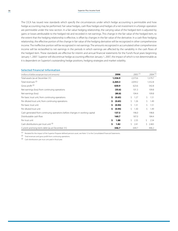The CICA has issued new standards which specify the circumstances under which hedge accounting is permissible and how hedge accounting may be performed. Fair value hedges, cash flow hedges and hedges of a net investment in a foreign operation are permissible under the new section. In a fair value hedging relationship, the carrying value of the hedged item is adjusted by gains or losses attributable to the hedged risk and recorded in net earnings. This change in the fair value of the hedged item, to the extent that the hedging relationship is effective, is offset by changes in the fair value of the derivative. In a cash flow hedging relationship, the effective portion of the change in fair value of the hedging derivative will be recognized in other comprehensive income. The ineffective portion will be recognized in net earnings. The amountsrecognized in accumulated other comprehensive income will be reclassified to net earnings in the periods in which earnings are affected by the variability in the cash flows of the hedged item. These standards are effective for interim and annual financial statements for the Fund's fiscal years beginning January 1, 2007. Superior will discontinue hedge accounting effective January 1, 2007, the impact of which is not determinable as it is dependent on Superior's outstanding hedge positions, hedging strategies and market volatility.

#### **Selected Financial Information**

| (millions of dollars except per trust unit amounts)                         | 2006          | $2005$ <sup>(1)</sup> | $2004$ <sup>(1)</sup> |
|-----------------------------------------------------------------------------|---------------|-----------------------|-----------------------|
| Total assets (as at December 31)                                            | 1,536.9       | 2,373.6               | 1,579.7               |
| Total revenues <sup>(2)</sup>                                               | 2,264.3       | 2,059.2               | 1,552.8               |
| Gross profit <sup>(2)</sup>                                                 | 630.9         | 623.6                 | 542.8                 |
| Net earnings (loss) from continuing operations                              | (55.6)        | 101.3                 | 109.8                 |
| Net earnings (loss)                                                         | (80.8)        | 104.4                 | 109.8                 |
| Per basic trust unit, from continuing operations                            | (0.65)<br>\$. | 1.27<br>Ŝ.            | \$<br>1.51            |
| Per diluted trust unit, from continuing operations                          | (0.65)<br>\$  | Ŝ.<br>1.26            | \$<br>1.49            |
| Per basic trust unit                                                        | (0.94)<br>S.  | Ŝ.<br>1.31            | \$<br>1.51            |
| Per diluted trust unit                                                      | (0.94)<br>S.  | Ŝ.<br>1.30            | \$<br>1.49            |
| Cash generated from continuing operations before changes in working capital | 137.5         | 196.0                 | 198.8                 |
| Distributable cash flow                                                     | 160.7         | 187.0                 | 184.4                 |
| Per trust unit                                                              | Ś.<br>1.88    | 2.35<br>Ŝ.            | ς.<br>2.54            |
| Cash distributions per trust unit (3)                                       | \$.<br>1.82   | 2.41<br>Ŝ.            | ς.<br>2.465           |
| Current and long-term debt (as at December 31)                              | 346.7         | 644.7                 | 446.2                 |

(1) Restated for the impact of the Superior Propane defined pension asset, see Note 12 to the Consolidated Financial Statements.

(2) Total revenues and gross profit from continuing operations.

(3) Cash distributions per trust unit paid in fiscal year.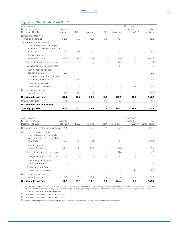### **Segmented Distributable Cash Flow** (1)

| (millions of dollars)                                                                                 |                          |             |                   |            |           | Discontinued |              |
|-------------------------------------------------------------------------------------------------------|--------------------------|-------------|-------------------|------------|-----------|--------------|--------------|
| For the year ended                                                                                    | Superior                 |             |                   |            |           | Operations   | Total        |
| December 31, 2006                                                                                     | Propane                  | <b>ERCO</b> | Winroc            | <b>SEM</b> | Corporate | JWA $(2)$    | Consolidated |
| Net earnings (loss) from                                                                              |                          |             |                   |            |           |              |              |
| continuing operations                                                                                 | 115.8                    | (59.3)      | 46.0              | 12.6       | (170.7)   |              | (55.6)       |
| Add: Amortization of property,<br>plant and equipment, intangible<br>assets and convertible debenture |                          |             |                   |            |           |              |              |
| issue costs                                                                                           | 20.4                     | 52.6        | 4.1               |            | 2.3       |              | 79.4         |
| Future income tax<br>expense (recovery)                                                               | (49.2)                   | (133.9)     | (8.9)             | (2.6)      | 85.4      |              | (109.2)      |
| Trust unit incentive plan recovery                                                                    | $\qquad \qquad -$        |             |                   |            | (1.2)     |              | (1.2)        |
| Management internalization costs                                                                      | $\overline{\phantom{m}}$ |             |                   |            | 1.3       |              | 1.3          |
| Superior Propane non-cash<br>pension expense                                                          | 2.2                      |             |                   |            |           |              | 2.2          |
| Impairment of property, plant and<br>equipment, and goodwill <sup>(3)</sup>                           |                          | 218.7       |                   |            |           |              | 218.7        |
| Distributable cash from<br>discontinued operations                                                    |                          |             |                   |            |           | 38.9         | 38.9         |
| Less: Maintenance capital<br>expenditures, net                                                        | 0.3                      | (7.5)       | (6.6)             |            |           |              | (13.8)       |
| Distributable cash flow                                                                               | 89.5                     | 70.6        | 34.6              | 10.0       | (82.9)    | 38.9         | 160.7        |
| Strategic plan costs                                                                                  | 1.1                      | 5.1         | $\qquad \qquad -$ | 0.3        | 13.2      |              | 19.7         |
| Distributable cash flow before                                                                        |                          |             |                   |            |           |              |              |
| strategic plan costs                                                                                  | 90.6                     | 75.7        | 34.6              | 10.3       | (69.7)    | 38.9         | 180.4        |

| (millions of dollars)<br>For the year ended                                                                          | Superior                 |                   |        |                          |           | Discontinued<br>Operations | Total        |
|----------------------------------------------------------------------------------------------------------------------|--------------------------|-------------------|--------|--------------------------|-----------|----------------------------|--------------|
| December 31, 2005                                                                                                    | Propane <sup>(4)</sup>   | <b>ERCO</b>       | Winroc | <b>SEM</b>               | Corporate | JWA $(2)$                  | Consolidated |
| Net earnings from continuing operations                                                                              | 49.4                     | 7.4               | 22.1   | 3.4                      | 19.0      |                            | 101.3        |
| Add: Amortization of property,<br>plant and equipment, intangible<br>assets and convertible debenture<br>issue costs | 17.9                     | 92.5              | 3.0    |                          | 1.7       |                            | 115.1        |
| Future income tax<br>expense (recovery)                                                                              | 28.0                     | 1.3               | 10.7   | 1.9                      | (61.8)    |                            | (19.9)       |
| Trust unit incentive plan recovery                                                                                   | $\overline{\phantom{0}}$ | $\qquad \qquad -$ |        | $\overline{\phantom{0}}$ | (4.6)     |                            | (4.6)        |
| Management internalization costs                                                                                     | $\overline{\phantom{m}}$ |                   |        |                          | 1.3       |                            | 1.3          |
| Superior Propane non-cash<br>pension expense                                                                         | 1.7                      |                   |        |                          |           |                            | 1.7          |
| Distributable cash from<br>discontinued operations                                                                   |                          |                   |        |                          |           | 8.6                        | 8.6          |
| Less: Maintenance capital<br>expenditures, net                                                                       | (2.8)                    | (8.1)             | (5.6)  |                          |           |                            | (16.5)       |
| <b>Distributable cash flow</b>                                                                                       | 94.2                     | 93.1              | 30.2   | 5.3                      | (44.4)    | 8.6                        | 187.0        |

(1) See the Consolidated Financial Statements for net earnings (loss), amortization of property, plant and equipment, intangible assets and convertible debenture issue costs, future income tax expense (recovery), trust unit incentive plan expense (recovery), management internalization costs, impairment of property, plant and equipment and goodwill, and maintenance capital expenditures.

(2) See Note 3 to the Consolidated Financial Statements.

(3) See Note 5 to the Consolidated Financial Statements.

(4) Restated for the impact of the Superior Propane defined pension asset, see Note 12 to the Consolidated Financial Statements.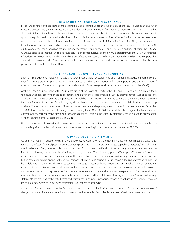#### **• D isclosure C ontrols and P rocedures •**

Disclosure controls and procedures are designed by, or designed under the supervision of the issuer's Chairman and Chief Executive Officer ("CEO") and the Executive Vice President and Chief Financial Officer ("CFO") to provide reasonable assurance that all material information relating to the issuer is communicated to them by others in the organizations as it becomes known and is appropriately disclosed as required under the continuous disclosure requirements of securities legislation. In essence, these types of controls are related to the quality and timeliness of financial and non-financial information in securities filings. An evaluation of the effectiveness of the design and operation of the Fund's disclosure controls and procedures was conducted as at December 31, 2006, by and under the supervision of Superior's management, including the CEO and CFO. Based on this evaluation, the CEO and CFO have concluded that the Fund's disclosure controls and procedures, as defined in Multilateral Instrument 52-109, Certification of Disclosure in Issuers'Annual and Interim Filings, are effective to ensure that information required to be disclosed in reports that are filed or submitted under Canadian securities legislation is recorded, processed, summarized and reported within the time periods specified in those rules and forms.

#### **• I nternal C ontrol over F inancial R eporting •**

Superior's management, including the CEO and CFO, is responsible for establishing and maintaining adequate internal control over financial reporting to provide reasonable assurance regarding the reliability of financial reporting and the preparation of financial statements for external purposes in accordance with Canadian generally accepted accounting principles (GAAP).

At the direction and oversight of the Audit Committee of the Board of Directors, the CEO and CFO established a project team to ensure Superior's ability to meet its obligations under Multilateral Instrument 52-109. An external advisor was engaged, and a Steering Committee to oversee the project was established. The Steering Committee consists of the CEO, the CFO, the Vice President, Business Process and Compliance, together with members of senior management at each of the businesses making up the Fund. The evaluation of the design of internal controls over financial reporting was completed in the quarter ended December 31, 2006. Based on the assessment, management, including the CEO and CFO determined that the design of the Fund's internal control over financial reporting provides reasonable assurance regarding the reliability of financial reporting and the preparation of financial statements in accordance with GAAP.

No changes were made in the Fund's internal control over financial reporting that have materially affected, or are reasonably likely to materially affect, the Fund's internal control over financial reporting in the quarter ended December 31, 2006.

#### **• F orward - looking S tatements •**

Certain information included herein is forward-looking. Forward-looking statements include, without limitation, statements regarding the future financial position, business strategy, budgets, litigation, projected costs, capital expenditures, financial results, distributable cash flow, taxes and plans and objectives of or involving the Fund or Superior. Many of these statements can be identified by looking for words such as "believe," "expects," "expected," "will," "intends," "projects," "anticipates," "estimates," "continues" or similar words. The Fund and Superior believe the expectations reflected in such forward-looking statements are reasonable but no assurance can be given that these expectations will prove to be correct and such forward-looking statements should not be unduly relied upon. Forward-looking statements are not guarantees of future performance and involve a number of risks and uncertaintiessome of which are described herein. Such forward-looking statements necessarily involve known and unknown risks and uncertainties, which may cause the Fund's actual performance and financial results in future periods to differ materially from any projections of future performance or results expressed or implied by such forward-looking statements. Any forward-looking statements are made as of the date hereof and neither the Fund nor Superior undertakes any obligation to publicly update or revise such statements to reflect new information, subsequent or otherwise.

Additional information relating to the Fund and Superior, including the 2006 Annual Information Forms are available free of charge on our website at www.superiorplus.com and on the Canadian Securities Administrators'website at www.sedar.com.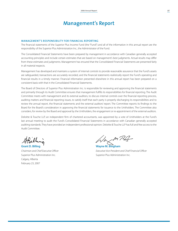### **Management's Report**

#### **MANAGEMENT'S RESPONSIBILITY FOR FINANCIAL REPORTING**

The financial statements of the Superior Plus Income Fund (the "Fund") and all of the information in this annual report are the responsibility of the Superior Plus Administration Inc., the Administrator of the Fund.

The Consolidated Financial Statements have been prepared by management in accordance with Canadian generally accepted accounting principles and include certain estimates that are based on management's best judgments. Actual results may differ from these estimates and judgments. Management has ensured that the Consolidated Financial Statements are presented fairly in all material respects.

Management has developed and maintains a system of internal controls to provide reasonable assurance that the Fund's assets are safeguarded, transactions are accurately recorded, and the financial statements realistically report the Fund's operating and financial results in a timely manner. Financial information presented elsewhere in this annual report has been prepared on a consistent basis with that in the Consolidated Financial Statements.

The Board of Directors of Superior Plus Administration Inc. is responsible for reviewing and approving the financial statements and primarily through its Audit Committee ensures that management fulfills its responsibilities for financial reporting. The Audit Committee meets with management and its external auditors, to discuss internal controls over the financial reporting process, auditing matters and financial reporting issues, to satisfy itself that each party is properly discharging its responsibilities and to review the annual report, the financial statements and the external auditors' report. The Committee reports its findings to the Board for the Board's consideration in approving the financial statements for issuance to the Unitholders. The Committee also considers, for review by the Board and approval by the Unitholders, the engagement or re-appointment of the external auditors.

Deloitte & Touche LLP, an independent firm of chartered accountants, was appointed by a vote of Unitholders at the Fund's last annual meeting to audit the Fund's Consolidated Financial Statements in accordance with Canadian generally accepted auditing standards. They have provided an independent professional opinion. Deloitte & Touche LLP has full and free access to the Audit Committee.

Superior Plus Administration Inc. **Superior Plus Administration Inc.** Superior Plus Administration Inc. Calgary, Alberta February 23, 2007

WaxmRR

**Grant D. Billing Wayne M. Bingham** *Chairman and Chief Executive Officer Executive Vice-President and Chief Financial Officer*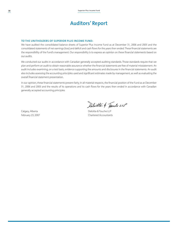## **Auditors' Report**

#### **To The Unitholders of Superior Plus Income Fund:**

We have audited the consolidated balance sheets of Superior Plus Income Fund as at December 31, 2006 and 2005 and the consolidated statements of net earnings (loss) and deficit and cash flows for the years then ended. These financial statements are the responsibility of the Fund's management. Our responsibility is to express an opinion on these financial statements based on our audits.

We conducted our audits in accordance with Canadian generally accepted auditing standards. Those standards require that we plan and perform an audit to obtain reasonable assurance whether the financial statements are free of material misstatement. An audit includes examining, on a test basis, evidence supporting the amounts and disclosures in the financial statements. An audit also includes assessing the accounting principles used and significant estimates made by management, as well as evaluating the overall financial statement presentation.

In our opinion, these financial statements present fairly, in all material respects, the financial position of the Fund as at December 31, 2006 and 2005 and the results of its operations and its cash flows for the years then ended in accordance with Canadian generally accepted accounting principles.

Calgary, Alberta **Deloitte & Touche LLP** 

Peloitte & Touche LLP

February 23, 2007 **Chartered Accountants**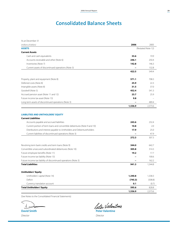# **Consolidated Balance Sheets**

| As at December 31                                                                                                                                                                                                                                                                       |                       |                              |
|-----------------------------------------------------------------------------------------------------------------------------------------------------------------------------------------------------------------------------------------------------------------------------------------|-----------------------|------------------------------|
| (millions of dollars)                                                                                                                                                                                                                                                                   | 2006                  | 2005                         |
| <b>ASSETS</b>                                                                                                                                                                                                                                                                           |                       | (Restated Note 12)           |
| <b>Current Assets</b>                                                                                                                                                                                                                                                                   |                       |                              |
| Cash and cash equivalents                                                                                                                                                                                                                                                               | 33.6                  | 19.9                         |
| Accounts receivable and other (Note 6)                                                                                                                                                                                                                                                  | 246.1                 | 250.4                        |
| Inventories (Note 7)                                                                                                                                                                                                                                                                    | 142.8                 | 146.3                        |
| Current assets of discontinued operations (Note 3)                                                                                                                                                                                                                                      |                       | 132.8                        |
|                                                                                                                                                                                                                                                                                         | 422.5                 | 549.4                        |
| Property, plant and equipment (Note 8)                                                                                                                                                                                                                                                  | 571.1                 | 708.3                        |
| Deferred costs (Note 8)                                                                                                                                                                                                                                                                 | 25.9                  | 22.3                         |
| Intangible assets (Note 8)                                                                                                                                                                                                                                                              | 31.5                  | 37.0                         |
| Goodwill (Note 5)                                                                                                                                                                                                                                                                       | 452.4                 | 541.3                        |
| Accrued pension asset (Note 11 and 12)                                                                                                                                                                                                                                                  | 23.7                  | 25.9                         |
| Future income tax asset (Note 13)                                                                                                                                                                                                                                                       | 9.8                   |                              |
| Long term assets of discontinued operations (Note 3)                                                                                                                                                                                                                                    |                       | 489.4                        |
|                                                                                                                                                                                                                                                                                         | 1,536.9               | 2,373.6                      |
| <b>Current Liabilities</b><br>Accounts payable and accrued liabilities<br>Current portion of term loans and convertible debentures (Note 9 and 10)<br>Distributions and interest payable to Unitholders and Debentureholders<br>Current liabilities of discontinued operations (Note 3) | 243.6<br>10.8<br>17.9 | 232.4<br>2.0<br>25.0<br>47.9 |
|                                                                                                                                                                                                                                                                                         | 272.3                 | 307.3                        |
| Revolving term bank credits and term loans (Note 9)                                                                                                                                                                                                                                     | 344.0                 | 642.7                        |
| Convertible unsecured subordinated debentures (Note 10)                                                                                                                                                                                                                                 | 305.8                 | 314.3                        |
| Future employee benefits (Note 11)                                                                                                                                                                                                                                                      | 19.2                  | 17.7                         |
| Future income tax liability (Note 13)                                                                                                                                                                                                                                                   |                       | 100.6                        |
| Future income tax liability of discontinued operations (Note 3)                                                                                                                                                                                                                         |                       | 162.2                        |
| <b>Total Liabilities</b>                                                                                                                                                                                                                                                                | 941.3                 | 1,544.8                      |
| <b>Unitholders' Equity</b>                                                                                                                                                                                                                                                              |                       |                              |
| Unitholders' capital (Note 14)                                                                                                                                                                                                                                                          | 1,340.8               | 1,338.3                      |
| Deficit                                                                                                                                                                                                                                                                                 | (745.3)               | (508.8)                      |
| Currency translation account                                                                                                                                                                                                                                                            | 0.1                   | (0.7)                        |
| <b>Total Unitholders' Equity</b>                                                                                                                                                                                                                                                        | 595.6                 | 828.8                        |
|                                                                                                                                                                                                                                                                                         | 1,536.9               | 2,373.6                      |

(See Notes to the Consolidated Financial Statements)

b **David Smith Peter Valentine** 

*Director Director*

Leter Valentine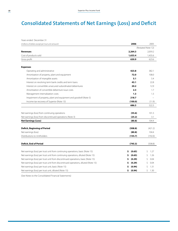# **Consolidated Statements of Net Earnings (Loss) and Deficit**

| Years ended December 31                                                            |              |                    |
|------------------------------------------------------------------------------------|--------------|--------------------|
| (millions of dollars except per trust unit amount)                                 | 2006         | 2005               |
|                                                                                    |              | (Restated Note 12) |
| <b>Revenues</b>                                                                    | 2,264.3      | 2,059.2            |
| Cost of products sold                                                              | 1,633.4      | 1,435.6            |
| Gross profit                                                                       | 630.9        | 623.6              |
|                                                                                    |              |                    |
| <b>Expenses</b>                                                                    |              |                    |
| Operating and administrative                                                       | 423.8        | 382.1              |
| Amortization of property, plant and equipment                                      | 72.0         | 108.0              |
| Amortization of intangible assets                                                  | 5.1          | 5.4                |
| Interest on revolving term bank credits and term loans                             | 43.1         | 22.8               |
| Interest on convertible unsecured subordinated debentures                          | 20.2         | 12.9               |
| Amortization of convertible debenture issue costs                                  | 2.3          | 1.7                |
| Management internalization costs                                                   | 1.3          | 1.3                |
| Impairment of property, plant and equipment and goodwill (Note 5)                  | 218.7        |                    |
| Income tax recovery of Superior (Note 13)                                          | (100.0)      | (11.9)             |
|                                                                                    | 686.5        | 522.3              |
|                                                                                    |              |                    |
| Net earnings (loss) from continuing operations                                     | (55.6)       | 101.3              |
| Net earnings (loss) from discontinued operations (Note 3)                          | (25.2)       | 3.1                |
| <b>Net Earnings (Loss)</b>                                                         | (80.8)       | 104.4              |
|                                                                                    |              |                    |
| <b>Deficit, Beginning of Period</b>                                                | (508.8)      | (421.2)            |
| Net earnings (loss)                                                                | (80.8)       | 104.4              |
| Distributions to Unitholders                                                       | (155.7)      | (192.0)            |
| <b>Deficit, End of Period</b>                                                      | (745.3)      | (508.8)            |
|                                                                                    |              |                    |
| Net earnings (loss) per trust unit from continuing operations, basic (Note 15)     | (0.65)<br>S  | \$<br>1.27         |
| Net earnings (loss) per trust unit from continuing operations, diluted (Note 15)   | (0.65)<br>\$ | 1.26<br>\$         |
| Net earnings (loss) per trust unit from discontinued operations, basic (Note 15)   | (0.29)<br>\$ | 0.04<br>Ŝ          |
| Net earnings (loss) per trust unit from discontinued operations, diluted (Note 15) | (0.29)<br>\$ | 0.04<br>Ŝ          |
| Net earnings (loss) per trust unit, basic (Note 15)                                | (0.94)<br>\$ | \$<br>1.31         |
| Net earnings (loss) per trust unit, diluted (Note 15)                              | \$<br>(0.94) | Ś<br>1.30          |

(See Notes to the Consolidated Financial Statements)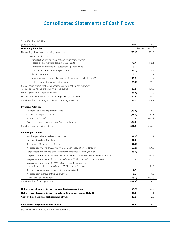# **Consolidated Statements of Cash Flows**

Years ended December 31 

| (millions of dollars)                                                                                                      | 2006    | 2005               |
|----------------------------------------------------------------------------------------------------------------------------|---------|--------------------|
| <b>Operating Activities</b>                                                                                                |         | (Restated Note 12) |
| Net earnings (loss) from continuing operations                                                                             | (55.6)  | 101.3              |
| Items not affecting cash:                                                                                                  |         |                    |
| Amortization of property, plant and equipment, intangible                                                                  |         |                    |
| assets and convertible debenture issue costs                                                                               | 79.4    | 115.1              |
| Amortization of natural gas customer acquisition costs                                                                     | 3.2     | 2.4                |
| Trust unit incentive plan compensation                                                                                     | (1.2)   | (4.6)              |
| Pension expense                                                                                                            | 2.2     | 1.7                |
| Impairment of property, plant and equipment and goodwill (Note 5)                                                          | 218.7   |                    |
| Future income tax recovery of Superior                                                                                     | (109.2) | (19.9)             |
| Cash generated from continuing operations before natural gas customer<br>acquisition costs and changes in working capital  | 137.5   | 196.0              |
| Natural gas customer acquisition costs                                                                                     | (8.4)   | (7.0)              |
| Decrease (increase) in non-cash operating working capital items                                                            | 22.6    | (44.9)             |
| Cash flows from operating activities of continuing operations                                                              | 151.7   | 144.1              |
|                                                                                                                            |         |                    |
| <b>Investing Activities</b>                                                                                                |         |                    |
| Maintenance capital expenditures, net                                                                                      | (13.8)  | (16.5)             |
| Other capital expenditures, net                                                                                            | (53.0)  | (38.3)             |
| Acquisitions (Note 4)                                                                                                      |         | (471.2)            |
| Proceeds on sale of JW Aluminum Company (Note 3)                                                                           | 354.7   |                    |
| Cash flows from investing activities                                                                                       | 287.9   | (526.0)            |
|                                                                                                                            |         |                    |
| <b>Financing Activities</b>                                                                                                |         |                    |
| Revolving term bank credits and term loans                                                                                 | (122.7) | 19.2               |
| Issuance of Medium Term Notes                                                                                              | 197.2   |                    |
| Repayment of Medium Term Notes                                                                                             | (197.2) |                    |
| Proceeds (repayment) of JW Aluminum Company acquisition credit facility                                                    | (167.8) | 170.8              |
| Net proceeds (repayment) of accounts receivable sales program (Note 6)                                                     | (5.0)   |                    |
| Net proceeds from issue of 5.75% Series1 convertible unsecured subordinated debentures                                     |         | 167.6              |
| Net proceeds from issue of trust units, to finance JW Aluminum Company acquisition                                         |         | 151.4              |
| Net proceeds from issue of 5.85% Series 1 convertible unsecured<br>subordinated debentures, to finance JW Aluminum Company |         | 71.8               |
| Receipt of management internalization loans receivable                                                                     | 2.1     | 1.3                |
| Proceeds from exercise of trust unit warrants                                                                              | 0.2     | 16.5               |
| Distributions to Unitholders                                                                                               | (155.7) | (192.0)            |
| Cash flows from financing activities                                                                                       | (448.9) | 406.6              |
|                                                                                                                            |         |                    |
| Net increase (decrease) in cash from continuing operations                                                                 | (9.3)   | 24.7               |
| Net increase (decrease) in cash from discontinued operations (Note 3)                                                      | 23.0    | (7.1)              |
| Cash and cash equivalents beginning of year                                                                                | 19.9    | 2.3                |
|                                                                                                                            |         |                    |
| Cash and cash equivalents end of year                                                                                      | 33.6    | 19.9               |

(See Notes to the Consolidated Financial Statements)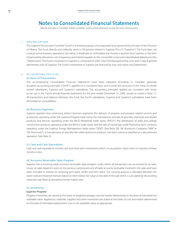# **Notes to Consolidated Financial Statements**

(tabular amounts in Canadian millions of dollars, unless noted otherwise, except per trust unit amounts)

#### 1. ORGANIZATION

The Superior Plus Income Fund (the "Fund") is a limited purpose, unincorporated trust governed by the laws of the Province of Alberta. The Fund, directly and indirectly, owns a 100 percent interest in Superior Plus LP ("Superior"). The Fund does not conduct active business operations, but rather, it distributes to Unitholders the income it receives from Superior in the form of partnership allocations, net of expenses and interest payable on the convertible unsecured subordinated debentures (the "Debentures"). The Fund'sinvestment in Superior is comprised of 2,997 Class A limited partnership units and 3 Class B general partnership units of Superior. The Fund's investments in Superior are financed by trust unit equity and Debentures.

#### 2. A CCOUNTING POLICIES

#### (a) Basis of Presentation

The accompanying Consolidated Financial Statements have been prepared according to Canadian generally accepted accounting principles ("GAAP"), applied on a consistent basis, and include the accounts of the Fund, its wholly owned subsidiaries, Superior and Superior's subsidiaries. The accounting principles applied are consistent with those as set out in the Fund's annual financial statements for the year ended December 31, 2005, except as noted in Note 12. All transactions and balances between the Fund, the Fund's subsidiaries, Superior and Superior's subsidiaries have been eliminated on consolidation.

#### (b) Business Segments

Superior operates four continuing distinct business segments: the delivery of propane and propane related services and accessories operating under the Superior Propane trade name; the manufacture and sale of specialty chemicals and related products and services operating under the ERCO Worldwide trade name ("ERCO"); the distribution of walls and ceilings construction products operating under the Winroc trade name; and the sale of natural gas under fixed-price term contracts operating under the Superior Energy Management trade name ("SEM"). (See Note 20). JW Aluminum Company ("JWA" or "JW Aluminum"), a manufacturer of specialty flat-rolled aluminum products, has been sold and classified as a discontinued operation. (See Note 3).

#### (c) Cash and Cash Equivalents

Cash and cash equivalents include cash and short-term investments which, on acquisition, have a term to maturity of three months or less.

#### (d) Accounts Receivable Sales Program

Superior has a revolving trade accounts receivable sales program under which all transactions are accounted for as sales. Losses on sales depend in part on the previous carrying amount of trade accounts receivable involved in the sales and have been included in interest on revolving term bank credits and term loans. The carrying amount is allocated between the assets sold and retained interests based on their relative fair value at the date of the sale which is calculated by discounting expected cash flows at prevailing money market rates.

#### (e) Inventories

#### *Superior Propane*

Propane inventories are valued at the lower of weighted average cost and market determined on the basis of estimated net realizable value. Appliances, materials, supplies and other inventories are stated at the lower of cost and market determined on the basis of estimated replacement cost or net realizable value, as appropriate.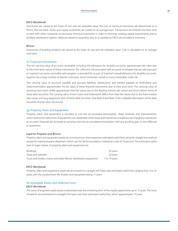#### *ERCO Worldwide*

Inventories are valued at the lower of cost and net realizable value. The cost of chemical inventories are determined on a first-in, first-out basis. Stores and supply inventories are costed on an average basis. Transactions are entered into from time to time with other companies to exchange chemical inventories in order to minimize working capital requirements and to facilitate distribution logistics. Balances related to quantities due to or payable by ERCO are included in inventory.

#### *Winroc*

Inventories of building products are valued at the lower of cost and net realizable value. Cost is calculated on an average cost basis.

#### (f) Financial Instruments

The net carrying value of accounts receivable, including the allowance for doubtful accounts, approximates fair value due to the short-term nature of these instruments. The collection risk associated with accounts receivable that are sold pursuant to Superior's accounts receivable sales program, is provided for as part of Superior's overall allowance for doubtful accounts. Superior has a large number of diverse customers, which minimizes overall accounts receivable credit risk.

The carrying value of accounts payable and accrued liabilities, distributions and interest payable to Unitholders and Debentureholders approximates the fair value of these financial instruments due to their short term. The carrying value of revolving term bank credits approximate their fair values due to the floating interest rate nature and short rollover terms of these debt securities. The carrying value of term loans and Debentures differs from their fair values due to the fixed interest rate nature and long repayment term of these debt securities. (See Note 9 and Note 10 for a detailed description of the debt securities and fair value disclosure).

#### (g) Property, Plant and Equipment

Property, plant, and equipment is recorded at cost less accumulated amortization. Major renewals and improvements, which extend the useful lives of equipment, are capitalized, while repair and maintenance expenses are charged to operations as incurred. Disposals are removed at carrying costs less accumulated amortization with any resulting gain or loss reflected in operations.

#### *Superior Propane and Winroc*

Property, plant and equipment assets are amortized over their respective estimated useful lives using the straight line method except for loaned propane dispensers which use the declining balance method at a rate of 10 percent. The estimated useful lives of major classes of property, plant and equipment are:

| Buildings                                                          | 20 vears      |
|--------------------------------------------------------------------|---------------|
| Tanks and cylinders                                                | 20 vears      |
| Truck tank bodies, chassis and other Winroc distribution equipment | 7 to 10 years |

#### *ERCO Worldwide*

Property, plant and equipment assets are amortized on a straight-line basis over estimated useful lives ranging from 3 to 25 years, with the predominant life of plant and equipment being 15 years.

#### (h) Intangible Assets and Deferred Costs

#### *ERCO Worldwide*

The value of acquired royalty assets is amortized over the remaining term of the royalty agreements up to 10 years. The costs of patents are amortized on a straight-line basis over their estimated useful lives, which approximates 10 years.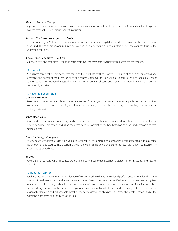#### *Deferred Finance Charges*

Superior defers and amortizes the issue costs incurred in conjunction with its long-term credit facilities to interest expense over the term of the credit facility or debt instrument.

#### *Natural Gas Customer Acquisition Costs*

Costs incurred by SEM to acquire natural gas customer contracts are capitalized as deferred costs at the time the cost is incurred. The costs are recognized into net earnings as an operating and administrative expense over the term of the underlying contracts.

#### *Convertible Debenture Issue Costs*

Superior defers and amortizes Debenture issue costs over the term of the Debentures adjusted for conversions.

#### (i) Goodwill

All business combinations are accounted for using the purchase method. Goodwill is carried at cost, is not amortized and represents the excess of the purchase price and related costs over the fair value assigned to the net tangible assets of businesses acquired. Goodwill is tested for impairment on an annual basis, and would be written down if the value was permanently impaired.

#### (j) Revenue Recognition

#### *Superior Propane*

Revenues from sales are generally recognized at the time of delivery, or when related services are performed. Amounts billed to customers for shipping and handling are classified as revenues, with the related shipping and handling costs included in cost of goods sold.

#### *ERCO Worldwide*

Revenues from chemical sales are recognized as products are shipped. Revenues associated with the construction of chlorine dioxide generators are recognized using the percentage-of-completion method based on cost incurred compared to total estimated cost.

#### *Superior Energy Management*

Revenues are recognized as gas is delivered to local natural gas distribution companies. Costs associated with balancing the amount of gas used by SEM's customers with the volumes delivered by SEM to the local distribution companies are recognized as period costs.

#### *Winroc*

Revenue is recognized when products are delivered to the customer. Revenue is stated net of discounts and rebates granted.

#### (k) Rebates – Winroc

Purchase rebates are recognized as a reduction of cost of goods sold when the related performance is completed and the inventory is sold. Vendor rebates that are contingent upon Winroc completing a specified level of purchases are recognized as a reduction of cost of goods sold based on a systematic and rational allocation of the cash consideration to each of the underlying transactions that results in progress toward earning that rebate or refund, assuming that the rebate can be reasonably estimated and it is probable that the specified target will be obtained. Otherwise, the rebate is recognized as the milestone is achieved and the inventory is sold.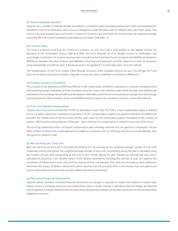#### (l) Future Employee Benefits

Superior has a number of defined benefit and defined contribution plans providing pension and other post-employment benefits to most of its employees, and accrues its obligations under the plans and the related costs, net of plan assets. Past service costs and actuarial gains and losses in excess of 10 percent are amortized into income over the expected average remaining life of the active employees participating in the plans. (See Note 11).

#### (m) Income Taxes

The Fund is a Mutual Fund Trust for income tax purposes. As such, the Fund is only taxable on any taxable income not allocated to the Unitholders. During 2006 and 2005, the Fund allocated all of its taxable income to Unitholders, and accordingly, no provision for income taxes has been recorded at the Fund level. Future tax assets and liabilities are based on differences between the value of assets and liabilities in the financial statements and their values for income tax purposes, using substantially enacted tax rates. A future tax asset is recognized if it is more likely than not to be realized.

The reorganization of the Fund created a flow-through structure under Canadian income tax laws. Accordingly, the Fund does not recognize any future Canadian corporate income tax assets or liabilities on temporary differences.

#### (n) Foreign Currency Translation

The accounts of the operations of ERCO and Winroc in the United States, and ERCO's operations in Chile are considered to be self-sustaining foreign operations and are translated using the current rate method, under which all assets and liabilities are translated at the exchange rate prevailing at the balance sheet date, and revenues and expenses at average rates of exchange during the period. Other monetary assets and liabilities held by Superior are converted using the current rate method.

#### (o) Trust Unit-Based Compensation

Superior has a Trust Unit Incentive Plan ("TUIP") as described in Note 16(ii). The TUIP is a Stock Appreciation Right as defined by the Canadian Institute of Chartered Accountants ("CICA"). Compensation expense recognized represents the difference between the market price of the trust units and the grant price for the outstanding options multiplied by the number of options, reflecting the vesting features of the plan. Upon exercise, the compensation is settled in trust units of the Fund.

The Fund has established other unit based compensation plans whereby notional units are granted to employees. The fair value of these notional units is estimated and recorded as an expense with an offsetting amount to accrued liabilities, with the payments settled in cash.

#### (p) Net Earnings per Trust Unit

Basic net earnings per trust unit is calculated by dividing the net earnings by the weighted average number of trust units outstanding during the period. The weighted average number of trust units outstanding during the year is calculated using the number of trust units outstanding at the end of each month during the year. Diluted net earnings per trust unit is calculated by factoring in the dilutive impact of the dilutive instruments, including the exercise of trust unit options, the conversion of Debentures to trust units, and the exercise of trust unit warrants. The Fund uses the treasury stock method to determine the impact of dilutive instruments, which assumes that the proceeds from in-the-money trust unit options are used to repurchase trust units at the average market price during the period.

#### (q) Derivative Financial Instruments

Superior utilizes derivative and other financial instruments to manage its exposure to market risks related to interest rates, foreign currency exchange rates and commodity prices. Gains or losses relating to derivatives that are hedges are deferred and recognized in the same period and in the same financial statement category as the gains and losses on the corresponding hedged transactions.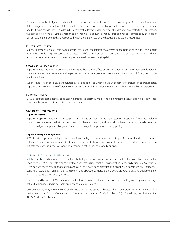A derivative must be designated and effective to be accounted for as a hedge. For cash flow hedges, effectivenessis achieved if the changes in the cash flows of the derivatives substantially offset the changes in the cash flows of the hedged position and the timing of cash flows is similar. In the event that a derivative does not meet the designation or effectiveness criterion, the gain or loss on the derivative is recognized in income. If a derivative that qualifies as a hedge is settled early, the gain or loss at settlement is deferred and recognized when the gain or loss on the hedged transaction is recognized.

#### *Interest Rate Hedging*

Superior enters into interest rate swap agreements to alter the interest characteristics of a portion of its outstanding debt from a fixed to floating rate basis or vice versa. The differential between the amounts paid and received is accrued and recognized as an adjustment to interest expense related to the underlying debt.

#### *Foreign Exchange Hedging*

Superior enters into foreign exchange contracts to hedge the effect of exchange rate changes on identifiable foreign currency denominated revenues and expenses in order to mitigate the potential negative impact of foreign exchange rate fluctuations.

Superior has foreign currency denominated assets and liabilities which create an exposure to changes in exchange rates. Superior uses a combination of foreign currency derivatives and US dollar denominated debt to hedge this net exposure.

#### *Electrical Hedging*

ERCO uses fixed-cost electrical contracts in deregulated electrical markets to help mitigate fluctuations in electricity costs which are the most significant variable productions costs.

#### *Commodity Price Hedging*

#### **Superior Propane**

Superior Propane offers various fixed-price propane sales programs to its customers. Customer fixed-price volume commitments are resourced with a combination of physical inventory and forward purchase contracts for similar terms, in order to mitigate the potential negative impact of a change in propane commodity pricing.

#### **Superior Energy Management**

SEM offers fixed-price natural gas contracts to its natural gas customers for terms of up to five years. Fixed-price customer volume commitments are resourced with a combination of physical and financial contracts for similar terms, in order to mitigate the potential negative impact of a change in natural gas commodity pricing.

#### 3. DISPOSITION - JW ALUMINUM

In July 2006, the Fund announced the results of its strategic review designed to maximize Unitholder value which included the decision to sell JWA in order to reduce debt levels and refocusits operations on its existing Canadian businesses. Accordingly, JWA's balance sheet, results of operations and cash flows have been classified as discontinued operations on a retroactive basis. As a result of its classification as a discontinued operation, amortization of JWA's property, plant and equipment and intangible assets ceased on July 1, 2006.

The assets and liabilities of JWA were valued at the lower of cost or estimated net fair value, resulting in an impairment charge of \$56.3 million included in net loss from discontinued operations.

On December 7, 2006, the Fund completed the sale of all of the issued and outstanding shares of JWA on a cash and debt free basis to Wellspring Capital Management LLC, for total consideration of \$354.7 million (US \$308.9 million), net of \$4.9 million (US \$4.3 million) in disposition costs.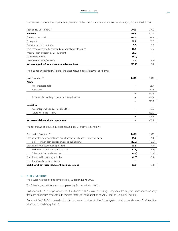The results of discontinued operations presented in the consolidated statements of net earnings (loss) were as follows:

| Years ended December 31                                       | 2006   | 2005  |
|---------------------------------------------------------------|--------|-------|
| Revenue                                                       | 573.3  | 112.2 |
| Cost of product sold                                          | 514.6  | 99.7  |
| Gross profit                                                  | 58.7   | 12.5  |
| Operating and administrative                                  | 9.5    | 2.2   |
| Amortization of property, plant and equipment and intangibles | 19.1   | 7.9   |
| Impairment of property, plant, equipment                      | 56.3   |       |
| Gain on sale of JWA                                           | (4.7)  |       |
| Income tax expense (recovery)                                 | 3.7    | (0.7) |
| Net earnings (loss) from discontinued operations              | (25.2) | 3.1   |

The balance sheet information for the discontinued operations was as follows:

| As at December 31                                  | 2006 | 2005  |
|----------------------------------------------------|------|-------|
| <b>Assets</b>                                      |      |       |
| Accounts receivable                                |      | 85.7  |
| Inventories                                        |      | 47.1  |
|                                                    |      | 132.8 |
| Property, plant and equipment and intangibles, net |      | 489.4 |
|                                                    |      | 622.2 |
| <b>Liabilities</b>                                 |      |       |
| Accounts payable and accrued liabilities           |      | 47.9  |
| Future income tax liability                        |      | 162.2 |
|                                                    |      | 210.1 |
| Net assets of discontinued operations              |      | 412.1 |

The cash flows from (used in) discontinued operations were as follows:

| Years ended December 31                                                       | 2006   | 2005   |
|-------------------------------------------------------------------------------|--------|--------|
| Cash generated from discontinued operations before changes in working capital | 41.7   | 9.1    |
| Increase in non-cash operating working capital items                          | (12.2) | (13.8) |
| Cash flows from discontinued operations                                       | 29.5   | (4.7)  |
| Maintenance capital expenditures, net                                         | (2.8)  | (0.5)  |
| Other capital expenditures, net                                               | (3.7)  | (1.9)  |
| Cash flows used in investing activities                                       | (6.5)  | (2.4)  |
| Cash flows from financing activities                                          |        |        |
| Cash flows from (used in) discontinued operations                             | 23.0   | (7.1)  |

#### 4. A CQUISITIONS

There were no acquisitions completed by Superior during 2006.

The following acquisitions were completed by Superior during 2005:

On October 19, 2005, Superior acquired the shares of JW Aluminum Holding Company, a leading manufacturer of specialty flat rolled aluminum products in the United States, for consideration of \$405.4 million (US \$344.2 million).

On June 7, 2005, ERCO acquired a chloralkali potassium businessin Port Edwards, Wisconsin for consideration of \$22.4 million (the "Port Edwards" acquisition).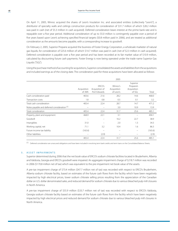On April 11, 2005, Winroc acquired the shares of Leon's Insulation Inc. and associated entities (collectively "Leon's"), a distributor of specialty walls and ceilings construction products for consideration of \$31.7 million of which \$28.2 million was paid in cash (net of \$5.3 million in cash acquired). Deferred consideration bears interest at the prime bank rate and is repayable over a five year period. Additional consideration of up to \$5.0 million is contingently payable over a period of five years based upon Leon's achieving specified financial targets (\$0.8 million paid in 2006), and are treated as additional consideration as the amounts become payable, with a corresponding increase to goodwill.

On February 2, 2005, Superior Propane acquired the business of Foster Energy Corporation, a wholesale marketer of natural gas liquids, for consideration of \$25.6 million of which \$14.7 million was paid in cash (net of \$2.3 million in cash acquired). Deferred consideration is payable over a five year period and has been recorded at its fair market value of \$10.9 million, calculated by discounting future cash payments. Foster Energy is now being operated under the trade name Superior Gas Liquids ("SGL").

Using the purchase method of accounting for acquisitions, Superior consolidated the assets and liabilities from the acquisitions and included earnings as of the closing date. The consideration paid for these acquisitions have been allocated as follows:

|                                                         | 2005                  |                                          |                                      |                                                |         |  |
|---------------------------------------------------------|-----------------------|------------------------------------------|--------------------------------------|------------------------------------------------|---------|--|
|                                                         | Acquisition<br>of JWA | ERCO's<br>Acquisition of<br>Port Edwards | Winroc's<br>Acquisition<br>of Leon's | Superior<br>Propane's<br>Acquisition<br>of SGL | Total   |  |
| Cash consideration paid                                 | 403.6                 | 21.6                                     | 28.2                                 | 14.6                                           | 468.0   |  |
| Transaction costs                                       | 1.8                   | 0.8                                      | 0.5                                  | 0.1                                            | 3.2     |  |
| Total cash consideration                                | 405.4                 | 22.4                                     | 28.7                                 | 14.7                                           | 471.2   |  |
| Notes payable and deferred consideration <sup>(1)</sup> |                       | $\qquad \qquad =$                        | 3.0                                  | 10.9                                           | 13.9    |  |
| Total consideration                                     | 405.4                 | 22.4                                     | 31.7                                 | 25.6                                           | 485.1   |  |
| Property, plant and equipment                           | 468.9                 | 22.1                                     | 3.1                                  |                                                | 494.1   |  |
| Goodwill                                                | $\equiv$              |                                          | 16.2                                 | 22.7                                           | 38.9    |  |
| Intangibles                                             | 31.0                  | $\overline{\phantom{0}}$                 | 2.0                                  | 1.3                                            | 34.3    |  |
| Working capital, net                                    | 71.1                  | 3.2                                      | 10.4                                 | 1.6                                            | 86.3    |  |
| Future income tax liability                             | (165.6)               |                                          | -                                    |                                                | (165.6) |  |
| Other liabilities                                       | -                     | (2.9)                                    |                                      |                                                | (2.9)   |  |
|                                                         | 405.4                 | 22.4                                     | 31.7                                 | 25.6                                           | 485.1   |  |

<sup>(1)</sup> Deferred consideration are unsecured obligations and have been included in revolving term bank credits and term loans on the Consolidated Balance Sheets.

#### 5. A SSET IMPAIRMENTS

Superior determined during 2006 that the net book value of ERCO's sodium chlorate facilities located in Bruderheim, Alberta and Valdosta, Georgia and ERCO's goodwill were impaired. An aggregate impairment charge of \$218.7 million was recorded in 2006 (\$170.8 million net of tax) which was equivalent to the pre-impairment net book value of the assets.

A pre-tax impairment charge of \$73.4 million (\$47.7 million net of tax) was recorded with respect to ERCO's Bruderheim, Alberta sodium chlorate facility, based on estimates of the future cash flows from the facility which have been negatively impacted by high electrical prices, lower sodium chlorate selling prices resulting from the appreciation of the Canadian dollar on U.S. dollar denominated sales, and reduced demand for sodium chlorate due to various bleached pulp mill closures in North America.

A pre-tax impairment charge of \$55.9 million (\$33.7 million net of tax) was recorded with respect to ERCO's Valdosta, Georgia sodium chlorate facility based on estimates of the future cash flows from the facility which have been negatively impacted by high electrical prices and reduced demand for sodium chlorate due to various bleached pulp mill closures in North America.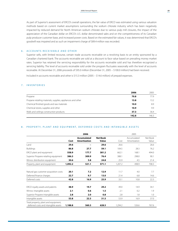As part of Superior's assessment of ERCO's overall operations, the fair value of ERCO was estimated using various valuation methods based on current market assumptions surrounding the sodium chlorate industry which has been negatively impacted by reduced demand for North American sodium chlorate due to various pulp mill closures, the impact of the appreciation of the Canadian dollar on ERCO's U.S. dollar denominated sales and on the competitiveness of its Canadian pulp producer customer base, and increased power costs. Based on the estimated fair values, it was determined that ERCO's goodwill was impaired and as such an impairment charge of \$89.4 million was recorded.

#### 6. A CCOUNTS RECEIVABLE AND OTHER

Superior sells, with limited recourse, certain trade accounts receivable on a revolving basis to an entity sponsored by a Canadian chartered bank. The accounts receivable are sold at a discount to face value based on prevailing money market rates. Superior has retained the servicing responsibility for the accounts receivable sold and has therefore recognized a servicing liability. The level of accounts receivable sold under the program fluctuates seasonally with the level of accounts receivable. At December 31, 2006 proceeds of \$95.0 million (December 31, 2005 – \$100.0 million) had been received.

Included in accounts receivable and other is \$15.3 million (2005 – \$14.6 million) of prepaid expenses.

#### 7. INVENTORIES

|                                                             | 2006  | 2005  |
|-------------------------------------------------------------|-------|-------|
| Propane                                                     | 70.8  | 77.9  |
| Propane retailing materials, supplies, appliances and other | 13.8  | 13.2  |
| Chemical finished goods and raw materials                   | 10.0  | 8.9   |
| Chemical stores, supplies and other                         | 10.9  | 9.9   |
| Walls and ceilings construction products                    | 37.3  | 36.4  |
|                                                             | 142.8 | 146.3 |

#### 8. PROPERTY, PLANT AND EQUIPMENT, DEFERRED COSTS AND INTANGIBLE ASSETS

|                                                                              |              | 2006                               |                                 |              | 2005                        |                   |
|------------------------------------------------------------------------------|--------------|------------------------------------|---------------------------------|--------------|-----------------------------|-------------------|
|                                                                              | Cost         | Accumulated<br><b>Amortization</b> | <b>Net Book</b><br><b>Value</b> | Cost         | Accumulated<br>Amortization | Net Book<br>Value |
| I and                                                                        | 29.6         |                                    | 29.6                            | 26.6         |                             | 26.6              |
| <b>Buildings</b>                                                             | 86.8         | 27.7                               | 59.1                            | 104.5        | 28.3                        | 76.2              |
| ERCO plant and equipment                                                     | 558.9        | 177.7                              | 381.2                           | 662.1        | 168.1                       | 494.0             |
| Superior Propane retailing equipment                                         | 386.3        | 309.9                              | 76.4                            | 388.1        | 298.0                       | 90.1              |
| Winroc distribution equipment                                                | 30.6         | 5.8                                | 24.8                            | 25.9         | 4.5                         | 21.4              |
| Property, plant and equipment                                                | 1,092.2      | 521.1                              | 571.1                           | 1,207.2      | 498.9                       | 708.3             |
| Natural gas customer acquisition costs<br>Deferred finance charges           | 20.1<br>22.7 | 7.2<br>9.7                         | 12.9<br>13.0                    | 11.7<br>21.4 | 4.0<br>6.8                  | 7.7<br>14.6       |
| Deferred costs                                                               | 42.8         | 16.9                               | 25.9                            | 33.1         | 10.8                        | 22.3              |
| ERCO royalty assets and patents                                              | 48.9         | 19.7                               | 29.2                            | 49.0         | 14.9                        | 34.1              |
| Winroc intangible assets                                                     | 2.1          | 0.6                                | 1.5                             | 2.1          | 0.2                         | 1.9               |
| Superior Propane intangible assets                                           | 2.8          | 2.0                                | 0.8                             | 2.8          | 1.8                         | 1.0               |
| Intangible assets                                                            | 53.8         | 22.3                               | 31.5                            | 53.9         | 16.9                        | 37.0              |
| Total property, plant and equipment,<br>deferred costs and intangible assets | 1,188.8      | 560.3                              | 628.5                           | 1.294.2      | 526.6                       | 767.6             |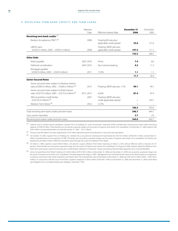#### 9. REVOLVING TERM BANK CREDITS AND TERM LOANS

|                                                                                                            | Maturity<br>Date | <b>Effective Interest Rate</b>                       | December 31<br>2006 | December<br>2005 |
|------------------------------------------------------------------------------------------------------------|------------------|------------------------------------------------------|---------------------|------------------|
| Revolving term bank credits (1)                                                                            |                  |                                                      |                     |                  |
| Bankers Acceptances ("BA") (2)                                                                             | 2008             | Floating BA rate plus<br>applicable credit spread    | 35.0                | 157.6            |
| <b>LIBOR Loans</b>                                                                                         |                  | Floating LIBOR rate plus                             |                     |                  |
| (US\$92.3 million; 2005 - US\$95.3 million)                                                                | 2008             | applicable credit spread                             | 107.5               | 111.1            |
|                                                                                                            |                  |                                                      | 142.5               | 268.7            |
| <b>Other Debt</b>                                                                                          |                  |                                                      |                     |                  |
| Notes payable                                                                                              | 2007-2010        | Prime                                                | 7.4                 | 8.0              |
| Deferred consideration                                                                                     | 2007-2010        | Non-interest bearing                                 | 9.2                 | 11.3             |
| Mortgage payable                                                                                           |                  |                                                      |                     |                  |
| (US\$0.9 million; 2005 - US\$0.9 million)                                                                  | 2011             | 7.53%                                                | 1.1                 | 1.1              |
|                                                                                                            |                  |                                                      | 17.7                | 20.4             |
| <b>Senior Secured Notes</b>                                                                                |                  |                                                      |                     |                  |
| Senior secured notes subject to floating interest<br>rates (US\$85.0 million; 2005 - US\$85.0 million) (5) | 2015             | Floating LIBOR rate plus 1.7%                        | 99.1                | 99.1             |
| Senior secured notes subject to fixed interest<br>rates (US\$75.0 million; 2005 - US\$75.0 million) (5)    | 2013, 2015       | 6.65%                                                | 87.4                | 87.4             |
| JWA acquisition credit facility<br>$(US$145.0 million)$ <sup>(3)</sup>                                     | 2007             | Floating LIBOR rate plus<br>credit applicable spread |                     | 169.1            |
| Medium Term Notes <sup>(4)</sup>                                                                           | 2016             | 5.57%                                                |                     |                  |
|                                                                                                            |                  |                                                      | 186.5               | 355.6            |
| Total revolving term bank credits and term loans                                                           |                  |                                                      | 346.7               | 644.7            |
| Less current maturities                                                                                    |                  |                                                      | 2.7                 | 2.0              |
| Revolving term bank credits and term loans                                                                 |                  |                                                      | 344.0               | 642.7            |

(1) Superior and its wholly-owned subsidiaries, Superior Plus US Holdings Inc. and Commercial e Industrial (Chile) Limitada have revolving term bank credit borrowing capacity of \$587.8 million. These facilities are secured by a general charge over the assets of Superior and certain of its subsidiaries. At December 31, 2006 Superior had \$20.6 million of outstanding letters of credit (December 31, 2005 – \$25.7 million).

(2) The prior year BA balance has been adjusted by \$19.9 million representing the reclassification to cash and cash equivalents.

(3) On October 19, 2005, Superior Plus US Holdings Inc. entered into a secured non-revolving term bank facility for US\$145.0 million (CDN\$169.1 million at December 31, 2005) to partially finance the acquisition of JWA. The facility was secured by a general charge over the assets of Superior and certain of its subsidiaries. This facility was repaid and cancelled in March 2006 from proceeds raised through the issuance of Medium Term Notes.

(4) On March 3, 2006, Superior issued \$200.0 million, 5.50 percent coupon, Medium Term Notes maturing on March 3, 2016 with an effective yield to maturity of 5.57 percent. These facilities are secured by a general charge over the assets of Superior and certain of its subsidiaries. On August 8, 2006, Superior repaid the Medium Term Notes from borrowings under the revolving term credit facilities referred to in footnote 1 above, providing enhanced debt repayment and covenant flexibility.

<sup>(5)</sup> Senior Secured Notes (the "Notes") totaling US \$160.0 million (CDN \$186.5 million at December 31, 2006 and December 31, 2005) are secured by a general charge over the assets of Superior and certain of its subsidiaries. Principal repayments begin in 2009. Management has estimated the fair value of the Notes based on comparisons to treasury instruments with similar maturities and interest rates. The estimated fair value of the Notes at December 31, 2006 was CDN \$181.0 million (2005 – CDN \$183.5 million). In conjunction with the issue of the Notes, Superior swapped US \$85.0 million (CDN \$99.1 million at December 31, 2006 and December 31, 2005) of the fixed rate obligation into a US dollar floating rate obligation. (See Note 17(ii)).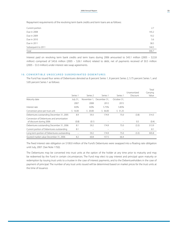Repayment requirements of the revolving term bank credits and term loans are as follows:

| Current portion    | 2.7   |
|--------------------|-------|
| Due in 2008        | 145.2 |
| Due in 2009        | 10.2  |
| Due in 2010        | 5.6   |
| Due in 2011        | 38.5  |
| Subsequent to 2011 | 144.5 |
| Total              | 346.7 |

Interest paid on revolving term bank credits and term loans during 2006 amounted to \$43.1 million (2005 – \$22.8 million) comprised of \$43.6 million (2005 – \$26.1 million) related to debt, net of payments received of \$0.5 million (2005 – \$3.3 million) under interest rate swap agreements.

#### 10. CONVERTIBLE UNSECURED SUBORDINATED DEBENTURES

The Fund has issued four series of Debentures denoted as 8 percent Series 1, 8 percent Series 2, 5.75 percent Series 1, and 5.85 percent Series 1 as follows:

|                                                                      |          |                     |                          |             |                         | Total             |
|----------------------------------------------------------------------|----------|---------------------|--------------------------|-------------|-------------------------|-------------------|
|                                                                      | Series 1 | Series <sub>2</sub> | Series 1                 | Series 1    | Unamortized<br>Discount | Carrying<br>Value |
| Maturity date                                                        | July 31, |                     | November 1. December 31. | October 31, |                         |                   |
|                                                                      | 2007     | 2008                | 2012                     | 2015        |                         |                   |
| Interest rate                                                        | 8.0%     | 8.0%                | 5.75%                    | 5.85%       |                         |                   |
| Conversion price per trust unit                                      | \$16.00  | \$20.00             | \$36.00                  | \$31.25     |                         |                   |
| Debentures outstanding December 31, 2005                             | 8.9      | 59.3                | 174.9                    | 75.0        | (3.8)                   | 314.3             |
| Conversion of Debentures and amortization<br>of discount during 2006 | (0.8)    | (0.1)               |                          |             | 0.5                     | (0.4)             |
| Debentures outstanding December 31, 2006                             | 8.1      | 59.2                | 174.9                    | 75.0        | (3.3)                   | 313.9             |
| Current portion of Debentures outstanding                            | 8.1      | $\equiv$            |                          |             |                         | 8.1               |
| Long term portion of Debentures outstanding                          |          | 59.2                | 174.9                    | 75.0        | (3.3)                   | 305.8             |
| Quoted market value December 31, 2006                                | 8.2      | 60.8                | 157.5                    | 66.4        |                         |                   |

The fixed interest rate obligation on \$100.0 million of the Fund's Debentures were swapped into a floating rate obligation until July, 2007. (See Note 17(ii)).

The Debentures may be converted into trust units at the option of the holder at any time prior to maturity and may be redeemed by the Fund in certain circumstances. The Fund may elect to pay interest and principal upon maturity or redemption by issuing trust units to a trustee in the case of interest payments, and to the Debentureholders in the case of payment of principal. The number of any trust units issued will be determined based on market prices for the trust units at the time of issuance.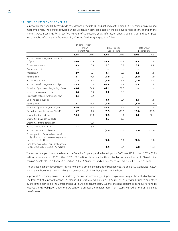#### 11. FUTURE EMPLOYEE BENEFITS

Superior Propane and ERCO Worldwide have defined benefit ("DB") and defined contribution ("DC") pension plans covering most employees. The benefits provided under DB pension plans are based on the employees' years of service and on the highest average earnings for a specified number of consecutive years. Information about Superior's DB and other postretirement benefit plans as at December 31, 2006 and 2005 in aggregate, is as follows:

|                                                                                          |         | Superior Propane     |                      |                          |                          |                    |
|------------------------------------------------------------------------------------------|---------|----------------------|----------------------|--------------------------|--------------------------|--------------------|
|                                                                                          | Pension |                      |                      | <b>FRCO Pension</b>      |                          | <b>Total Other</b> |
|                                                                                          |         | <b>Benefit Plans</b> | <b>Benefit Plans</b> |                          | <b>Benefit Plans</b>     |                    |
|                                                                                          | 2006    | 2005                 | 2006                 | 2005                     | 2006                     | 2005               |
| Accrued benefit obligation, beginning                                                    |         |                      |                      |                          |                          |                    |
| of year                                                                                  | 56.0    | 52.9                 | 56.9                 | 50.2                     | 25.9                     | 17.3               |
| Current service cost                                                                     | 0.3     | 0.3                  | 2.7                  | 2.2                      | 0.5                      | 0.4                |
| Past service cost                                                                        |         |                      |                      | $\overline{\phantom{0}}$ |                          |                    |
| Interest cost                                                                            | 2.9     | 3.1                  | 3.1                  | 3.0                      | 1.4                      | 1.1                |
| Benefits paid                                                                            | (4.1)   | (4.0)                | (1.4)                | (1.9)                    | (1.1)                    | (1.1)              |
| Actuarial loss (gain)                                                                    | (1.2)   | 3.7                  | (0.4)                | 3.4                      | (0.4)                    | 8.2                |
| Accrued benefit obligation, end of year                                                  | 53.9    | 56.0                 | 60.9                 | 56.9                     | 26.3                     | 25.9               |
| Fair value of plan assets, beginning of year                                             | 63.4    | 64.3                 | 45.1                 | 39.7                     |                          |                    |
| Actual return on plan assets                                                             | 6.8     | 5.3                  | 6.5                  | 3.6                      |                          |                    |
| Transfers to defined contribution plan                                                   | (2.5)   | (2.2)                |                      |                          |                          |                    |
| Employer contributions                                                                   |         |                      | 3.0                  | 3.7                      | 1.1                      | 1.1                |
| Benefits paid                                                                            | (4.1)   | (4.0)                | (1.4)                | (1.9)                    | (1.1)                    | (1.1)              |
| Fair value of plan assets, end of year                                                   | 63.6    | 63.4                 | 53.2                 | 45.1                     | $\overline{\phantom{0}}$ | $\qquad \qquad -$  |
| Funded status - plan surplus (deficit)                                                   | 9.7     | 7.4                  | (7.7)                | (11.8)                   | (26.3)                   | (25.9)             |
| Unamortized net actuarial loss                                                           | 14.0    | 18.8                 | (0.2)                | 3.3                      | 9.9                      | 10.8               |
| Unamortized past service costs                                                           |         |                      | 0.6                  | 0.9                      |                          |                    |
| Unamortized transitional asset                                                           |         | (0.3)                |                      | $\overline{\phantom{0}}$ |                          |                    |
| Accrued net pension asset                                                                | 23.7    | 25.9                 |                      |                          |                          |                    |
| Accrued net benefit obligation                                                           |         |                      | (7.3)                | (7.6)                    | (16.4)                   | (15.1)             |
| Current portion of accrued net benefit<br>obligation recorded in accounts payable        |         |                      |                      |                          |                          |                    |
| and accrued liabilities                                                                  |         |                      | (3.4)                | (3.9)                    | (1.1)                    | (1.1)              |
| Long-term accrued net benefit obligation<br>(2006: \$19.2 million; 2005: \$17.7 million) |         |                      | (3.9)                | (3.7)                    | (15.3)                   | (14.0)             |

The accrued net pension asset related to the Superior Propane pension benefit plan in 2006 was \$23.7 million (2005 – \$25.9 million) and an expense of \$2.2 million (2005 – \$1.7 million).The accrued net benefit obligation related to the ERCOWorldwide pension benefit plan in 2006 was \$7.3 million (2005 – \$7.6 million) and an expense of \$2.7 million (2005 – \$2.6 million).

The accrued net benefit obligation related to the total other benefit plans of Superior Propane and ERCO Worldwide in 2006 was \$16.4 million (2005 – \$15.1 million) and an expense of \$2.5 million (2005 – \$1.7 million).

Superior's DC pension plans are fully funded by their nature. Accordingly, DC pension plan assets equal the related obligation. The total cost of Superior Propane's DC plan in 2006 was \$2.5 million (2005 – \$2.2 million) and was fully funded and offset by the return earned on the unrecognized DB plan's net benefit asset. Superior Propane expects to continue to fund its required annual obligation under the DC pension plan over the medium term from returns earned on the DB plan's net benefit asset.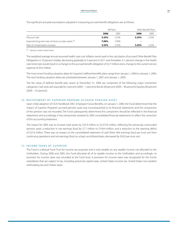The significant actuarial assumptions adopted in measuring accrued benefit obligations are as follows:

|                                                      | DB Plans |         | Other Benefit Plans |       |
|------------------------------------------------------|----------|---------|---------------------|-------|
|                                                      | 2006     | 2005    | 2006                | 2005  |
| Discount rate                                        | 5.25%    | 5.25%   | 5.25%               | 5.25% |
| Expected long-term rate-of-return on plan assets (1) | 7.00%    | 7.00%   | -                   |       |
| Rate of compensation increase                        | 3.25%    | 3 2 5 % | 3.25%               | 3.25% |

(1) Based on market related values. 

The weighted average annual assumed health care cost inflation trend used in the calculation of accrued Other Benefit Plan Obligations is 10 percent initially, decreasing gradually to 5 percent in 2011 and thereafter. A 1 percent change in the health care trend rate would result in a change to the accrued benefit obligation of \$2.7 million and a change to the current service expense of \$0.3 million.

The most recent funding valuation dates for Superior's defined benefits plans range from January 1, 2004 to January 1, 2006. The next funding valuation dates are scheduled between January 1, 2007 and January 1, 2009.

The fair value of defined benefit plan assets at December 31, 2006 are comprised of the following major investment categories: Cash and cash equivalents 2 percent (2005 – 1 percent); Bonds 38 percent (2005 – 46 percent); Equities 60 percent (2005 – 53 percent).

#### 1 2 . R estatement of superior propane accrued pension asset

Upon initial adoption of CICA Handbook 3461, Employee Future Benefits, on January 1, 2000, the Fund determined that the impact of Superior Propane's accrued pension asset was inconsequential to its financial statements and this component of the pension was not recorded. The Fund subsequently determined this component should be reflected in the financial statements and accordingly, it has retroactively restated its 2005 consolidated financial statements to reflect the correction of this accounting treatment.

The impact for 2005 was to increase total assets by \$25.9 million to \$2,373.6 million, reflecting the previously unrecorded pension asset, a reduction in net earnings (loss) by \$1.7 million to \$104.4 million, and a reduction to the opening deficit of \$27.6 million. There was no impact on the consolidated statement of cash flows. Net earnings (loss) per trust unit from continuing operations and net earnings (loss) on a basic and diluted basis, decreased by \$0.02 per trust unit.

#### 13. INCOME TAXES OF SUPERIOR

The Fund is a Mutual Fund Trust for income tax purposes and is only taxable on any taxable income not allocated to the Unitholders. During 2006 and 2005, the Fund allocated all of its taxable income to the Unitholders and accordingly no provision for income taxes was recorded at the Fund level. A provision for income taxes was recognized for the Fund's subsidiaries that are subject to tax, including provincial capital taxes, United States income tax, United States non-resident withholding tax and Chilean taxes.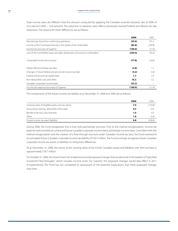Total income taxes are different than the amount computed by applying the Canadian enacted statutory rate of 2006 of 32.5 percent (2005 – 33.6 percent). The reduction in statutory rates reflects previously enacted Federal and Alberta tax rate reductions. The reasons for these differences are as follows:

|                                                                               | 2006    | 2005    |
|-------------------------------------------------------------------------------|---------|---------|
| Net earnings (loss) from continuing operations                                | (55.6)  | 101.3   |
| Income of the Fund taxed directly in the hands of the Unitholders             | (83.8)  | (144.9) |
| Income tax recovery of Superior                                               | (100.0) | (11.9)  |
| Loss of the Fund before taxes and after distribution of income to Unitholders | (239.4) | (55.5)  |
| Computed income tax recovery                                                  | (77.8)  | (18.6)  |
| Higher effective foreign tax rates                                            | (2.8)   | 1.7     |
| Changes in future federal and provincial income tax rates                     | (4.2)   | (1.6)   |
| Federal and provincial capital taxes                                          | 1.7     | 3.4     |
| Non deductible costs and other                                                | 16.3    | 3.2     |
| Canadian corporate income taxes                                               | (33.2)  |         |
| Income tax expense (recovery) of Superior                                     | (100.0) | (11.9)  |

The components of the future income tax liability as at December 31, 2006 and 2005 are as follows:

|                                                   | 2006 | 2005    |
|---------------------------------------------------|------|---------|
| Carrying value of tangible assets over tax values | 7.0  | (116.8) |
| Accounting reserves, deductible when paid         | 0.2  | 12.4    |
| Benefit of tax loss carry forwards                | 1.0  | 6.4     |
| Other                                             | 1.6  | (2.6)   |
| Future income tax asset (liability)               | 9.8  | (100.6) |

During 2006, the Fund reorganized into a trust-over-partnership structure. Prior to the internal reorganization, income tax expense had consisted of current and future Canadian corporate income taxes, and foreign income taxes. Coincident with the internal reorganization and the creation of a flow-through structure under Canadian income tax laws, the Fund reversed its accumulated future Canadian corporate income tax liability of \$33.2 million. The Fund no longer recognizes future Canadian corporate income tax assets or liabilities on temporary differences.

As at December 31, 2006, the excess of the carrying value of the Fund's Canadian assets and liabilities over their tax basis is approximately \$78.7 million.

On October 31, 2006, the Government of Canada announced proposed changes that would result in the taxation of "specified investment flow-throughs", which includes income trusts. For Superior, the proposed changes would take effect in 2011 if implemented. The Fund has not completed its assessment of the potential implications that these proposed changes may have.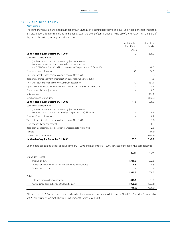#### 14. UNITHOLDERS' EQUITY

#### Authorized

The Fund may issue an unlimited number of trust units. Each trust unit represents an equal undivided beneficial interest in any distributions from the Fund and in the net assets in the event of termination or wind-up of the Fund. All trust units are of the same class with equal rights and privileges.

|                                                                                                                                                                                                                 | <b>Issued Number</b><br>of Trust Units | Unitholders'<br>Equity |
|-----------------------------------------------------------------------------------------------------------------------------------------------------------------------------------------------------------------|----------------------------------------|------------------------|
|                                                                                                                                                                                                                 | (millions)                             |                        |
| Unitholders' equity, December 31, 2004                                                                                                                                                                          | 75.9                                   | 699.5                  |
| Conversion of Debentures-                                                                                                                                                                                       |                                        |                        |
| (8% Series 1 – \$5.0 million converted @ \$16 per trust unit<br>8% Series 2 - \$43.3 million converted @ \$20 per trust unit,<br>and 5.75% Series $1 - $0.1$ million converted @ \$36 per trust unit) (Note 10) | 2.6                                    | 48.0                   |
| Exercise of trust unit warrants                                                                                                                                                                                 | 0.8                                    | 16.5                   |
| Trust unit incentive plan compensation recovery (Note 16(ii))                                                                                                                                                   |                                        | (4.6)                  |
| Repayment of management internalization loans receivable (Note 19(i))                                                                                                                                           |                                        | 1.3                    |
| Trust units issued to finance the JW Aluminum acquisition                                                                                                                                                       | 6.2                                    | 151.4                  |
| Option value associated with the issue of 5.75% and 5.85% Series 1 Debentures                                                                                                                                   |                                        | 3.7                    |
| Currency translation adjustment                                                                                                                                                                                 |                                        | 0.6                    |
| Net earnings                                                                                                                                                                                                    |                                        | 104.4                  |
| Distributions to Unitholders                                                                                                                                                                                    |                                        | (192.0)                |
| Unitholders' equity, December 31, 2005                                                                                                                                                                          | 85.5                                   | 828.8                  |
| Conversion of Debentures-                                                                                                                                                                                       |                                        |                        |
| (8% Series 1 – \$0.8 million converted @ \$16 per trust unit<br>8% Series 2 – \$0.1 million converted @ \$20 per trust unit) (Note 10)                                                                          |                                        | 0.9                    |
| Exercise of trust unit warrants                                                                                                                                                                                 |                                        | 0.2                    |
| Trust unit incentive plan compensation recovery (Note 16(ii))                                                                                                                                                   |                                        | (1.2)                  |
| Currency translation adjustment                                                                                                                                                                                 |                                        | 0.8                    |
| Receipt of management internalization loans receivable (Note 19(i))                                                                                                                                             |                                        | 2.6                    |
| Net loss                                                                                                                                                                                                        |                                        | (80.8)                 |
| Distributions to unitholders                                                                                                                                                                                    |                                        | (155.7)                |
| Unitholders' equity, December 31, 2006                                                                                                                                                                          | 85.5                                   | 595.6                  |

Unitholders' capital and deficit as at December 31, 2006 and December 31, 2005 consists of the following components:

|                                                           | 2006      | 2005    |
|-----------------------------------------------------------|-----------|---------|
| Unitholders' capital                                      |           |         |
| Trust unit equity                                         | 1,336.0   | 1,332.3 |
| Conversion feature on warrants and convertible debentures | 4.8       | 4.8     |
| Contributed surplus                                       |           | 1.2     |
|                                                           | 1,340.8   | 1,338.3 |
| Deficit                                                   |           |         |
| Retained earnings from operations                         | 313.5     | 394.3   |
| Accumulated distributions on trust unit equity            | (1,058.8) | (903.1) |
|                                                           | (745.3)   | (508.8) |

At December 31, 2006, the Fund had 2.3 million trust unit warrants outstanding (December 31, 2005 – 2.3 million), exercisable at \$20 per trust unit warrant. The trust unit warrants expire May 8, 2008.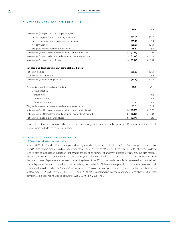#### 15. NET EARNINGS (LOSS) PER TRUST UNIT

|                                                                          | 2006         | 2005       |
|--------------------------------------------------------------------------|--------------|------------|
| Net earnings (loss) per trust unit computation, basic                    |              |            |
| Net earnings (loss) from continuing operations                           | (55.6)       | 101.3      |
| Net earnings (loss) from discontinued operations                         | (25.2)       | 3.1        |
| Net earnings (loss)                                                      | (80.8)       | 104.4      |
| Weighted average trust units outstanding                                 | 85.5         | 79.7       |
| Net earnings (loss) from continuing operations per trust unit, basic     | (0.65)<br>\$ | Ŝ.<br>1.27 |
| Net earnings (loss) from discontinued operations per trust unit, basic   | (0.29)<br>s  | Ŝ.<br>0.04 |
| Net earnings (loss) per trust unit, basic                                | (0.94)<br>\$ | Ŝ.<br>1.31 |
| Net earnings (loss) per trust unit computation, diluted                  |              |            |
| Net earnings (loss)                                                      | (80.8)       | 104.4      |
| Dilutive effect of Debentures                                            |              | 0.8        |
| Net earnings (loss), assuming dilution                                   | (80.8)       | 105.2      |
| Weighted average trust units outstanding<br>Dilutive effect of:          | 85.5         | 79.7       |
| Debentures                                                               |              | 0.6        |
| Trust unit options                                                       |              | 0.1        |
| Trust unit warrants                                                      |              | 0.8        |
| Weighted average trust units outstanding, assuming dilution              | 85.5         | 81.2       |
| Net earnings (loss) from continuing operations per trust unit, diluted   | (0.65)<br>\$ | Ś.<br>1.26 |
| Net earnings (loss) from discontinued operations per trust unit, diluted | (0.29)       | \$<br>0.04 |
| Net earnings (loss) per trust unit, diluted                              | (0.94)<br>\$ | \$<br>1.30 |

Trust unit options and warrants whose exercise price was greater than the market price and Debentures that were antidilutive were excluded from this calculation.

#### 16. TRUST UNIT BASED COMPENSATION

#### (i) Restricted/Performance Units

In June 2006, the Board of Directors approved a program whereby restricted trust units ("RTUs") and/or performance trust units ("PTUs") can be granted to directors, senior officers and employees of Superior. Both types of units entitle the holder to receive cash compensation in relation to the value of a specified number of underlying notional trust units. This plan replaces the trust unit incentive plan for 2006 and subsequent years. RTUs vest evenly over a period of three years commencing from the date of grant. Payments are made on the vesting dates of the RTU to the holders entitled to receive them on the basis of a cash payment equal to the value of the underlying notional units. PTUs vest three years from the date of grant and their notional value is dependant on Superior's performance vis-à-vis other trusts'performance based on certain benchmarks. As at December 31, 2006 there were 493,107 RTUs and 149,487 PTUs outstanding. For the year ended December 31, 2006 total compensation expense related to both units was \$1.2 million (2005 – nil).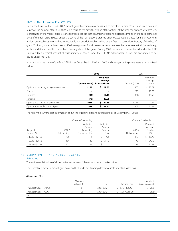#### (ii) Trust Unit Incentive Plan ("TUIP")

Under the terms of the Fund's TUIP, market growth options may be issued to directors, senior officers and employees of Superior. The number of trust units issued is equal to the growth in value of the options at the time the options are exercised, represented by the market price less the exercise price times the number of options exercised, divided by the current market price of the trust units issued. Under the terms of the TUIP, options granted prior to 2003 were granted for a four-year term and are exercisable asto one-third immediately and an additional one-third on the first and second anniversary of the date of grant. Options granted subsequent to 2003 were granted for a five-year term and are exercisable as to one-fifth immediately, and an additional one-fifth on each anniversary date of the grant. During 2006, no trust units were issued under the TUIP. During 2005, a nominal amount of trust units were issued under the TUIP. No additional trust units are anticipated to be issued under the TUIP.

A summary of the status of the Fund's TUIP as at December 31, 2006 and 2005 and changes during these yearsissummarized below:

|                                          | 2006           |                                              | 2005           |                              |
|------------------------------------------|----------------|----------------------------------------------|----------------|------------------------------|
|                                          | Options (000s) | Weighted<br>Average<br><b>Exercise Price</b> | Options (000s) | Weighted<br>Average<br>Price |
| Options outstanding at beginning of year | 1,177          | 22.82<br>\$                                  | 960            | 20.71                        |
| Granted                                  |                |                                              | 298            | 28.75                        |
| Exercised                                | (16)           | 19.13                                        | (81)           | 19.56                        |
| Forfeited                                | (75)           | 25.55                                        |                |                              |
| Options outstanding at end of year       | 1,086          | 22.69<br>s                                   | 1,177          | 22.82                        |
| Options exercisable at end of year       | 539            | 21.51<br>S                                   | 563            | 21.24                        |

The following summarizes information about the trust unit options outstanding as at December 31, 2006:

| Options Outstanding    |             |                                  |                                 | Options Exercisable |                                 |
|------------------------|-------------|----------------------------------|---------------------------------|---------------------|---------------------------------|
| Range of               | (000s)      | Weighted<br>Average<br>Remaining | Weighted<br>Average<br>Exercise | (000's)             | Weighted<br>Average<br>Exercise |
| <b>Exercise Prices</b> | Outstanding | Contractual Life                 | Price                           | Outstanding         | Price                           |
| $$17.46 - $21.00$      | 725         | 5.،                              | 19.75                           | 415                 | 19.72                           |
| $$22.80 - $28.76$      | 154         | 2.2                              | 25.13                           | 75                  | 24.95                           |
| $$29.29 - $32.19$      | 207         | 3.4                              | 31.11                           | 49                  | 31.27                           |

#### 17. DERIVATIVE FINANCIAL INSTRUMENTS

#### Fair Value

The estimated fair value of all derivative instruments is based on quoted market prices.

The unrealized mark-to-market gain (loss) on the Fund's outstanding derivative instruments is as follows:

#### *(i) Natural Gas*

|                         | Volumes<br>(million GJ) | Term      | Average Price | Unrealized<br>Mark-to-Market |
|-------------------------|-------------------------|-----------|---------------|------------------------------|
| Financial Swaps - NYMEX | 64                      | 2007-2012 | 6.78 (US/GJ)  | 26.3                         |
| Financial Swaps - AECO  | 35                      | 2007-2012 | 7.91 (CDN/GJ) | (28.3)                       |
| Total                   |                         |           |               | (2.0)                        |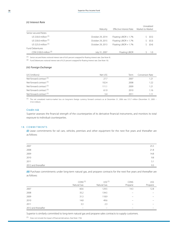#### *(ii) Interest Rate*

|                           | Maturity         | Effective Interest Rate | Unrealized<br>Market-to-Market |
|---------------------------|------------------|-------------------------|--------------------------------|
| Senior secured Notes      |                  |                         |                                |
| US \$30.0 million (1)     | October 29, 2014 | Floating LIBOR $+1.7%$  | (0.5)                          |
| US \$30.0 million $(1)$   | October 29, 2015 | Floating LIBOR + 1.7%   | (0.3)                          |
| US \$25.0 million $(1)$   | October 29, 2013 | Floating LIBOR + 1.7%   | (0.4)                          |
| <b>Fund Debentures</b>    |                  |                         |                                |
| CDN \$100.0 million $(2)$ | July 31, 2007    | Floating LIBOR          | 1.0                            |

(1) Senior secured Notes notional interest rate of 6.65 percent swapped for floating interest rate. (See Note 9).

(2) Fund Debentures notional interest rate of 6.25 percent swapped for floating interest rate. (See Note 10).

#### *(iii) Foreign Exchange*

| (US \$millions)                     | Net US\$ | Term | Conversion Rate |
|-------------------------------------|----------|------|-----------------|
| Net forward contract <sup>(1)</sup> | 27.7     | 2007 | 1.21            |
| Net forward contract <sup>(1)</sup> | 102.4    | 2008 | 1.22            |
| Net forward contract <sup>(1)</sup> | 111.1    | 2009 | 1.21            |
| Net forward contract <sup>(1)</sup> | 61.9     | 2010 | 1.16            |
| Net forward contract <sup>(1)</sup> | 5.4      | 2011 | l.11            |

(1) The net unrealized mark-to-market loss on long-term foreign currency forward contracts as at December 31, 2006 was \$15.7 million (December 31, 2005 – \$16.3 million).

#### Credit risk

Superior assesses the financial strength of the counterparties of its derivative financial instruments, and monitors its total exposure to individual counterparties.

#### 18. COMMITMENTS

*(i)* Lease commitments for rail cars, vehicles, premises and other equipment for the next five years and thereafter are as follows:

| 2007                | 25.5 |
|---------------------|------|
| 2008                | 21.8 |
| 2009                | 14.8 |
| 2010                | 9.8  |
| 2011                | 5.1  |
| 2012 and thereafter | 9.3  |

*(ii)* Purchase commitments under long-term natural gas, and propane contracts for the next five years and thereafter are as follows:

|                     | $CDN$^{(1)}$<br>Natural Gas | $US5^{(1)}$<br>Natural Gas | CDN\$<br>Propane | US\$<br>Propane |
|---------------------|-----------------------------|----------------------------|------------------|-----------------|
| 2007                | 60.6                        | 129.5                      | 14.3             | 12.8            |
| 2008                | 35.2                        | 134.5                      |                  |                 |
| 2009                | 31.3                        | 118.9                      |                  |                 |
| 2010                | 14.8                        | 49.6                       | -                |                 |
| 2011                | 3.3                         | 2.3                        |                  |                 |
| 2012 and thereafter |                             |                            |                  |                 |

Superior is similarly committed to long-term natural gas and propane sales contracts to supply customers.

(1) Does not include the impact of financial derivatives. (See Note 17(i)).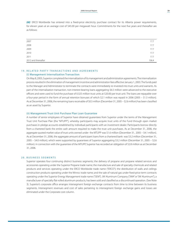| 2007                | 17.7  |
|---------------------|-------|
| 2008                | 17.7  |
| 2009                | 17.7  |
| 2010                | 17.7  |
| 2011                | 17.7  |
| 2012 and thereafter | 106.4 |

#### 19. RELATED PARTY TRANSACTIONS AND AGREEMENTS

#### (i) Management Internalization Transaction

OnMay 8, 2003, Superior completed the internalization of its management and administration agreements.The internalization processresulted in the elimination of managementincentive and administration fees effective January 1, 2003.The funds paid to the Manager and Administrator to terminate the contracts were immediately re-invested into trust units and warrants. As part of the internalization transaction, non-interest-bearing loans aggregating \$6.5 million were advanced to the executive officers and were used to fund the purchase of 0.325 million trust units at \$20.00 per trust unit. The loans are repayable over a four-year period in the form of annual retention bonuses of which \$2.1 million was repaid in 2006 (2005 – \$1.3 million). As at December 31, 2006, the remaining loans receivable of \$0.5 million (December 31, 2005 – \$2.6 million) has been classified as an asset by Superior.

#### (ii) Management Trust Unit Purchase Plan Loan Guarantee

A number of senior employees of Superior have obtained guarantees from Superior under the terms of the Management Trust Unit Purchase Plan (the "MTUPP"), whereby participants may acquire trust units of the Fund through open market purchases in pledge accounts established by individual participants with an investment dealer. Participants borrow directly from a chartered bank the entire cash amount required to make the trust unit purchases. As at December 31, 2006, the aggregate quoted market value of trust units owned under the MTUPP was \$1.6 million (December 31, 2005 – \$4.1 million). As at December 31, 2006, the aggregate amount of participant loans from a chartered bank was \$3.2 million (December 31, 2005 – \$4.0 million), which were supported by guarantees of Superior aggregating \$3.2 million (December 31, 2005 – \$2.6 million). In connection with the guarantee of the MTUPP, Superior has recorded an obligation of \$2.8 million as at December 31, 2006.

#### 20. BUSINESS SEGMENTS

Superior operates four continuing distinct business segments; the delivery of propane and propane related services and accessories operating under the Superior Propane trade name; the manufacture and sale of specialty chemicals and related products and services operating under the ERCO Worldwide trade name ("ERCO"); the distribution of walls and ceilings construction products operating under the Winroc trade name; and the sale of natural gas under fixed-price term contracts operating under the Superior Energy Management trade name ("SEM"). JW Aluminum Company ("JWA"or"JW Aluminum"), a manufacturer of specialty flat-rolled aluminum products, has been sold and classified as a discontinued operation. (See Note 3). Superior's corporate office arranges intersegment foreign exchange contracts from time to time between its business segments. Intersegment revenues and cost of sales pertaining to intersegment foreign exchange gains and losses are eliminated under the Corporate cost column.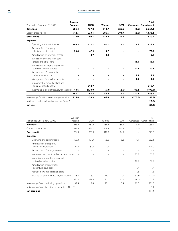### 60 Superior Plus Income Fund

|                                                              | <b>Superior</b> |             |               |            |                               | <b>Total</b> |
|--------------------------------------------------------------|-----------------|-------------|---------------|------------|-------------------------------|--------------|
| Year ended December 31, 2006                                 | Propane         | <b>ERCO</b> | <b>Winroc</b> | <b>SEM</b> | <b>Corporate Consolidated</b> |              |
| <b>Revenues</b>                                              | 985.4           | 437.2       | 518.7         | 325.6      | (2.6)                         | 2,264.3      |
| Cost of products sold                                        | 712.5           | 233.1       | 386.5         | 303.9      | (2.6)                         | 1,633.4      |
| <b>Gross profit</b>                                          | 272.9           | 204.1       | 132.2         | 21.7       |                               | 630.9        |
| <b>Expenses</b>                                              |                 |             |               |            |                               |              |
| Operating and administrative                                 | 185.3           | 122.1       | 87.1          | 11.7       | 17.6                          | 423.8        |
| Amortization of property,<br>plant and equipment             | 20.4            | 47.9        | 3.7           |            |                               | 72.0         |
| Amortization of intangible assets                            |                 | 4.7         | 0.4           |            |                               | 5.1          |
| Interest on revolving term bank<br>credits and term loans    |                 |             |               |            | 43.1                          | 43.1         |
| Interest on convertible unsecured<br>subordinated debentures |                 |             |               |            | 20.2                          | 20.2         |
| Amortization of convertible<br>debenture issue costs         |                 |             |               |            | 2.3                           | 2.3          |
| Management internalization costs                             |                 |             |               |            | 1.3                           | 1.3          |
| Impairment of property, plant, and<br>equipment and goodwill |                 | 218.7       |               |            |                               | 218.7        |
| Income tax expense (recovery) of Superior                    | (48.6)          | (130.0)     | (5.0)         | (2.6)      | 86.2                          | (100.0)      |
|                                                              | 157.1           | 263.4       | 86.2          | 9.1        | 170.7                         | 686.5        |
| Net earnings (loss) from continuing operations               | 115.8           | (59.3)      | 46.0          | 12.6       | (170.7)                       | (55.6)       |
| Net loss from discontinued operations (Note 3)               |                 |             |               |            |                               | (25.2)       |
| <b>Net Loss</b>                                              |                 |             |               |            |                               | (80.8)       |

|                                                              | Superior                 |             |        |                          |           | Total        |
|--------------------------------------------------------------|--------------------------|-------------|--------|--------------------------|-----------|--------------|
| Year ended December 31, 2005                                 | Propane                  | <b>FRCO</b> | Winroc | <b>SEM</b>               | Corporate | Consolidated |
| <b>Revenues</b>                                              | 856.2                    | 431.6       | 486.6  | 288.4                    | (3.6)     | 2,059.2      |
| Cost of products sold                                        | 571.8                    | 224.7       | 368.8  | 273.9                    | (3.6)     | 1,435.6      |
| <b>Gross profit</b>                                          | 284.4                    | 206.9       | 117.8  | 14.5                     |           | 623.6        |
| <b>Expenses</b>                                              |                          |             |        |                          |           |              |
| Operating and administrative                                 | 188.3                    | 101.9       | 78.6   | 9.2                      | 4.1       | 382.1        |
| Amortization of property,<br>plant and equipment             | 17.9                     | 87.4        | 2.7    |                          |           | 108.0        |
| Amortization of intangible assets                            | $\overline{\phantom{0}}$ | 5.1         | 0.3    |                          |           | 5.4          |
| Interest on term bank credits and term loans                 | $\equiv$                 |             |        |                          | 22.8      | 22.8         |
| Interest on convertible unsecured<br>subordinated debentures |                          |             |        |                          | 12.9      | 12.9         |
| Amortization of convertible<br>debenture issue costs         |                          |             |        |                          | 1.7       | 1.7          |
| Management internalization costs                             |                          |             |        | $\overline{\phantom{0}}$ | 1.3       | 1.3          |
| Income tax expense (recovery) of Superior                    | 28.8                     | 5.1         | 14.1   | 1.9                      | (61.8)    | (11.9)       |
|                                                              | 235.0                    | 199.5       | 95.7   | 11.1                     | (19.0)    | 522.3        |
| Net earnings from continuing operations                      | 49.4                     | 7.4         | 22.1   | 3.4                      | 19.0      | 101.3        |
| Net earnings from discontinued operations (Note 3)           |                          |             |        |                          |           | 3.1          |
| <b>Net Earnings</b>                                          |                          |             |        |                          |           | 104.4        |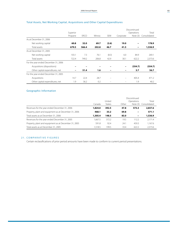|                                      |          |             |        |            |           | Discontinued    |              |
|--------------------------------------|----------|-------------|--------|------------|-----------|-----------------|--------------|
|                                      | Superior |             |        |            |           | Operations      | Total        |
|                                      | Propane  | <b>ERCO</b> | Winroc | <b>SEM</b> | Corporate | Note $(3)$      | Consolidated |
| As at December 31, 2006              |          |             |        |            |           |                 |              |
| Net working capital                  | 60.8     | 32.0        | 69.7   | (2.6)      | 19.0      |                 | 178.9        |
| Total assets                         | 679.5    | 566.4       | 202.8  | 46.7       | 41.5      | $\qquad \qquad$ | 1,536.9      |
| As at December 31, 2005              |          |             |        |            |           |                 |              |
| Net working capital                  | 103.1    | 7.3         | 76.1   | (8.3)      | 6.0       | 84.9            | 269.1        |
| Total assets                         | 722.4    | 749.2       | 206.8  | 42.9       | 30.1      | 622.2           | 2,373.6      |
| For the year ended December 31, 2006 |          |             |        |            |           |                 |              |
| Acquisitions (dispositions)          |          |             |        |            |           | (354.7)         | (354.7)      |
| Other capital expenditures, net      | -        | 51.4        | 1.6    |            |           | 3.7             | 56.7         |
| For the year ended December 31, 2005 |          |             |        |            |           |                 |              |
| Acquisitions                         | 14.7     | 22.4        | 28.7   |            |           | 405.4           | 471.2        |
| Other capital expenditures, net      | 1.9      | 36.2        | 0.2    |            |           | 1.9             | 40.2         |

### Total Assets, Net Working Capital, Acquisitions and Other Capital Expenditures

### Geographic Information

|                                                       |         |        |       | Discontinued |              |
|-------------------------------------------------------|---------|--------|-------|--------------|--------------|
|                                                       |         | United |       | Operations   | Total        |
|                                                       | Canada  | States | Other | Note $(3)$   | Consolidated |
| Revenues for the year ended December 31, 2006         | 1,824.0 | 392.5  | 47.8  | 573.3        | 2,837.6      |
| Property, plant and equipment as at December 31, 2006 | 468.1   | 33.2   | 69.8  |              | 571.1        |
| Total assets as at December 31, 2006                  | 1,305.4 | 148.5  | 83.0  | -            | 1,536.9      |
| Revenues for the year ended December 31, 2005         | 1.667.5 | 372.2  | 19.5  | 112.2        | 2.171.4      |
| Property, plant and equipment as at December 31, 2005 | 591.8   | 92.4   | 24.1  | 459.3        | 1,167.6      |
| Total assets as at December 31, 2005                  | 1.518.5 | 199.5  | 33.4  | 622.2        | 2,373.6      |

#### 21. COMPARATIVE FIGURES

Certain reclassifications of prior period amounts have been made to conform to current period presentations.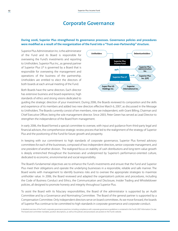### **Corporate Governance**

#### **During 2006, Superior Plus strengthened its governance processes. Governance policies and procedures were modified as a result of the reorganization of the Fund into a "Trust-over-Partnership" structure.**

Superior Plus Administration Inc. is the administrator of the Fund and its Board is responsible for overseeing the Fund's investments and reporting to Unitholders. Superior Plus Inc., as general partner of Superior Plus LP is governed by a Board that is responsible for overseeing the management and operations of the business of the partnership. Unitholders are entitled to elect the directors of both boards at each annual meeting of the Fund.

Both Boards have the same directors. Each director has extensive business and board experience, high standards of ethics and strong visions dedicated to



guiding the strategic direction of your investment. During 2006, the Boards reviewed its composition and the skills and experience of its members and added two new directors effective March 6, 2007, as discusssed in the Message to Unitholders. The Boards currently consist of ten members, nine are independent, with Grant Billing, Chairman and Chief Executive Officer, being the sole management director. Since 2003, Peter Green has served as Lead Director to strengthen the independence of the Board from management.

In early 2006, the Board formed a special committee to oversee, with input and guidance from third-party legal and financial advisors, the comprehensive strategic review process that led to the realignment of the strategy of Superior Plus and the positioning of the Fund for future growth and prosperity.

In keeping with our commitment to high standards of corporate governance, Superior Plus formed advisory committees for each of the businesses, composed of two independent directors, senior corporate management, and one president of another division. The realigned focus on stability of cash distributions and long-term value growth is deeply entrenched throughout the businesses and underpinned by Superior's performance-oriented culture, dedicated to economic, environmental and social responsibility.

The Board's fundamental objectives are to enhance the Fund's investments and ensure that the Fund and Superior Plus meet their obligations and operate the underlying businesses in a responsible, reliable and safe manner. The Board works with management to identify business risks and to oversee the appropriate strategies to maximize unitholder value. In 2006, the Board reviewed and adapted the organization's policies and procedures, including the Code of Business Conduct and Ethics, the Communication and Disclosure, Insider Trading and Whistleblower policies, all designed to promote honesty and integrity throughout Superior Plus.

To assist the Board with its fiduciary responsibilities, the Board of the administrator is supported by an Audit Committee and by a Governance and Nominating Committee. The Board of the general partner is supported by a Compensation Committee. Only independent directors serve on board committees. As we move forward, the boards of Superior Plus continue to be committed to high standards in corporate governance and corporate conduct.

A detailed overview of the Fund's corporate governance practices, including compliance with corporate governance guidelinesis contained in the Fund's 2007 Information Circular. The board and committee mandates, position descriptions, as well as the policies and procedures are posted on the Fund's website.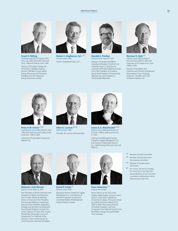

**Grant D. Billing** Chairman and CEO of Superior Plus since July 2006, Executive Chairman

since 1998 and Director since 1994. Director of Provident Energy Ltd. ("Provident"), BreitBurn Energy Partners ("BreitBurn") and Capitol Energy Resources Ltd. Previously, President and CEO of Norcen Energy Resources Limited.



**Robert J. Engbloom, Q.C.** (2) Director since 1996. Partner of Macleod Dixon LLP.



**Randall J. Findlay** Director since March 6, 2007 Director of Provident, BreitBurn, Canadian Helicopters Income Fund, TransAlta Power LP and director nominee of Pembina Pipeline Income Fund. Past President of Provident, Senior Vice President of TransCanada Pipelines Ltd., and President of TransCanada Midstream.



**Norman R. Gish** (3) Director since 2003,Trustee of the Fund from 2000 to 2003 and Chairman of ICG Propane Inc. from 1998 to 2000. Director of Provident, and Chairman and Director of Railpower

Technologies Corp. Previously Chairman, President and CEO of Alliance Pipeline Ltd.



Chairman of Frog Hollow Group and Patheon Inc.



**Allan G. Lennox** (3) (4) Director since 1996. Principal, AG Lennox and Associates.



**James S.A. MacDonald** (2) (3) Director since 2000 and Director of ICG from 1998 to 2000 and Director in 1998.

Chairman and Managing Partner, Enterprise Capital Management Inc. and Director of Manitoba Telecom Inc., Capitol Energy Resources Ltd. and MDS Inc.



**Walentin (Val) Mirosh** Director since March 6, 2007

Vice President of NOVA Chemicals and President of Olefins and Feedstock. Prior to 2003, Partner at Macleod Dixon LLP, Executive Vice President, TransCanada Pipelines Limited and Executive Vice-President, Regulatory Strategy and Northern Development, TransCanada Pipelines Limited. Also current director of Taylor NGL Limited Partnership, the Energy Council of Canada and Co-Chairman of the Advisory Council to the Faculty of Social Sciences, University of Calgary.



**David P. Smith** (1) Director since 1998.

Managing Partner, Enterprise Capital Management Inc. and Director of Jannock Properties Limited and Creststreet Kettles Hill Windpower General Partner Limited.



**Peter Valentine** (1) Director since 2004.

Senior advisor to the CEO of the Calgary Health Region and past senior advisor to the Dean of Medicine, University of Calgary. Previously served as Auditor General of Alberta from 1995 to 2002. Also current Director of Fording Canadian Coal Trust, Livingstone International Income Fund, PrimeWest Energy Trust and ResMor Trust Company.

- (1) Member of Audit Committee
- (2) Member of Governance and Nominating Committee
- (3) Member of Compensation Committee
- (4) Mr. Lennox will not be standing for re-election at the May 2007 Annual Meeting of the Fund. New committee memberships will be determined at that time.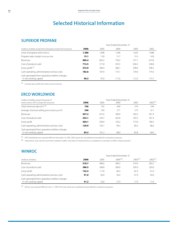# **Selected Historical Information**

### **SUPERIOR PROPANE**

|                                                                         | Year Ended December 31 |       |       |       |       |  |
|-------------------------------------------------------------------------|------------------------|-------|-------|-------|-------|--|
| (millions of dollars except litres of propane and per litre amounts)    | 2006                   | 2005  | 2004  | 2003  | 2002  |  |
| Litres of propane sold (millions)                                       | 1,386                  | 1,468 | 1,546 | 1,625 | 1,688 |  |
| Propane sales margin (cents per litre)                                  | 15.1                   | 15.8  | 15.7  | 15.5  | 14.8  |  |
| Revenues                                                                | 985.4                  | 856.2 | 720.2 | 727.1 | 619.0 |  |
| Cost of products sold                                                   | 712.5                  | 571.8 | 433.5 | 436.5 | 328.8 |  |
| Gross profit <sup>(1)</sup>                                             | 272.9                  | 284.4 | 286.7 | 290.6 | 290.2 |  |
| Cash operating, administrative and tax costs                            | 182.6                  | 187.4 | 175.1 | 178.4 | 174.5 |  |
| Cash generated from operations before changes<br>in net working capital | 90.3                   | 97.0  | 111.6 | 112.2 | 115.7 |  |

(1) Includes gross profit from other service revenues. 

### **ERCO WORLDWIDE**

| (millions of dollars except thousands of                                | Year Ended December 31 |       |       |       |              |
|-------------------------------------------------------------------------|------------------------|-------|-------|-------|--------------|
| metric tonnes ("MT") and per MT amounts)                                | 2006                   | 2005  | 2004  | 2003  | $2002^{(1)}$ |
| Total chemical sales (MT) <sup>(2)</sup>                                | 756                    | 742   | 649   | 574   | 544          |
| Average chemical selling price (dollars per MT)                         | 540                    | 550   | 571   | 573   | 611          |
| Revenues                                                                | 437.2                  | 431.6 | 396.0 | 356.3 | 361.9        |
| Cost of products sold                                                   | 233.1                  | 224.7 | 202.8 | 183.3 | 181.4        |
| Gross profit                                                            | 204.1                  | 206.9 | 193.2 | 173.0 | 180.5        |
| Cash operating, administrative and tax costs                            | 120.9                  | 105.7 | 94.3  | 89.2  | 86.6         |
| Cash generated from operations before changes<br>in net working capital | 83.2                   | 101.2 | 98.9  | 83.8  | 94.0         |

(1) ERCO Worldwide was acquired effective December 19, 2002. 2002 results are unauditied and provided for comparison purposes.

 $(2)$  Hydrochloric acid volumes have been restated to reflect a dry basis of measurement as compared to a wet basis to reflect industry practice.

### **WINROC**

|                                                                         | Year Ended December 31 |       |                     |         |         |  |  |
|-------------------------------------------------------------------------|------------------------|-------|---------------------|---------|---------|--|--|
| (millions of dollars)                                                   | 2006                   | 2005  | 2004 <sup>(1)</sup> | 2003(1) | 2002(1) |  |  |
| Revenues                                                                | 518.7                  | 486.6 | 384.3               | 310.9   | 282.2   |  |  |
| Cost of products sold                                                   | 386.5                  | 368.8 | 300.0               | 245.6   | 220.6   |  |  |
| Gross profit                                                            | 132.2                  | 117.8 | 84.3                | 65.3    | 61.6    |  |  |
| Cash operating, administrative and tax costs                            | 91.0                   | 82.0  | 56.4                | 47.4    | 44.6    |  |  |
| Cash generated from operations before changes<br>in net working capital | 41.2                   | 35.8  | 27.9                | 17.9    | 17.0    |  |  |

 $(1)$  Winroc was acquired effective June 11, 2004. Prior year results are unaudited and provided for comparison purposes.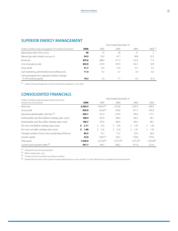### **SUPERIOR ENERGY MANAGEMENT**

|                                                                      | Year Ended December 31 |       |       |       |         |  |
|----------------------------------------------------------------------|------------------------|-------|-------|-------|---------|--|
| (millions of dollars except per gigajoule ("GJ") and per GJ amounts) | 2006                   | 2005  | 2004  | 2003  | 2002(1) |  |
| Natural gas sold (millions of GJs)                                   | 40                     | 37    | 28    | 21    |         |  |
| Natural gas sales margin (cents per GJ)                              | 54.3                   | 39.2  | 47.7  | 38.8  | 22.5    |  |
| Revenues                                                             | 325.6                  | 288.4 | 211.3 | 152.2 | 11.4    |  |
| Cost of products sold                                                | 303.9                  | 273.9 | 197.9 | 144.1 | 10.9    |  |
| Gross profit                                                         | 21.7                   | 14.5  | 13.4  | 8.1   | 0.5     |  |
| Cash operating, administrative and selling costs                     | 11.4                   | 9.2   | 5.7   | 3.6   | 0.6     |  |
| Cash generated from operations before changes                        |                        |       |       |       |         |  |
| in net working capital                                               | 10.3                   | 5.3   | 7.7   | 4.5   | (0.1)   |  |

(1) Superior Energy Management commenced business operations in June 2002. 

### **CONSOLIDATED FINANCIALS**

| (millions of dollars except average number of trust units | Year Ended December 31 |                 |                 |                 |                 |  |
|-----------------------------------------------------------|------------------------|-----------------|-----------------|-----------------|-----------------|--|
| and per trust unit amounts)                               | 2006                   | 2005            | 2004            | 2003            | 2002            |  |
| Revenues                                                  | 2,264.3                | $2,059.2^{(1)}$ | 1,552.8         | 1,234.3         | 640.9           |  |
| Gross profit                                              | 630.9                  | $623.6^{(1)}$   | 542.8           | 471.7           | 295.8           |  |
| Operating distributable cash flow (2)                     | 250.1                  | 231.4           | 219.4           | 190.6           | 115.7           |  |
| Distributable cash flow (before strategic plan costs)     | 180.4                  | 187.0           | 184.4           | 146.5           | 90.7            |  |
| Distributable cash flow (after strategic plan costs)      | 160.7                  | 187.0           | 184.4           | 146.5           | 90.7            |  |
| Per trust unit (before strategic plan costs)              | 2.11<br>S.             | Ŝ.<br>2.35      | 2.54<br>Ŝ.      | Ŝ.<br>2.47      | Ŝ.<br>1.93      |  |
| Per trust unit (after strategic plan costs)               | 1.88<br>Ŝ.             | ς.<br>2.35      | 2.54<br>Ŝ.      | Ŝ.<br>2.47      | Ś.<br>1.93      |  |
| Average number of trust units outstanding (millions)      | 85.5                   | 79.7            | 72.7            | 59.4            | 46.9            |  |
| Growth capital                                            | 53.0                   | $509.5^{(1)}$   | 126.3           | 129.8           | 579.4           |  |
| Total assets                                              | 1,536.9                | $2,373.6^{(4)}$ | $1.579.7^{(4)}$ | $1.475.3^{(4)}$ | $1,425.8^{(4)}$ |  |
| Current and long-term debt (3)                            | 441.7                  | 744.7           | 546.2           | 417.8           | 512.0           |  |

(1) Adjusted for discontinued operations.

(2) Before strategic plan costs.

 $(3)$  Includes accounts receivable securitization program.

(4) Restated for the impact of the Superior Propane defined pension asset, see Note 12 to the 2006 Annual Consolidated Financial Statements.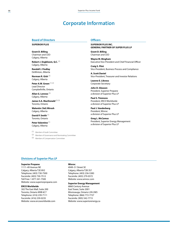### **Corporate Information**

### **Board of Directors**

#### **Superior Plus**

**Grant D. Billing** Chairman and CEO Calgary, Alberta

**Robert J. Engbloom, Q.C.** (2) Calgary, Alberta

**Randall J. Findlay** DeWinton, Alberta

**Norman R. Gish** (3) Calgary, Alberta

**Peter A.W. Green** (1) (2) Lead Director Campbellville, Ontario

**Allan G. Lennox** (3) Calgary, Alberta

**James S.A. MacDonald** (2) (3) Toronto, Ontario

**Walentin (Val) Mirosh** Calgary, Alberta

**David P. Smith** (1) Toronto, Ontario

**Peter Valentine** (1) Calgary, Alberta

(1) Member of Audit Committee

(2) Member of Governance and Nominating Committee

(3) Member of Compensation Committee

#### **Officers**

**Superior Plus Inc. General Partner of Super Plus LP**

**Grant D. Billing** Chairman and CEO

**Wayne M. Bingham** Executive Vice-President and Chief Financial Officer

**Craig S. Flint** Vice-President, Business Process and Compliance

**A. Scott Daniel** Vice-President, Treasurer and Investor Relations

**Leanne E. Likness** Corporate Secretary

**John D. Gleason** President, Superior Propane a division of Superior Plus LP

**Paul S. Timmons** President, ERCO Worldwide a division of Superior Plus LP

**Paul J. Vanderberg** President, Winroc a division of Superior Plus LP

**Greg L. McCamus** President, Superior Energy Management a division of Superior Plus LP

#### **Divisions of Superior Plus LP**

#### **Superior Propane**

1111–49 Avenue NE Calgary, Alberta T2E 8V2 Telephone: (403) 730-7500 Facsimile: (403) 730-7512 Toll Free: 1-877-341-7500 Website: www.superiorpropane.com

#### **ERCO Worldwide**

302 The East Mall, Suite 200 Toronto, Ontario M9B 6C7 Telephone: (416) 239-7111 Facsimile: (416) 239-0235 Website: www.ercoworldwide.com

#### **Winroc**

4949–51 Street SE Calgary, Alberta T2B 3S7 Telephone: (403) 236-5383 Facsimile: (403) 279-0372 Website: www.winroc.com

#### **Superior Energy Management**

6860 Century Avenue East Tower, Suite 2001 Mississauga, Ontario L5N 2W5 Telephone: (866) 772-7727 Facsimile: (905) 542-7715 Website: www.superiorenergy.ca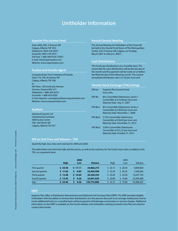## **Unitholder Information**

#### **Superior Plus Income Fund**

Suite 2820, 605–5 Avenue SW Calgary, Alberta T2P 3H5 Telephone: (403) 218-2970 Facsimile: (403) 218-2973 Toll Free: 1-866-490-PLUS (7587) E-mail: info@superiorplus.com Website: www.superiorplus.com

#### **Trustee and Transfer Agent**

Computershare Trust Company of Canada Suite 710, 530–8 Avenue SW Calgary, Alberta T2P 3S8 or: 9th Floor, 100 University Avenue Toronto, Ontario M5J 2Y1 Telephone: 1-888-564-6253 Facsimile: 1-888-453-0330 E-mail inquiries: careregistryinfo@computershare.com Website: www.computershare.com

#### **Auditors**

Deloitte & Touche LLP Chartered Accountants 3000 Scotia Centre 700–2nd Street SW Calgary, Alberta T2P 0S7

#### **Annual General Meeting**

The Annual Meeting of Unitholders of the Fund will be held in the Strand/Tivoli Room of The Metropolitan Centre, 333-4 Avenue SW, Calgary, on Tuesday, May 8, 2007 at 2:00 p.m. (MST).

#### **Cash Distributions**

The Fund pays distributions on a monthly basis. The record date for each distribution will be the last day of the month and the payment will be made on or before the fifteenth day of the following month. The current annualized distribution rate is \$1.56 per trust unit.

#### **Toronto Stock Exchange (TSX) Listings**

| SPF.un:            | <b>Superior Plus Income Fund</b><br>trust units                                                                  |
|--------------------|------------------------------------------------------------------------------------------------------------------|
| SPE <sub>db:</sub> | 8% Convertible Debentures, Series 1<br>Convertible at \$16.00 per trust unit<br>Maturity Date: July 31, 2007     |
| SPEdb.a:           | 8% Convertible Debentures, Series 2<br>Convertible at \$20.00 per trust unit<br>Maturity Date: November 1, 2008  |
| SPE db.b:          | 5.75% Convertible Debentures<br>Convertible at \$36.00 per trust unit<br><b>Maturity Date: December 31, 2012</b> |
| SPE db.b:          | 5.85% Convertible Debentures<br>Convertible at \$31.25 per trust unit<br>Maturity Date: October 31, 2015         |

#### **SPF.un Unit Price and Volumes – TSX**

Quarterly high, low, close and volumes for 2006 and 2005.

The table below sets forth the high and low prices, as well as the volumes, for the Fund's trust units as traded on the TSX, on a quarterly basis.

|                      |             | 2006       |               |         | 2005    |            |
|----------------------|-------------|------------|---------------|---------|---------|------------|
|                      | <b>High</b> | Low        | <b>Volume</b> | High    | Low     | Volume     |
| <b>First quarter</b> | 524.40      | 517.11     | 24,866,275    | 5.33.15 | 528.45  | 9,849,804  |
| Second quarter       | \$17.65     | 9.85<br>s. | 52,965,998    | 532.29  | 529.25  | 7,500,262  |
| Third quarter        | \$12.98     | \$10.60    | 20,300,593    | \$33.00 | 524.30  | 15,637,193 |
| Fourth quarter       | 5 13.95     | 9.26<br>s  | 22,601,020    | \$26.80 | \$19.66 | 22,993,008 |
| Year                 | 524.40      | 9.26<br>s. | 120,733,886   | 5.33.15 | \$19.66 | 55,980,267 |

#### **DRIP**

Superior Plus offers a Distribution Reinvestment and Optional Unit Purchase Plan (DRIP). The DRIP provides eligible Unitholders with the ability to reinvest their distributions at a five percent discount to an average market price and to invest additional funds on a monthly basis without payment of brokerage commissions or service charges. Additional information on the DRIP is available on the Fund's website and Unitholders wishing to enroll in the Plan are asked to contact their broker.